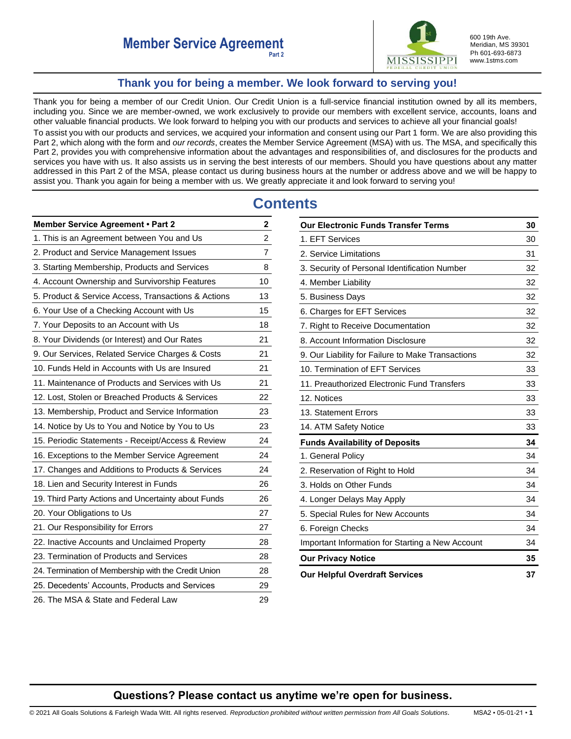

600 19th Ave. Meridian, MS 39301 Ph 601-693-6873 www.1stms.com

# **Thank you for being a member. We look forward to serving you!**

<span id="page-0-0"></span>Thank you for being a member of our Credit Union. Our Credit Union is a full-service financial institution owned by all its members, including you. Since we are member-owned, we work exclusively to provide our members with excellent service, accounts, loans and other valuable financial products. We look forward to helping you with our products and services to achieve all your financial goals!

To assist you with our products and services, we acquired your information and consent using our Part 1 form. We are also providing this Part 2, which along with the form and *our records*, creates the Member Service Agreement (MSA) with us. The MSA, and specifically this Part 2, provides you with comprehensive information about the advantages and responsibilities of, and disclosures for the products and services you have with us. It also assists us in serving the best interests of our members. Should you have questions about any matter addressed in this Part 2 of the MSA, please contact us during business hours at the number or address above and we will be happy to assist you. Thank you again for being a member with us. We greatly appreciate it and look forward to serving you!

# **Contents**

| <b>Member Service Agreement • Part 2</b>            | 2              |
|-----------------------------------------------------|----------------|
| 1. This is an Agreement between You and Us          | $\overline{c}$ |
| 2. Product and Service Management Issues            | $\overline{7}$ |
| 3. Starting Membership, Products and Services       | 8              |
| 4. Account Ownership and Survivorship Features      | 10             |
| 5. Product & Service Access, Transactions & Actions | 13             |
| 6. Your Use of a Checking Account with Us           | 15             |
| 7. Your Deposits to an Account with Us              | 18             |
| 8. Your Dividends (or Interest) and Our Rates       | 21             |
| 9. Our Services, Related Service Charges & Costs    | 21             |
| 10. Funds Held in Accounts with Us are Insured      | 21             |
| 11. Maintenance of Products and Services with Us    | 21             |
| 12. Lost, Stolen or Breached Products & Services    | 22             |
| 13. Membership, Product and Service Information     | 23             |
| 14. Notice by Us to You and Notice by You to Us     | 23             |
| 15. Periodic Statements - Receipt/Access & Review   | 24             |
| 16. Exceptions to the Member Service Agreement      | 24             |
| 17. Changes and Additions to Products & Services    | 24             |
| 18. Lien and Security Interest in Funds             | 26             |
| 19. Third Party Actions and Uncertainty about Funds | 26             |
| 20. Your Obligations to Us                          | 27             |
| 21. Our Responsibility for Errors                   | 27             |
| 22. Inactive Accounts and Unclaimed Property        | 28             |
| 23. Termination of Products and Services            | 28             |
| 24. Termination of Membership with the Credit Union | 28             |
| 25. Decedents' Accounts, Products and Services      | 29             |
| 26. The MSA & State and Federal Law                 | 29             |

| <b>Our Electronic Funds Transfer Terms</b>        |    |
|---------------------------------------------------|----|
| 1. EFT Services                                   | 30 |
| 2. Service Limitations                            | 31 |
| 3. Security of Personal Identification Number     | 32 |
| 4. Member Liability                               | 32 |
| 5. Business Days                                  | 32 |
| 6. Charges for EFT Services                       | 32 |
| 7. Right to Receive Documentation                 | 32 |
| 8. Account Information Disclosure                 | 32 |
| 9. Our Liability for Failure to Make Transactions | 32 |
| 10. Termination of EFT Services                   | 33 |
| 11. Preauthorized Electronic Fund Transfers       | 33 |
| 12. Notices                                       | 33 |
| 13. Statement Errors                              | 33 |
| 14. ATM Safety Notice                             | 33 |
| <b>Funds Availability of Deposits</b>             | 34 |
| 1. General Policy                                 | 34 |
| 2. Reservation of Right to Hold                   | 34 |
| 3. Holds on Other Funds                           | 34 |
| 4. Longer Delays May Apply                        | 34 |
| 5. Special Rules for New Accounts                 | 34 |
| 6. Foreign Checks                                 | 34 |
| Important Information for Starting a New Account  | 34 |
| <b>Our Privacy Notice</b>                         | 35 |
| <b>Our Helpful Overdraft Services</b>             | 37 |

# **Questions? Please contact us anytime we're open for business.**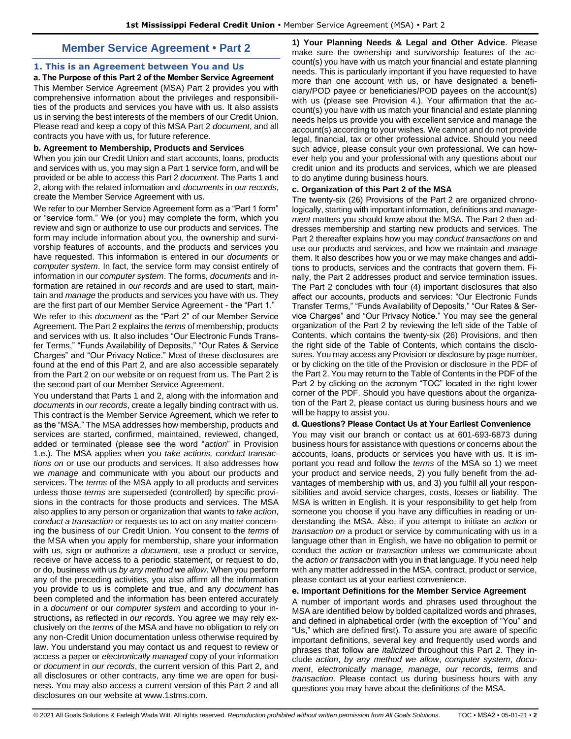# **Member Service Agreement • Part 2**

# <span id="page-1-1"></span><span id="page-1-0"></span>**1. This is an Agreement between You and Us**

**a. The Purpose of this Part 2 of the Member Service Agreement**  This Member Service Agreement (MSA) Part 2 provides you with comprehensive information about the privileges and responsibilities of the products and services you have with us. It also assists us in serving the best interests of the members of our Credit Union. Please read and keep a copy of this MSA Part 2 *document*, and all contracts you have with us, for future reference.

#### **b. Agreement to Membership, Products and Services**

When you join our Credit Union and start accounts, loans, products and services with us, you may sign a Part 1 service form, and will be provided or be able to access this Part 2 *document*. The Parts 1 and 2, along with the related information and *documents* in *our records*, create the Member Service Agreement with us.

We refer to our Member Service Agreement form as a "Part 1 form" or "service form." We (or you) may complete the form, which you review and sign or authorize to use our products and services. The form may include information about you, the ownership and survivorship features of accounts, and the products and services you have requested. This information is entered in our *documents* or *computer system*. In fact, the service form may consist entirely of information in our *computer system*. The forms, *documents* and information are retained in *our records* and are used to start, maintain and *manage* the products and services you have with us. They are the first part of our Member Service Agreement - the "Part 1."

We refer to this *document* as the "Part 2" of our Member Service Agreement. The Part 2 explains the *terms* of membership, products and services with us. It also includes "Our Electronic Funds Transfer Terms," "Funds Availability of Deposits," "Our Rates & Service Charges" and "Our Privacy Notice." Most of these disclosures are found at the end of this Part 2, and are also accessible separately from the Part 2 on our website or on request from us. The Part 2 is the second part of our Member Service Agreement.

You understand that Parts 1 and 2, along with the information and *documents* in *our records*, create a legally binding contract with us. This contract is the Member Service Agreement, which we refer to as the "MSA." The MSA addresses how membership, products and services are started, confirmed, maintained, reviewed, changed, added or terminated (please see the word "*action*" in Provision 1.e.). The MSA applies when you *take actions, conduct transactions on* or use our products and services. It also addresses how we *manage* and communicate with you about our products and services. The *terms* of the MSA apply to all products and services unless those *terms* are superseded (controlled) by specific provisions in the contracts for those products and services. The MSA also applies to any person or organization that wants to *take action*, *conduct a transaction* or requests us to act on any matter concerning the business of our Credit Union. You consent to the *terms* of the MSA when you apply for membership, share your information with us, sign or authorize a *document*, use a product or service, receive or have access to a periodic statement, or request to do, or do, business with us *by any method we allow*. When you perform any of the preceding activities, you also affirm all the information you provide to us is complete and true, and any *document* has been completed and the information has been entered accurately in a *document* or our *computer system* and according to your instructions**,** as reflected in *our records*. You agree we may rely exclusively on the *terms* of the MSA and have no obligation to rely on any non-Credit Union documentation unless otherwise required by law. You understand you may contact us and request to review or access a paper or *electronically managed* copy of your information or *document* in *our records*, the current version of this Part 2, and all disclosures or other contracts, any time we are open for business. You may also access a current version of this Part 2 and all disclosures on our website at www.1stms.com.

**1) Your Planning Needs & Legal and Other Advice**. Please make sure the ownership and survivorship features of the account(s) you have with us match your financial and estate planning needs. This is particularly important if you have requested to have more than one account with us, or have designated a beneficiary/POD payee or beneficiaries/POD payees on the account(s) with us (please see Provision 4.). Your affirmation that the account(s) you have with us match your financial and estate planning needs helps us provide you with excellent service and manage the account(s) according to your wishes. We cannot and do not provide legal, financial, tax or other professional advice. Should you need such advice, please consult your own professional. We can however help you and your professional with any questions about our credit union and its products and services, which we are pleased to do anytime during business hours.

#### **c. Organization of this Part 2 of the MSA**

The twenty-six (26) Provisions of the Part 2 are organized chronologically, starting with important information, definitions and *management* matters you should know about the MSA. The Part 2 then addresses membership and starting new products and services. The Part 2 thereafter explains how you may *conduct transactions on* and use our products and services, and how we maintain and *manage*  them. It also describes how you or we may make changes and additions to products, services and the contracts that govern them. Finally, the Part 2 addresses product and service termination issues. The Part 2 concludes with four (4) important disclosures that also affect our accounts, products and services: "Our Electronic Funds Transfer Terms," "Funds Availability of Deposits," "Our Rates & Service Charges" and "Our Privacy Notice." You may see the general organization of the Part 2 by reviewing the left side of the Table of Contents, which contains the twenty-six (26) Provisions, and then the right side of the Table of Contents, which contains the disclosures. You may access any Provision or disclosure by page number, or by clicking on the title of the Provision or disclosure in the PDF of the Part 2. You may return to the Table of Contents in the PDF of the Part 2 by clicking on the acronym "TOC" located in the right lower corner of the PDF. Should you have questions about the organization of the Part 2, please contact us during business hours and we will be happy to assist you.

### **d. Questions? Please Contact Us at Your Earliest Convenience**

You may visit our branch or contact us at 601-693-6873 during business hours for assistance with questions or concerns about the accounts, loans, products or services you have with us. It is important you read and follow the *terms* of the MSA so 1) we meet your product and service needs, 2) you fully benefit from the advantages of membership with us, and 3) you fulfill all your responsibilities and avoid service charges, costs, losses or liability. The MSA is written in English. It is your responsibility to get help from someone you choose if you have any difficulties in reading or understanding the MSA. Also, if you attempt to initiate an *action* or *transaction on* a product or service by communicating with us in a language other than in English, we have no obligation to permit or conduct the *action* or *transaction* unless we communicate about the *action or transaction* with you in that language. If you need help with any matter addressed in the MSA, contract, product or service, please contact us at your earliest convenience.

#### **e. Important Definitions for the Member Service Agreement**

A number of important words and phrases used throughout the MSA are identified below by bolded capitalized words and phrases, and defined in alphabetical order (with the exception of "You" and "Us," which are defined first). To assure you are aware of specific important definitions, several key and frequently used words and phrases that follow are *italicized* throughout this Part 2. They include *action*, *by any method we allow*, *computer system*, *document*, *electronically manage, manage, our records, terms* and *transaction*. Please contact us during business hours with any questions you may have about the definitions of the MSA.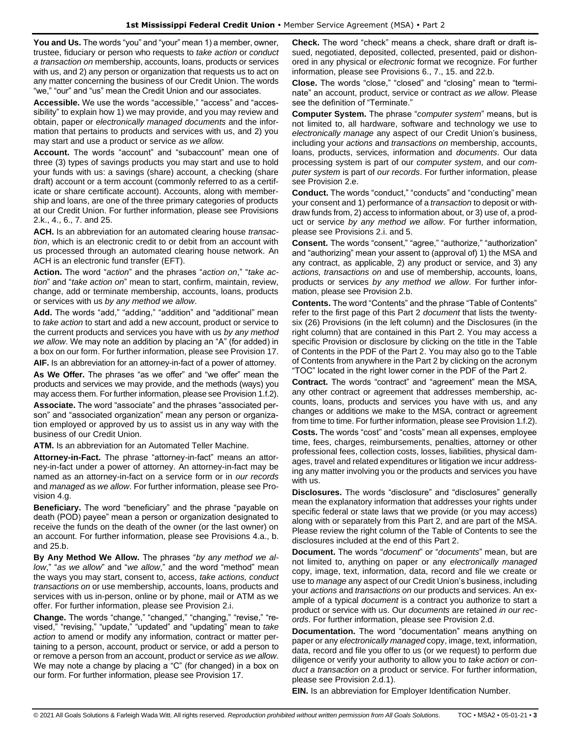**You and Us.** The words "you" and "your" mean 1) a member, owner, trustee, fiduciary or person who requests to *take action* or *conduct a transaction on* membership, accounts, loans, products or services with us, and 2) any person or organization that requests us to act on any matter concerning the business of our Credit Union. The words "we," "our" and "us" mean the Credit Union and our associates.

**Accessible.** We use the words "accessible," "access" and "accessibility" to explain how 1) we may provide, and you may review and obtain, paper or *electronically managed documents* and the information that pertains to products and services with us, and 2) you may start and use a product or service *as we allow.* 

**Account.** The words "account" and "subaccount" mean one of three (3) types of savings products you may start and use to hold your funds with us: a savings (share) account, a checking (share draft) account or a term account (commonly referred to as a certificate or share certificate account). Accounts, along with membership and loans, are one of the three primary categories of products at our Credit Union. For further information, please see Provisions 2.k., 4., 6., 7. and 25.

**ACH.** Is an abbreviation for an automated clearing house *transaction*, which is an electronic credit to or debit from an account with us processed through an automated clearing house network. An ACH is an electronic fund transfer (EFT).

**Action.** The word "*action*" and the phrases "*action on*," "*take action*" and "*take action on*" mean to start, confirm, maintain, review, change, add or terminate membership, accounts, loans, products or services with us *by any method we allow*.

**Add.** The words "add," "adding," "addition" and "additional" mean to *take action* to start and add a new account, product or service to the current products and services you have with us *by any method we allow*. We may note an addition by placing an "A" (for added) in a box on our form. For further information, please see Provision 17.

**AIF.** Is an abbreviation for an attorney-in-fact of a power of attorney.

**As We Offer.** The phrases "as we offer" and "we offer" mean the products and services we may provide, and the methods (ways) you may access them. For further information, please see Provision 1.f.2).

**Associate.** The word "associate" and the phrases "associated person" and "associated organization" mean any person or organization employed or approved by us to assist us in any way with the business of our Credit Union.

**ATM.** Is an abbreviation for an Automated Teller Machine.

**Attorney-in-Fact.** The phrase "attorney-in-fact" means an attorney-in-fact under a power of attorney. An attorney-in-fact may be named as an attorney-in-fact on a service form or in *our records* and *managed* as *we allow*. For further information, please see Provision 4.g.

**Beneficiary.** The word "beneficiary" and the phrase "payable on death (POD) payee" mean a person or organization designated to receive the funds on the death of the owner (or the last owner) on an account. For further information, please see Provisions 4.a., b. and 25.b.

**By Any Method We Allow.** The phrases "*by any method we allow*," "*as we allow*" and "*we allow*," and the word "method" mean the ways you may start, consent to, access, *take actions, conduct transactions on* or use membership, accounts, loans, products and services with us in-person, online or by phone, mail or ATM as we offer. For further information, please see Provision 2.i.

**Change.** The words "change," "changed," "changing," "revise," "revised," "revising," "update," "updated" and "updating" mean to *take action* to amend or modify any information, contract or matter pertaining to a person, account, product or service, or add a person to or remove a person from an account, product or service *as we allow*. We may note a change by placing a "C" (for changed) in a box on our form. For further information, please see Provision 17.

**Check.** The word "check" means a check, share draft or draft issued, negotiated, deposited, collected, presented, paid or dishonored in any physical or *electronic* format we recognize. For further information, please see Provisions 6., 7., 15. and 22.b.

**Close.** The words "close," "closed" and "closing" mean to "terminate" an account, product, service or contract *as we allow*. Please see the definition of "Terminate."

**Computer System.** The phrase "*computer system*" means, but is not limited to, all hardware, software and technology we use to *electronically manage* any aspect of our Credit Union's business, including your *actions* and *transactions on* membership, accounts, loans, products, services, information and *documents*. Our data processing system is part of our *computer system*, and our *computer system* is part of *our records*. For further information, please see Provision 2.e.

**Conduct.** The words "conduct," "conducts" and "conducting" mean your consent and 1) performance of a *transaction* to deposit or withdraw funds from, 2) access to information about, or 3) use of, a product or service *by any method we allow*. For further information, please see Provisions 2.i. and 5.

**Consent.** The words "consent," "agree," "authorize," "authorization" and "authorizing" mean your assent to (approval of) 1) the MSA and any contract, as applicable, 2) any product or service, and 3) any *actions, transactions on* and use of membership, accounts, loans, products or services *by any method we allow*. For further information, please see Provision 2.b.

**Contents.** The word "Contents" and the phrase "Table of Contents" refer to the first page of this Part 2 *document* that lists the twentysix (26) Provisions (in the left column) and the Disclosures (in the right column) that are contained in this Part 2. You may access a specific Provision or disclosure by clicking on the title in the Table of Contents in the PDF of the Part 2. You may also go to the Table of Contents from anywhere in the Part 2 by clicking on the acronym "TOC" located in the right lower corner in the PDF of the Part 2.

**Contract.** The words "contract" and "agreement" mean the MSA, any other contract or agreement that addresses membership, accounts, loans, products and services you have with us, and any changes or additions we make to the MSA, contract or agreement from time to time. For further information, please see Provision 1.f.2). **Costs.** The words "cost" and "costs" mean all expenses, employee time, fees, charges, reimbursements, penalties, attorney or other professional fees, collection costs, losses, liabilities, physical damages, travel and related expenditures or litigation we incur addressing any matter involving you or the products and services you have with us.

**Disclosures.** The words "disclosure" and "disclosures" generally mean the explanatory information that addresses your rights under specific federal or state laws that we provide (or you may access) along with or separately from this Part 2, and are part of the MSA. Please review the right column of the Table of Contents to see the disclosures included at the end of this Part 2.

**Document.** The words "*document*" or "*documents*" mean, but are not limited to, anything on paper or any *electronically managed* copy, image, text, information, data, record and file we create or use to *manage* any aspect of our Credit Union's business, including your *actions* and *transactions on* our products and services. An example of a typical *document* is a contract you authorize to start a product or service with us. Our *documents* are retained *in our records*. For further information, please see Provision 2.d.

**Documentation.** The word "documentation" means anything on paper or any *electronically managed* copy, image, text, information, data, record and file you offer to us (or we request) to perform due diligence or verify your authority to allow you to *take action* or *conduct a transaction on* a product or service. For further information, please see Provision 2.d.1).

**EIN.** Is an abbreviation for Employer Identification Number.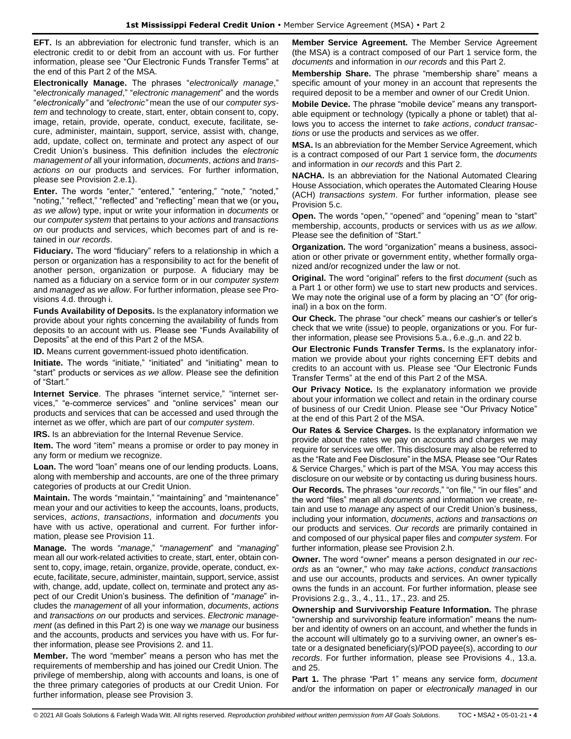**EFT.** Is an abbreviation for electronic fund transfer, which is an electronic credit to or debit from an account with us. For further information, please see "Our Electronic Funds Transfer Terms" at the end of this Part 2 of the MSA.

**Electronically Manage.** The phrases "*electronically manage*," "*electronically managed*," "*electronic management*" and the words "*electronically"* and *"electronic"* mean the use of our *computer system* and technology to create, start, enter, obtain consent to, copy, image, retain, provide, operate, conduct, execute, facilitate, secure, administer, maintain, support, service, assist with, change, add, update, collect on, terminate and protect any aspect of our Credit Union's business. This definition includes the *electronic management of* all your information, *documents*, *actions* and *transactions on* our products and services. For further information, please see Provision 2.e.1).

**Enter.** The words "enter," "entered," "entering," "note," "noted," "noting," "reflect," "reflected" and "reflecting" mean that we (or you**,** *as we allow*) type, input or write your information in *documents* or our *computer system* that pertains to your *actions* and *transactions on* our products and services, which becomes part of and is retained in *our records*.

**Fiduciary.** The word "fiduciary" refers to a relationship in which a person or organization has a responsibility to act for the benefit of another person, organization or purpose. A fiduciary may be named as a fiduciary on a service form or in our *computer system* and *managed* as *we allow*. For further information, please see Provisions 4.d. through i.

**Funds Availability of Deposits.** Is the explanatory information we provide about your rights concerning the availability of funds from deposits to an account with us. Please see "Funds Availability of Deposits" at the end of this Part 2 of the MSA.

**ID.** Means current government-issued photo identification.

**Initiate.** The words "initiate," "initiated" and "initiating" mean to "start" products or services *as we allow*. Please see the definition of "Start."

**Internet Service**. The phrases "internet service," "internet services," "e-commerce services" and "online services" mean our products and services that can be accessed and used through the internet as we offer, which are part of our *computer system*.

**IRS.** Is an abbreviation for the Internal Revenue Service.

**Item.** The word "item" means a promise or order to pay money in any form or medium we recognize.

**Loan.** The word "loan" means one of our lending products. Loans, along with membership and accounts, are one of the three primary categories of products at our Credit Union.

**Maintain.** The words "maintain," "maintaining" and "maintenance" mean your and our activities to keep the accounts, loans, products, services, *actions*, *transactions*, information and *documents* you have with us active, operational and current. For further information, please see Provision 11.

**Manage.** The words "*manage*," "*management*" and "*managing*" mean all our work-related activities to create, start, enter, obtain consent to, copy, image, retain, organize, provide, operate, conduct, execute, facilitate, secure, administer, maintain, support, service, assist with, change, add, update, collect on, terminate and protect any aspect of our Credit Union's business. The definition of "*manage*" includes the *management* of all your information, *documents*, *actions* and *transactions on* our products and services. *Electronic management* (as defined in this Part 2) is one way we *manage* our business and the accounts, products and services you have with us. For further information, please see Provisions 2. and 11.

**Member.** The word "member" means a person who has met the requirements of membership and has joined our Credit Union. The privilege of membership, along with accounts and loans, is one of the three primary categories of products at our Credit Union. For further information, please see Provision 3.

**Member Service Agreement.** The Member Service Agreement (the MSA) is a contract composed of our Part 1 service form, the *documents* and information in *our records* and this Part 2.

**Membership Share.** The phrase "membership share" means a specific amount of your money in an account that represents the required deposit to be a member and owner of our Credit Union.

**Mobile Device.** The phrase "mobile device" means any transportable equipment or technology (typically a phone or tablet) that allows you to access the internet to *take actions*, *conduct transactions* or use the products and services as we offer.

**MSA.** Is an abbreviation for the Member Service Agreement, which is a contract composed of our Part 1 service form, the *documents* and information in *our records* and this Part 2.

**NACHA.** Is an abbreviation for the National Automated Clearing House Association, which operates the Automated Clearing House (ACH) *transactions system*. For further information, please see Provision 5.c.

**Open.** The words "open," "opened" and "opening" mean to "start" membership, accounts, products or services with us *as we allow*. Please see the definition of "Start."

**Organization.** The word "organization" means a business, association or other private or government entity, whether formally organized and/or recognized under the law or not.

**Original.** The word "original" refers to the first *document* (such as a Part 1 or other form) we use to start new products and services. We may note the original use of a form by placing an "O" (for original) in a box on the form.

**Our Check.** The phrase "our check" means our cashier's or teller's check that we write (issue) to people, organizations or you. For further information, please see Provisions 5.a., 6.e.,g.,n. and 22 b.

**Our Electronic Funds Transfer Terms.** Is the explanatory information we provide about your rights concerning EFT debits and credits to an account with us. Please see "Our Electronic Funds Transfer Terms" at the end of this Part 2 of the MSA.

**Our Privacy Notice.** Is the explanatory information we provide about your information we collect and retain in the ordinary course of business of our Credit Union. Please see "Our Privacy Notice" at the end of this Part 2 of the MSA.

**Our Rates & Service Charges.** Is the explanatory information we provide about the rates we pay on accounts and charges we may require for services we offer. This disclosure may also be referred to as the "Rate and Fee Disclosure" in the MSA. Please see "Our Rates & Service Charges," which is part of the MSA. You may access this disclosure on our website or by contacting us during business hours.

**Our Records.** The phrases "*our records*," "on file," "in our files" and the word "files" mean all *documents* and information we create, retain and use to *manage* any aspect of our Credit Union's business, including your information, *documents*, *actions* and *transactions on* our products and services. *Our records* are primarily contained in and composed of our physical paper files and *computer system*. For further information, please see Provision 2.h.

**Owner.** The word "owner" means a person designated in *our records* as an "owner," who may *take actions*, *conduct transactions*  and use our accounts, products and services. An owner typically owns the funds in an account. For further information, please see Provisions 2.g., 3., 4., 11., 17., 23. and 25.

**Ownership and Survivorship Feature Information.** The phrase "ownership and survivorship feature information" means the number and identity of owners on an account, and whether the funds in the account will ultimately go to a surviving owner, an owner's estate or a designated beneficiary(s)/POD payee(s), according to *our records*. For further information, please see Provisions 4., 13.a. and 25.

**Part 1.** The phrase "Part 1" means any service form, *document* and/or the information on paper or *electronically managed* in our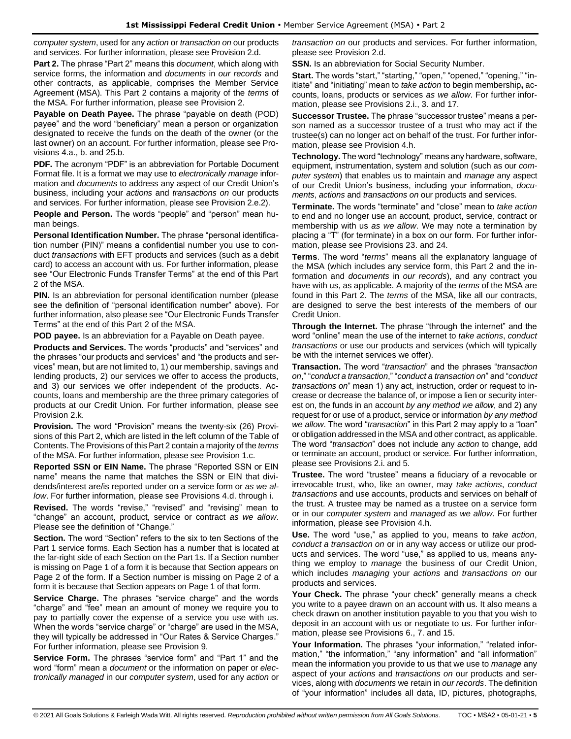*computer system*, used for any *action* or *transaction on* our products and services. For further information, please see Provision 2.d.

**Part 2.** The phrase "Part 2" means this *document*, which along with service forms, the information and *documents* in *our records* and other contracts, as applicable, comprises the Member Service Agreement (MSA). This Part 2 contains a majority of the *terms* of the MSA. For further information, please see Provision 2.

**Payable on Death Payee.** The phrase "payable on death (POD) payee" and the word "beneficiary" mean a person or organization designated to receive the funds on the death of the owner (or the last owner) on an account. For further information, please see Provisions 4.a., b. and 25.b.

**PDF.** The acronym "PDF" is an abbreviation for Portable Document Format file. It is a format we may use to *electronically manage* information and *documents* to address any aspect of our Credit Union's business, including your *actions* and *transactions on* our products and services. For further information, please see Provision 2.e.2).

**People and Person.** The words "people" and "person" mean human beings.

**Personal Identification Number.** The phrase "personal identification number (PIN)" means a confidential number you use to conduct *transactions* with EFT products and services (such as a debit card) to access an account with us. For further information, please see "Our Electronic Funds Transfer Terms" at the end of this Part 2 of the MSA.

**PIN.** Is an abbreviation for personal identification number (please) see the definition of "personal identification number" above). For further information, also please see "Our Electronic Funds Transfer Terms" at the end of this Part 2 of the MSA.

**POD payee.** Is an abbreviation for a Payable on Death payee.

**Products and Services.** The words "products" and "services" and the phrases "our products and services" and "the products and services" mean, but are not limited to, 1) our membership, savings and lending products, 2) our services we offer to access the products, and 3) our services we offer independent of the products. Accounts, loans and membership are the three primary categories of products at our Credit Union. For further information, please see Provision 2.k.

**Provision.** The word "Provision" means the twenty-six (26) Provisions of this Part 2, which are listed in the left column of the Table of Contents. The Provisions of this Part 2 contain a majority of the *terms* of the MSA. For further information, please see Provision 1.c.

**Reported SSN or EIN Name.** The phrase "Reported SSN or EIN name" means the name that matches the SSN or EIN that dividends/interest are/is reported under on a service form or *as we allow*. For further information, please see Provisions 4.d. through i.

**Revised.** The words "revise," "revised" and "revising" mean to "change" an account, product, service or contract *as we allow*. Please see the definition of "Change."

**Section.** The word "Section" refers to the six to ten Sections of the Part 1 service forms. Each Section has a number that is located at the far-right side of each Section on the Part 1s. If a Section number is missing on Page 1 of a form it is because that Section appears on Page 2 of the form. If a Section number is missing on Page 2 of a form it is because that Section appears on Page 1 of that form.

**Service Charge.** The phrases "service charge" and the words "charge" and "fee" mean an amount of money we require you to pay to partially cover the expense of a service you use with us. When the words "service charge" or "charge" are used in the MSA, they will typically be addressed in "Our Rates & Service Charges." For further information, please see Provision 9.

**Service Form.** The phrases "service form" and "Part 1" and the word "form" mean a *document* or the information on paper or *electronically managed* in our *computer system*, used for any *action* or

*transaction on* our products and services. For further information, please see Provision 2.d.

**SSN.** Is an abbreviation for Social Security Number.

**Start.** The words "start," "starting," "open," "opened," "opening," "initiate" and "initiating" mean to *take action* to begin membership**,** accounts, loans, products or services *as we allow*. For further information, please see Provisions 2.i., 3. and 17.

**Successor Trustee.** The phrase "successor trustee" means a person named as a successor trustee of a trust who may act if the trustee(s) can no longer act on behalf of the trust. For further information, please see Provision 4.h.

**Technology.** The word "technology" means any hardware, software, equipment, instrumentation, system and solution (such as our *computer system*) that enables us to maintain and *manage* any aspect of our Credit Union's business, including your information, *documents*, *actions* and *transactions on* our products and services.

**Terminate.** The words "terminate" and "close" mean to *take action* to end and no longer use an account, product, service, contract or membership with us *as we allow*. We may note a termination by placing a "T" (for terminate) in a box on our form. For further information, please see Provisions 23. and 24.

**Terms**. The word "*terms*" means all the explanatory language of the MSA (which includes any service form, this Part 2 and the information and *documents* in *our records*), and any contract you have with us, as applicable. A majority of the *terms* of the MSA are found in this Part 2. The *terms* of the MSA, like all our contracts, are designed to serve the best interests of the members of our Credit Union.

**Through the Internet.** The phrase "through the internet" and the word "online" mean the use of the internet to *take actions*, *conduct transactions* or use our products and services (which will typically be with the internet services we offer).

**Transaction.** The word "*transaction*" and the phrases "*transaction on*," "*conduct a transaction*," "*conduct a transaction on*" and "*conduct transactions on*" mean 1) any act, instruction, order or request to increase or decrease the balance of, or impose a lien or security interest on, the funds in an account *by any method we allow*, and 2) any request for or use of a product, service or information *by any method we allow*. The word "*transaction*" in this Part 2 may apply to a "loan" or obligation addressed in the MSA and other contract, as applicable. The word "*transaction*" does not include any *action* to change, add or terminate an account, product or service. For further information, please see Provisions 2.i. and 5.

**Trustee.** The word "trustee" means a fiduciary of a revocable or irrevocable trust, who, like an owner, may *take actions*, *conduct transactions* and use accounts, products and services on behalf of the trust. A trustee may be named as a trustee on a service form or in our *computer system* and *managed* as *we allow*. For further information, please see Provision 4.h.

**Use.** The word "use," as applied to you, means to *take action*, *conduct a transaction on* or in any way access or utilize our products and services. The word "use," as applied to us, means anything we employ to *manage* the business of our Credit Union, which includes *managing* your *actions* and *transactions on* our products and services.

**Your Check.** The phrase "your check" generally means a check you write to a payee drawn on an account with us. It also means a check drawn on another institution payable to you that you wish to deposit in an account with us or negotiate to us. For further information, please see Provisions 6., 7. and 15.

Your Information. The phrases "your information," "related information," "the information," "any information" and "all information" mean the information you provide to us that we use to *manage* any aspect of your *actions* and *transactions on* our products and services, along with *documents* we retain in *our records*. The definition of "your information" includes all data, ID, pictures, photographs,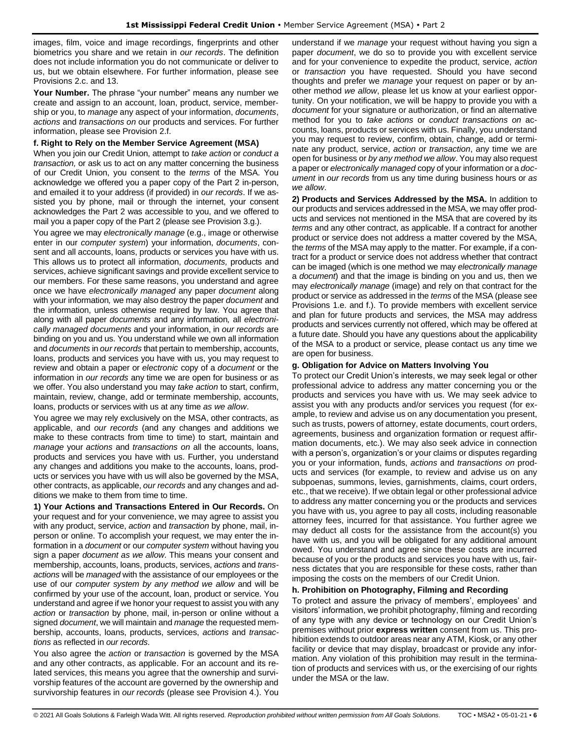images, film, voice and image recordings, fingerprints and other biometrics you share and we retain in *our records*. The definition does not include information you do not communicate or deliver to us, but we obtain elsewhere. For further information, please see Provisions 2.c. and 13.

**Your Number.** The phrase "your number" means any number we create and assign to an account, loan, product, service, membership or you, to *manage* any aspect of your information, *documents*, *actions* and *transactions on* our products and services. For further information, please see Provision 2.f.

#### **f. Right to Rely on the Member Service Agreement (MSA)**

When you join our Credit Union, attempt to *take action* or *conduct a transaction,* or ask us to act on any matter concerning the business of our Credit Union, you consent to the *terms* of the MSA. You acknowledge we offered you a paper copy of the Part 2 in-person, and emailed it to your address (if provided) in *our records*. If we assisted you by phone, mail or through the internet, your consent acknowledges the Part 2 was accessible to you, and we offered to mail you a paper copy of the Part 2 (please see Provision 3.g.).

You agree we may *electronically manage* (e.g., image or otherwise enter in our *computer system*) your information, *documents*, consent and all accounts, loans, products or services you have with us. This allows us to protect all information, *documents,* products and services, achieve significant savings and provide excellent service to our members. For these same reasons, you understand and agree once we have *electronically managed* any paper *document* along with your information*,* we may also destroy the paper *document* and the information, unless otherwise required by law. You agree that along with all paper *documents* and any information*,* all *electronically managed documents* and your information, in *our records* are binding on you and us. You understand while we own all information and *documents* in *our records* that pertain to membership, accounts, loans, products and services you have with us, you may request to review and obtain a paper or *electronic* copy of a *document* or the information in *our records* any time we are open for business or as we offer. You also understand you may *take action* to start, confirm, maintain, review, change, add or terminate membership, accounts, loans, products or services with us at any time *as we allow*.

You agree we may rely exclusively on the MSA, other contracts, as applicable, and *our records* (and any changes and additions we make to these contracts from time to time) to start, maintain and *manage* your *actions* and *transactions on* all the accounts, loans, products and services you have with us. Further, you understand any changes and additions you make to the accounts, loans, products or services you have with us will also be governed by the MSA, other contracts, as applicable, *our records* and any changes and additions we make to them from time to time.

**1) Your Actions and Transactions Entered in Our Records.** On your request and for your convenience, we may agree to assist you with any product, service, *action* and *transaction* by phone, mail, inperson or online. To accomplish your request, we may enter the information in a *document* or our *computer system* without having you sign a paper *document as we allow*. This means your consent and membership, accounts, loans, products, services, *actions* and *transactions* will be *managed* with the assistance of our employees or the use of our *computer system by any method we allow* and will be confirmed by your use of the account, loan, product or service. You understand and agree if we honor your request to assist you with any *action* or *transaction* by phone, mail, in-person or online without a signed *document*, we will maintain and *manage* the requested membership, accounts, loans, products, services, *actions* and *transactions* as reflected in *our records*.

You also agree the *action* or *transaction* is governed by the MSA and any other contracts, as applicable. For an account and its related services, this means you agree that the ownership and survivorship features of the account are governed by the ownership and survivorship features in *our records* (please see Provision 4.). You understand if we *manage* your request without having you sign a paper *document*, we do so to provide you with excellent service and for your convenience to expedite the product, service, *action*  or *transaction* you have requested. Should you have second thoughts and prefer we *manage* your request on paper or by another method *we allow*, please let us know at your earliest opportunity. On your notification, we will be happy to provide you with a *document* for your signature or authorization, or find an alternative method for you to *take actions* or *conduct transactions on* accounts, loans, products or services with us. Finally, you understand you may request to review, confirm, obtain, change, add or terminate any product, service, *action* or *transaction*, any time we are open for business or *by any method we allow*. You may also request a paper or *electronically managed* copy of your information or a *document* in *our records* from us any time during business hours or *as we allow*.

**2) Products and Services Addressed by the MSA.** In addition to our products and services addressed in the MSA, we may offer products and services not mentioned in the MSA that are covered by its *terms* and any other contract, as applicable. If a contract for another product or service does not address a matter covered by the MSA, the *terms* of the MSA may apply to the matter. For example, if a contract for a product or service does not address whether that contract can be imaged (which is one method we may *electronically manage*  a *document*) and that the image is binding on you and us, then we may *electronically manage* (image) and rely on that contract for the product or service as addressed in the *terms* of the MSA (please see Provisions 1.e. and f.). To provide members with excellent service and plan for future products and services, the MSA may address products and services currently not offered, which may be offered at a future date. Should you have any questions about the applicability of the MSA to a product or service, please contact us any time we are open for business.

#### **g. Obligation for Advice on Matters Involving You**

To protect our Credit Union's interests, we may seek legal or other professional advice to address any matter concerning you or the products and services you have with us. We may seek advice to assist you with any products and/or services you request (for example, to review and advise us on any documentation you present, such as trusts, powers of attorney, estate documents, court orders, agreements, business and organization formation or request affirmation documents, etc.). We may also seek advice in connection with a person's, organization's or your claims or disputes regarding you or your information, funds, *actions* and *transactions on* products and services (for example, to review and advise us on any subpoenas, summons, levies, garnishments, claims, court orders, etc., that we receive). If we obtain legal or other professional advice to address any matter concerning you or the products and services you have with us, you agree to pay all costs, including reasonable attorney fees, incurred for that assistance. You further agree we may deduct all costs for the assistance from the account(s) you have with us, and you will be obligated for any additional amount owed. You understand and agree since these costs are incurred because of you or the products and services you have with us, fairness dictates that you are responsible for these costs, rather than imposing the costs on the members of our Credit Union.

#### **h. Prohibition on Photography, Filming and Recording**

To protect and assure the privacy of members', employees' and visitors' information, we prohibit photography, filming and recording of any type with any device or technology on our Credit Union's premises without prior **express written** consent from us. This prohibition extends to outdoor areas near any ATM, Kiosk, or any other facility or device that may display, broadcast or provide any information. Any violation of this prohibition may result in the termination of products and services with us, or the exercising of our rights under the MSA or the law.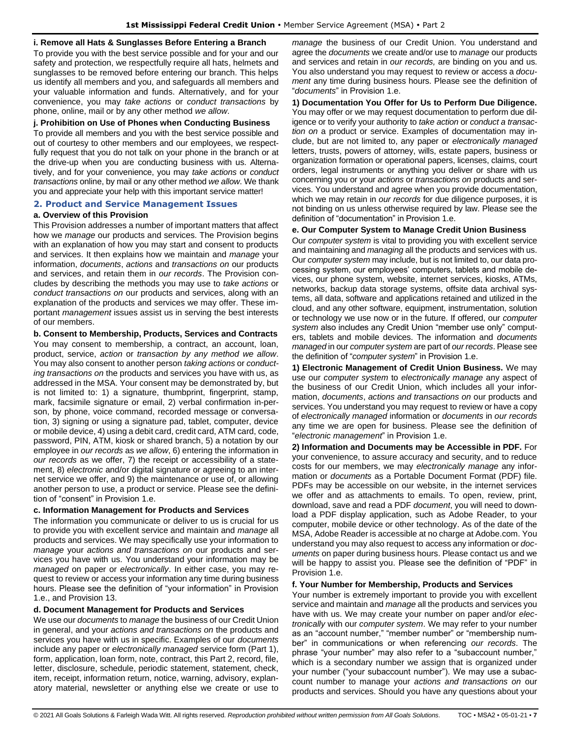#### **i. Remove all Hats & Sunglasses Before Entering a Branch**

To provide you with the best service possible and for your and our safety and protection, we respectfully require all hats, helmets and sunglasses to be removed before entering our branch. This helps us identify all members and you, and safeguards all members and your valuable information and funds. Alternatively, and for your convenience, you may *take actions* or *conduct transactions* by phone, online, mail or by any other method *we allow*.

#### **j. Prohibition on Use of Phones when Conducting Business**

To provide all members and you with the best service possible and out of courtesy to other members and our employees, we respectfully request that you do not talk on your phone in the branch or at the drive-up when you are conducting business with us. Alternatively, and for your convenience, you may *take actions* or *conduct transactions* online, by mail or any other method *we allow*. We thank you and appreciate your help with this important service matter!

#### <span id="page-6-0"></span>**2. Product and Service Management Issues**

#### **a. Overview of this Provision**

This Provision addresses a number of important matters that affect how we *manage* our products and services. The Provision begins with an explanation of how you may start and consent to products and services. It then explains how we maintain and *manage* your information, *documents*, *actions* and *transactions on* our products and services, and retain them in *our records*. The Provision concludes by describing the methods you may use to *take actions* or *conduct transactions on* our products and services, along with an explanation of the products and services we may offer. These important *management* issues assist us in serving the best interests of our members.

#### **b. Consent to Membership, Products, Services and Contracts**

You may consent to membership, a contract, an account, loan, product, service, *action* or *transaction by any method we allow*. You may also consent to another person *taking actions* or *conducting transactions on* the products and services you have with us, as addressed in the MSA. Your consent may be demonstrated by, but is not limited to: 1) a signature, thumbprint, fingerprint, stamp, mark, facsimile signature or email, 2) verbal confirmation in-person, by phone, voice command, recorded message or conversation, 3) signing or using a signature pad, tablet, computer, device or mobile device, 4) using a debit card, credit card, ATM card, code, password, PIN, ATM, kiosk or shared branch, 5) a notation by our employee in *our records* as *we allow*, 6) entering the information in *our records* as we offer, 7) the receipt or accessibility of a statement, 8) *electronic* and/or digital signature or agreeing to an internet service we offer, and 9) the maintenance or use of, or allowing another person to use, a product or service. Please see the definition of "consent" in Provision 1.e.

#### **c. Information Management for Products and Services**

The information you communicate or deliver to us is crucial for us to provide you with excellent service and maintain and *manage* all products and services. We may specifically use your information to *manage* your *actions and transactions on* our products and services you have with us. You understand your information may be *managed* on paper or *electronically*. In either case, you may request to review or access your information any time during business hours. Please see the definition of "your information" in Provision 1.e., and Provision 13.

#### **d. Document Management for Products and Services**

We use our *documents* to *manage* the business of our Credit Union in general, and your *actions and transactions on* the products and services you have with us in specific. Examples of our *documents* include any paper or *electronically managed* service form (Part 1), form, application, loan form, note, contract, this Part 2, record, file, letter, disclosure, schedule, periodic statement, statement, check, item, receipt, information return, notice, warning, advisory, explanatory material, newsletter or anything else we create or use to

*manage* the business of our Credit Union. You understand and agree the *documents* we create and/or use to *manage* our products and services and retain in *our records,* are binding on you and us. You also understand you may request to review or access a *docu*ment any time during business hours. Please see the definition of "*documents*" in Provision 1.e.

**1) Documentation You Offer for Us to Perform Due Diligence.** You may offer or we may request documentation to perform due diligence or to verify your authority to *take action* or *conduct a transaction on* a product or service. Examples of documentation may include, but are not limited to, any paper or *electronically managed* letters, trusts, powers of attorney, wills, estate papers, business or organization formation or operational papers, licenses, claims, court orders, legal instruments or anything you deliver or share with us concerning you or your *actions* or *transactions on* products and services. You understand and agree when you provide documentation, which we may retain in *our records* for due diligence purposes, it is not binding on us unless otherwise required by law. Please see the definition of "documentation" in Provision 1.e.

#### **e. Our Computer System to Manage Credit Union Business**

Our *computer system* is vital to providing you with excellent service and maintaining and *managing* all the products and services with us. Our *computer system* may include, but is not limited to, our data processing system, our employees' computers, tablets and mobile devices, our phone system, website, internet services, kiosks, ATMs, networks, backup data storage systems, offsite data archival systems, all data, software and applications retained and utilized in the cloud, and any other software, equipment, instrumentation, solution or technology we use now or in the future. If offered, our *computer system* also includes any Credit Union "member use only" computers, tablets and mobile devices. The information and *documents managed* in our *computer system* are part of *our records*. Please see the definition of "*computer system*" in Provision 1.e.

**1) Electronic Management of Credit Union Business.** We may use our *computer system* to *electronically manage* any aspect of the business of our Credit Union, which includes all your information, *documents*, *actions and transactions on* our products and services. You understand you may request to review or have a copy of *electronically managed* information or *documents* in *our records* any time we are open for business. Please see the definition of "*electronic management*" in Provision 1.e.

**2) Information and Documents may be Accessible in PDF.** For your convenience, to assure accuracy and security, and to reduce costs for our members, we may *electronically manage* any information or *documents* as a Portable Document Format (PDF) file. PDFs may be accessible on our website, in the internet services we offer and as attachments to emails. To open, review, print, download, save and read a PDF *document*, you will need to download a PDF display application, such as Adobe Reader, to your computer, mobile device or other technology. As of the date of the MSA, Adobe Reader is accessible at no charge at Adobe.com. You understand you may also request to access any information or *documents* on paper during business hours. Please contact us and we will be happy to assist you. Please see the definition of "PDF" in Provision 1.e.

#### **f. Your Number for Membership, Products and Services**

Your number is extremely important to provide you with excellent service and maintain and *manage* all the products and services you have with us. We may create your number on paper and/or *electronically* with our *computer system*. We may refer to your number as an "account number," "member number" or "membership number" in communications or when referencing *our records*. The phrase "your number" may also refer to a "subaccount number," which is a secondary number we assign that is organized under your number ("your subaccount number"). We may use a subaccount number to manage your *actions and transactions on* our products and services. Should you have any questions about your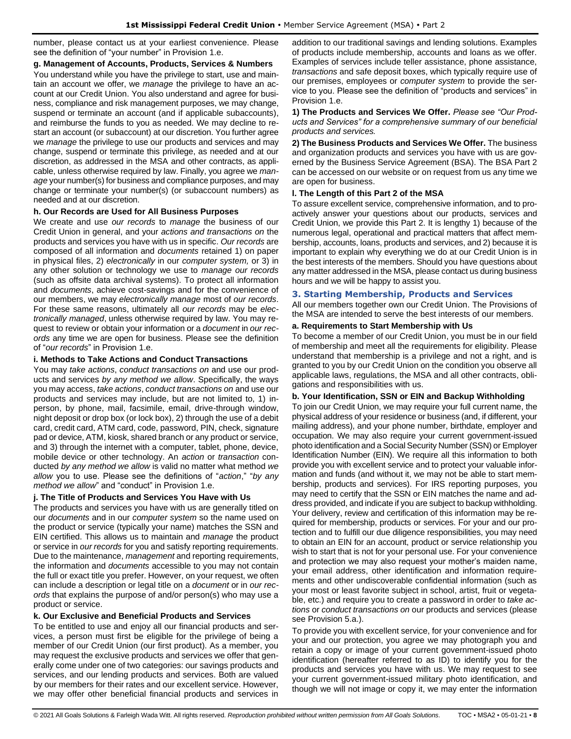number, please contact us at your earliest convenience. Please see the definition of "your number" in Provision 1.e.

#### **g. Management of Accounts, Products, Services & Numbers**

You understand while you have the privilege to start, use and maintain an account we offer, we *manage* the privilege to have an account at our Credit Union. You also understand and agree for business, compliance and risk management purposes, we may change, suspend or terminate an account (and if applicable subaccounts), and reimburse the funds to you as needed. We may decline to restart an account (or subaccount) at our discretion. You further agree we *manage* the privilege to use our products and services and may change, suspend or terminate this privilege, as needed and at our discretion, as addressed in the MSA and other contracts, as applicable, unless otherwise required by law. Finally, you agree we *manage* your number(s) for business and compliance purposes, and may change or terminate your number(s) (or subaccount numbers) as needed and at our discretion.

#### **h. Our Records are Used for All Business Purposes**

We create and use *our records* to *manage* the business of our Credit Union in general, and your *actions and transactions on* the products and services you have with us in specific. *Our records* are composed of all information and *documents* retained 1) on paper in physical files, 2) *electronically* in our *computer system,* or 3) in any other solution or technology we use to *manage our records* (such as offsite data archival systems). To protect all information and *documents*, achieve cost-savings and for the convenience of our members, we may *electronically manage* most of *our records*. For these same reasons, ultimately all *our records* may be *electronically managed*, unless otherwise required by law. You may request to review or obtain your information or a *document* in *our records* any time we are open for business. Please see the definition of "*our records*" in Provision 1.e.

### **i. Methods to Take Actions and Conduct Transactions**

You may *take actions*, *conduct transactions on* and use our products and services *by any method we allow*. Specifically, the ways you may access, *take actions*, *conduct transactions on* and use our products and services may include, but are not limited to, 1) inperson, by phone, mail, facsimile, email, drive-through window, night deposit or drop box (or lock box), 2) through the use of a debit card, credit card, ATM card, code, password, PIN, check, signature pad or device, ATM, kiosk, shared branch or any product or service, and 3) through the internet with a computer, tablet, phone, device, mobile device or other technology. An *action* or *transaction* conducted *by any method we allow* is valid no matter what method *we allow* you to use. Please see the definitions of "*action*," "*by any method we allow*" and "conduct" in Provision 1.e.

### **j. The Title of Products and Services You Have with Us**

The products and services you have with us are generally titled on our *documents* and in our *computer system* so the name used on the product or service (typically your name) matches the SSN and EIN certified. This allows us to maintain and *manage* the product or service in *our records* for you and satisfy reporting requirements. Due to the maintenance, *management* and reporting requirements, the information and *documents* accessible to you may not contain the full or exact title you prefer. However, on your request, we often can include a description or legal title on a *document* or in *our records* that explains the purpose of and/or person(s) who may use a product or service.

#### **k. Our Exclusive and Beneficial Products and Services**

To be entitled to use and enjoy all our financial products and services, a person must first be eligible for the privilege of being a member of our Credit Union (our first product). As a member, you may request the exclusive products and services we offer that generally come under one of two categories: our savings products and services, and our lending products and services. Both are valued by our members for their rates and our excellent service. However, we may offer other beneficial financial products and services in addition to our traditional savings and lending solutions. Examples of products include membership, accounts and loans as we offer. Examples of services include teller assistance, phone assistance, *transactions* and safe deposit boxes, which typically require use of our premises, employees or *computer system* to provide the service to you. Please see the definition of "products and services" in Provision 1.e.

**1) The Products and Services We Offer.** *Please see "Our Products and Services" for a comprehensive summary of our beneficial products and services.*

**2) The Business Products and Services We Offer.** The business and organization products and services you have with us are governed by the Business Service Agreement (BSA). The BSA Part 2 can be accessed on our website or on request from us any time we are open for business.

#### **l. The Length of this Part 2 of the MSA**

To assure excellent service, comprehensive information, and to proactively answer your questions about our products, services and Credit Union, we provide this Part 2. It is lengthy 1) because of the numerous legal, operational and practical matters that affect membership, accounts, loans, products and services, and 2) because it is important to explain why everything we do at our Credit Union is in the best interests of the members. Should you have questions about any matter addressed in the MSA, please contact us during business hours and we will be happy to assist you.

#### <span id="page-7-0"></span>**3. Starting Membership, Products and Services**

All our members together own our Credit Union. The Provisions of the MSA are intended to serve the best interests of our members.

#### **a. Requirements to Start Membership with Us**

To become a member of our Credit Union, you must be in our field of membership and meet all the requirements for eligibility. Please understand that membership is a privilege and not a right, and is granted to you by our Credit Union on the condition you observe all applicable laws, regulations, the MSA and all other contracts, obligations and responsibilities with us.

#### **b. Your Identification, SSN or EIN and Backup Withholding**

To join our Credit Union, we may require your full current name, the physical address of your residence or business (and, if different, your mailing address), and your phone number, birthdate, employer and occupation. We may also require your current government-issued photo identification and a Social Security Number (SSN) or Employer Identification Number (EIN). We require all this information to both provide you with excellent service and to protect your valuable information and funds (and without it, we may not be able to start membership, products and services). For IRS reporting purposes, you may need to certify that the SSN or EIN matches the name and address provided, and indicate if you are subject to backup withholding. Your delivery, review and certification of this information may be required for membership, products or services. For your and our protection and to fulfill our due diligence responsibilities, you may need to obtain an EIN for an account, product or service relationship you wish to start that is not for your personal use. For your convenience and protection we may also request your mother's maiden name, your email address, other identification and information requirements and other undiscoverable confidential information (such as your most or least favorite subject in school, artist, fruit or vegetable, etc.) and require you to create a password in order to *take actions* or *conduct transactions on* our products and services (please see Provision 5.a.).

To provide you with excellent service, for your convenience and for your and our protection, you agree we may photograph you and retain a copy or image of your current government-issued photo identification (hereafter referred to as ID) to identify you for the products and services you have with us. We may request to see your current government-issued military photo identification, and though we will not image or copy it, we may enter the information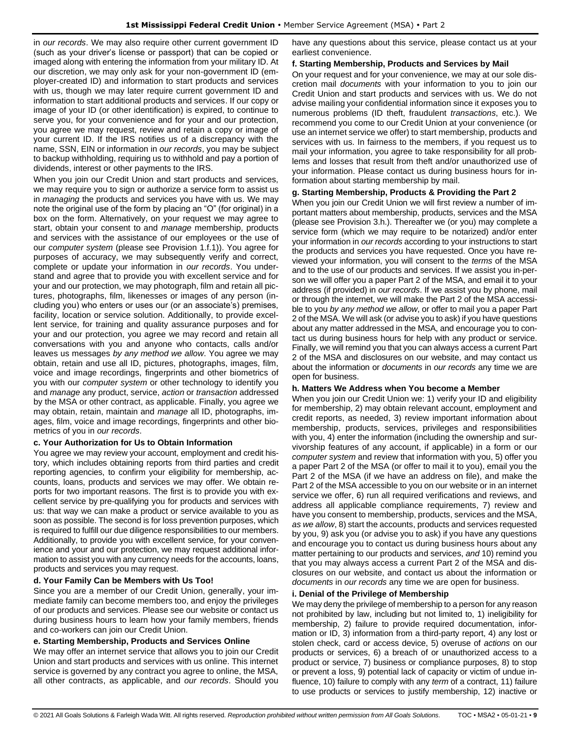in *our records*. We may also require other current government ID (such as your driver's license or passport) that can be copied or imaged along with entering the information from your military ID. At our discretion, we may only ask for your non-government ID (employer-created ID) and information to start products and services with us, though we may later require current government ID and information to start additional products and services. If our copy or image of your ID (or other identification) is expired, to continue to serve you, for your convenience and for your and our protection, you agree we may request, review and retain a copy or image of your current ID. If the IRS notifies us of a discrepancy with the name, SSN, EIN or information in *our records*, you may be subject to backup withholding, requiring us to withhold and pay a portion of dividends, interest or other payments to the IRS.

When you join our Credit Union and start products and services, we may require you to sign or authorize a service form to assist us in *managing* the products and services you have with us. We may note the original use of the form by placing an "O" (for original) in a box on the form. Alternatively, on your request we may agree to start, obtain your consent to and *manage* membership, products and services with the assistance of our employees or the use of our *computer system* (please see Provision 1.f.1)). You agree for purposes of accuracy, we may subsequently verify and correct, complete or update your information in *our records*. You understand and agree that to provide you with excellent service and for your and our protection, we may photograph, film and retain all pictures, photographs, film, likenesses or images of any person (including you) who enters or uses our (or an associate's) premises, facility, location or service solution. Additionally, to provide excellent service, for training and quality assurance purposes and for your and our protection, you agree we may record and retain all conversations with you and anyone who contacts, calls and/or leaves us messages *by any method we allow*. You agree we may obtain, retain and use all ID, pictures, photographs, images, film, voice and image recordings, fingerprints and other biometrics of you with our *computer system* or other technology to identify you and *manage* any product, service, *action* or *transaction* addressed by the MSA or other contract, as applicable. Finally, you agree we may obtain, retain, maintain and *manage* all ID, photographs, images, film, voice and image recordings, fingerprints and other biometrics of you in *our records*.

### **c. Your Authorization for Us to Obtain Information**

You agree we may review your account, employment and credit history, which includes obtaining reports from third parties and credit reporting agencies, to confirm your eligibility for membership, accounts, loans, products and services we may offer. We obtain reports for two important reasons. The first is to provide you with excellent service by pre-qualifying you for products and services with us: that way we can make a product or service available to you as soon as possible. The second is for loss prevention purposes, which is required to fulfill our due diligence responsibilities to our members. Additionally, to provide you with excellent service, for your convenience and your and our protection, we may request additional information to assist you with any currency needs for the accounts, loans, products and services you may request.

### **d. Your Family Can be Members with Us Too!**

Since you are a member of our Credit Union, generally, your immediate family can become members too, and enjoy the privileges of our products and services. Please see our website or contact us during business hours to learn how your family members, friends and co-workers can join our Credit Union.

#### **e. Starting Membership, Products and Services Online**

We may offer an internet service that allows you to join our Credit Union and start products and services with us online. This internet service is governed by any contract you agree to online, the MSA, all other contracts, as applicable, and *our records*. Should you have any questions about this service, please contact us at your earliest convenience.

#### **f. Starting Membership, Products and Services by Mail**

On your request and for your convenience, we may at our sole discretion mail *documents* with your information to you to join our Credit Union and start products and services with us. We do not advise mailing your confidential information since it exposes you to numerous problems (ID theft, fraudulent *transactions*, etc.). We recommend you come to our Credit Union at your convenience (or use an internet service we offer) to start membership, products and services with us. In fairness to the members, if you request us to mail your information, you agree to take responsibility for all problems and losses that result from theft and/or unauthorized use of your information. Please contact us during business hours for information about starting membership by mail.

#### **g. Starting Membership, Products & Providing the Part 2**

When you join our Credit Union we will first review a number of important matters about membership, products, services and the MSA (please see Provision 3.h.). Thereafter we (or you) may complete a service form (which we may require to be notarized) and/or enter your information in *our records* according to your instructions to start the products and services you have requested. Once you have reviewed your information, you will consent to the *terms* of the MSA and to the use of our products and services. If we assist you in-person we will offer you a paper Part 2 of the MSA, and email it to your address (if provided) in *our records*. If we assist you by phone, mail or through the internet, we will make the Part 2 of the MSA accessible to you *by any method we allow*, or offer to mail you a paper Part 2 of the MSA. We will ask (or advise you to ask) if you have questions about any matter addressed in the MSA, and encourage you to contact us during business hours for help with any product or service. Finally, we will remind you that you can always access a current Part 2 of the MSA and disclosures on our website, and may contact us about the information or *documents* in *our records* any time we are open for business.

#### **h. Matters We Address when You become a Member**

When you join our Credit Union we: 1) verify your ID and eligibility for membership, 2) may obtain relevant account, employment and credit reports, as needed, 3) review important information about membership, products, services, privileges and responsibilities with you, 4) enter the information (including the ownership and survivorship features of any account, if applicable) in a form or our *computer system* and review that information with you, 5) offer you a paper Part 2 of the MSA (or offer to mail it to you), email you the Part 2 of the MSA (if we have an address on file), and make the Part 2 of the MSA accessible to you on our website or in an internet service we offer, 6) run all required verifications and reviews, and address all applicable compliance requirements, 7) review and have you consent to membership, products, services and the MSA, *as we allow*, 8) start the accounts, products and services requested by you, 9) ask you (or advise you to ask) if you have any questions and encourage you to contact us during business hours about any matter pertaining to our products and services, *and* 10) remind you that you may always access a current Part 2 of the MSA and disclosures on our website, and contact us about the information or *documents* in *our records* any time we are open for business.

#### **i. Denial of the Privilege of Membership**

We may deny the privilege of membership to a person for any reason not prohibited by law, including but not limited to, 1) ineligibility for membership, 2) failure to provide required documentation, information or ID, 3) information from a third-party report, 4) any lost or stolen check, card or access device, 5) overuse of *actions* on our products or services, 6) a breach of or unauthorized access to a product or service, 7) business or compliance purposes, 8) to stop or prevent a loss, 9) potential lack of capacity or victim of undue influence, 10) failure to comply with any *term* of a contract, 11) failure to use products or services to justify membership, 12) inactive or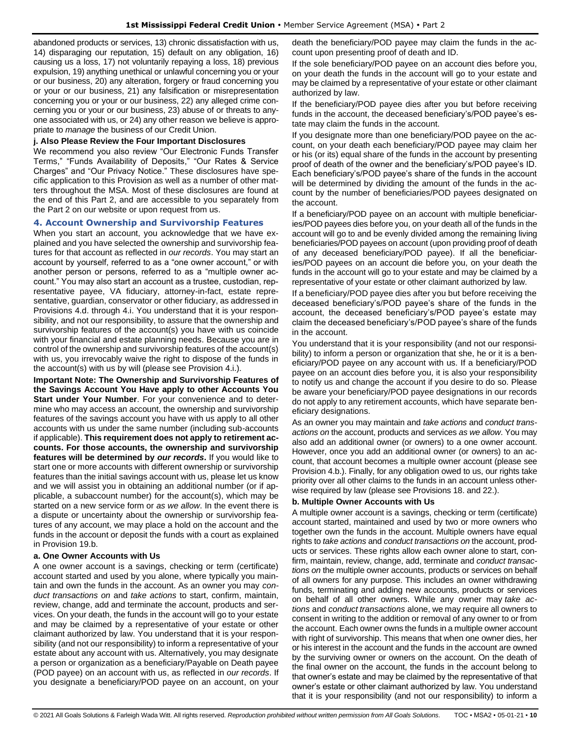abandoned products or services, 13) chronic dissatisfaction with us, 14) disparaging our reputation, 15) default on any obligation, 16) causing us a loss, 17) not voluntarily repaying a loss, 18) previous expulsion, 19) anything unethical or unlawful concerning you or your or our business, 20) any alteration, forgery or fraud concerning you or your or our business, 21) any falsification or misrepresentation concerning you or your or our business, 22) any alleged crime concerning you or your or our business, 23) abuse of or threats to anyone associated with us, or 24) any other reason we believe is appropriate to *manage* the business of our Credit Union.

#### **j. Also Please Review the Four Important Disclosures**

We recommend you also review "Our Electronic Funds Transfer Terms," "Funds Availability of Deposits," "Our Rates & Service Charges" and "Our Privacy Notice." These disclosures have specific application to this Provision as well as a number of other matters throughout the MSA. Most of these disclosures are found at the end of this Part 2, and are accessible to you separately from the Part 2 on our website or upon request from us.

#### <span id="page-9-0"></span>**4. Account Ownership and Survivorship Features**

When you start an account, you acknowledge that we have explained and you have selected the ownership and survivorship features for that account as reflected in *our records*. You may start an account by yourself, referred to as a "one owner account," or with another person or persons, referred to as a "multiple owner account." You may also start an account as a trustee, custodian, representative payee, VA fiduciary, attorney-in-fact, estate representative, guardian, conservator or other fiduciary, as addressed in Provisions 4.d. through 4.i. You understand that it is your responsibility, and not our responsibility, to assure that the ownership and survivorship features of the account(s) you have with us coincide with your financial and estate planning needs. Because you are in control of the ownership and survivorship features of the account(s) with us, you irrevocably waive the right to dispose of the funds in the account(s) with us by will (please see Provision 4.i.).

**Important Note: The Ownership and Survivorship Features of the Savings Account You Have apply to other Accounts You Start under Your Number**. For your convenience and to determine who may access an account, the ownership and survivorship features of the savings account you have with us apply to all other accounts with us under the same number (including sub-accounts if applicable). **This requirement does not apply to retirement accounts. For those accounts, the ownership and survivorship features will be determined by** *our records***.** If you would like to start one or more accounts with different ownership or survivorship features than the initial savings account with us, please let us know and we will assist you in obtaining an additional number (or if applicable, a subaccount number) for the account(s), which may be started on a new service form or *as we allow*. In the event there is a dispute or uncertainty about the ownership or survivorship features of any account, we may place a hold on the account and the funds in the account or deposit the funds with a court as explained in Provision 19.b.

#### **a. One Owner Accounts with Us**

A one owner account is a savings, checking or term (certificate) account started and used by you alone, where typically you maintain and own the funds in the account. As an owner you may *conduct transactions on* and *take actions* to start, confirm, maintain, review, change, add and terminate the account, products and services. On your death, the funds in the account will go to your estate and may be claimed by a representative of your estate or other claimant authorized by law. You understand that it is your responsibility (and not our responsibility) to inform a representative of your estate about any account with us. Alternatively, you may designate a person or organization as a beneficiary/Payable on Death payee (POD payee) on an account with us, as reflected in *our records*. If you designate a beneficiary/POD payee on an account, on your death the beneficiary/POD payee may claim the funds in the account upon presenting proof of death and ID.

If the sole beneficiary/POD payee on an account dies before you, on your death the funds in the account will go to your estate and may be claimed by a representative of your estate or other claimant authorized by law.

If the beneficiary/POD payee dies after you but before receiving funds in the account, the deceased beneficiary's/POD payee's estate may claim the funds in the account.

If you designate more than one beneficiary/POD payee on the account, on your death each beneficiary/POD payee may claim her or his (or its) equal share of the funds in the account by presenting proof of death of the owner and the beneficiary's/POD payee's ID. Each beneficiary's/POD payee's share of the funds in the account will be determined by dividing the amount of the funds in the account by the number of beneficiaries/POD payees designated on the account.

If a beneficiary/POD payee on an account with multiple beneficiaries/POD payees dies before you, on your death all of the funds in the account will go to and be evenly divided among the remaining living beneficiaries/POD payees on account (upon providing proof of death of any deceased beneficiary/POD payee). If all the beneficiaries/POD payees on an account die before you, on your death the funds in the account will go to your estate and may be claimed by a representative of your estate or other claimant authorized by law.

If a beneficiary/POD payee dies after you but before receiving the deceased beneficiary's/POD payee's share of the funds in the account, the deceased beneficiary's/POD payee's estate may claim the deceased beneficiary's/POD payee's share of the funds in the account.

You understand that it is your responsibility (and not our responsibility) to inform a person or organization that she, he or it is a beneficiary/POD payee on any account with us. If a beneficiary/POD payee on an account dies before you, it is also your responsibility to notify us and change the account if you desire to do so. Please be aware your beneficiary/POD payee designations in our records do not apply to any retirement accounts, which have separate beneficiary designations.

As an owner you may maintain and *take actions* and *conduct transactions on* the account, products and services *as we allow*. You may also add an additional owner (or owners) to a one owner account. However, once you add an additional owner (or owners) to an account, that account becomes a multiple owner account (please see Provision 4.b.). Finally, for any obligation owed to us, our rights take priority over all other claims to the funds in an account unless otherwise required by law (please see Provisions 18. and 22.).

#### **b. Multiple Owner Accounts with Us**

A multiple owner account is a savings, checking or term (certificate) account started, maintained and used by two or more owners who together own the funds in the account. Multiple owners have equal rights to *take actions* and *conduct transactions on* the account, products or services. These rights allow each owner alone to start, confirm, maintain, review, change, add, terminate and *conduct transactions on* the multiple owner accounts, products or services on behalf of all owners for any purpose. This includes an owner withdrawing funds, terminating and adding new accounts, products or services on behalf of all other owners. While any owner may *take actions* and *conduct transactions* alone, we may require all owners to consent in writing to the addition or removal of any owner to or from the account. Each owner owns the funds in a multiple owner account with right of survivorship. This means that when one owner dies, her or his interest in the account and the funds in the account are owned by the surviving owner or owners on the account. On the death of the final owner on the account, the funds in the account belong to that owner's estate and may be claimed by the representative of that owner's estate or other claimant authorized by law. You understand that it is your responsibility (and not our responsibility) to inform a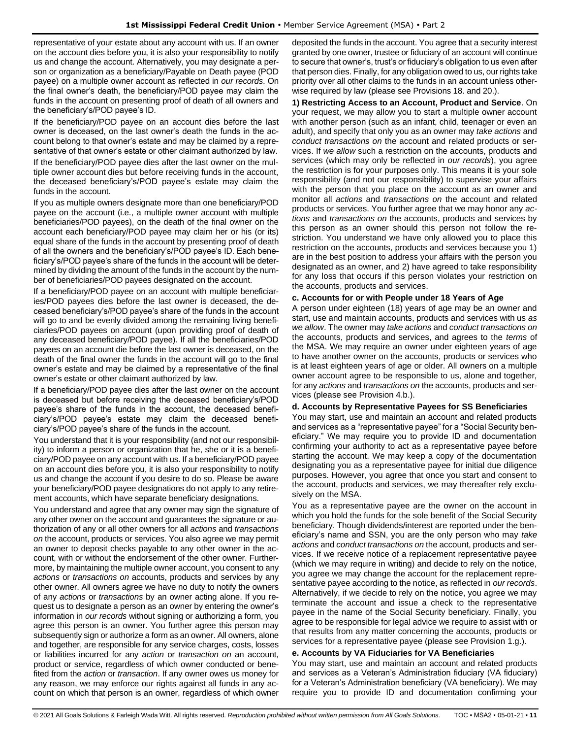representative of your estate about any account with us. If an owner on the account dies before you, it is also your responsibility to notify us and change the account. Alternatively, you may designate a person or organization as a beneficiary/Payable on Death payee (POD payee) on a multiple owner account as reflected in *our records*. On the final owner's death, the beneficiary/POD payee may claim the funds in the account on presenting proof of death of all owners and the beneficiary's/POD payee's ID.

If the beneficiary/POD payee on an account dies before the last owner is deceased, on the last owner's death the funds in the account belong to that owner's estate and may be claimed by a representative of that owner's estate or other claimant authorized by law.

If the beneficiary/POD payee dies after the last owner on the multiple owner account dies but before receiving funds in the account, the deceased beneficiary's/POD payee's estate may claim the funds in the account.

If you as multiple owners designate more than one beneficiary/POD payee on the account (i.e., a multiple owner account with multiple beneficiaries/POD payees), on the death of the final owner on the account each beneficiary/POD payee may claim her or his (or its) equal share of the funds in the account by presenting proof of death of all the owners and the beneficiary's/POD payee's ID. Each beneficiary's/POD payee's share of the funds in the account will be determined by dividing the amount of the funds in the account by the number of beneficiaries/POD payees designated on the account.

If a beneficiary/POD payee on an account with multiple beneficiaries/POD payees dies before the last owner is deceased, the deceased beneficiary's/POD payee's share of the funds in the account will go to and be evenly divided among the remaining living beneficiaries/POD payees on account (upon providing proof of death of any deceased beneficiary/POD payee). If all the beneficiaries/POD payees on an account die before the last owner is deceased, on the death of the final owner the funds in the account will go to the final owner's estate and may be claimed by a representative of the final owner's estate or other claimant authorized by law.

If a beneficiary/POD payee dies after the last owner on the account is deceased but before receiving the deceased beneficiary's/POD payee's share of the funds in the account, the deceased beneficiary's/POD payee's estate may claim the deceased beneficiary's/POD payee's share of the funds in the account.

You understand that it is your responsibility (and not our responsibility) to inform a person or organization that he, she or it is a beneficiary/POD payee on any account with us. If a beneficiary/POD payee on an account dies before you, it is also your responsibility to notify us and change the account if you desire to do so. Please be aware your beneficiary/POD payee designations do not apply to any retirement accounts, which have separate beneficiary designations.

You understand and agree that any owner may sign the signature of any other owner on the account and guarantees the signature or authorization of any or all other owners for all *actions* and *transactions on* the account, products or services. You also agree we may permit an owner to deposit checks payable to any other owner in the account, with or without the endorsement of the other owner. Furthermore, by maintaining the multiple owner account, you consent to any *actions* or *transactions on* accounts, products and services by any other owner. All owners agree we have no duty to notify the owners of any *actions* or *transactions* by an owner acting alone. If you request us to designate a person as an owner by entering the owner's information in *our records* without signing or authorizing a form, you agree this person is an owner. You further agree this person may subsequently sign or authorize a form as an owner. All owners, alone and together, are responsible for any service charges, costs, losses or liabilities incurred for any *action* or *transaction on* an account, product or service, regardless of which owner conducted or benefited from the *action* or *transaction*. If any owner owes us money for any reason, we may enforce our rights against all funds in any account on which that person is an owner, regardless of which owner

deposited the funds in the account. You agree that a security interest granted by one owner, trustee or fiduciary of an account will continue to secure that owner's, trust's or fiduciary's obligation to us even after that person dies. Finally, for any obligation owed to us, our rights take priority over all other claims to the funds in an account unless otherwise required by law (please see Provisions 18. and 20.).

**1) Restricting Access to an Account, Product and Service**. On your request, we may allow you to start a multiple owner account with another person (such as an infant, child, teenager or even an adult), and specify that only you as an owner may *take actions* and *conduct transactions on* the account and related products or services. If *we allow* such a restriction on the accounts, products and services (which may only be reflected in *our records*), you agree the restriction is for your purposes only. This means it is your sole responsibility (and not our responsibility) to supervise your affairs with the person that you place on the account as an owner and monitor all *actions* and *transactions on* the account and related products or services. You further agree that we may honor any *actions* and *transactions on* the accounts, products and services by this person as an owner should this person not follow the restriction. You understand we have only allowed you to place this restriction on the accounts, products and services because you 1) are in the best position to address your affairs with the person you designated as an owner, and 2) have agreed to take responsibility for any loss that occurs if this person violates your restriction on the accounts, products and services.

#### **c. Accounts for or with People under 18 Years of Age**

A person under eighteen (18) years of age may be an owner and start, use and maintain accounts, products and services with us *as we allow*. The owner may *take actions* and *conduct transactions on*  the accounts, products and services, and agrees to the *terms* of the MSA. We may require an owner under eighteen years of age to have another owner on the accounts, products or services who is at least eighteen years of age or older. All owners on a multiple owner account agree to be responsible to us, alone and together, for any *actions* and *transactions on* the accounts, products and services (please see Provision 4.b.).

#### **d. Accounts by Representative Payees for SS Beneficiaries**

You may start, use and maintain an account and related products and services as a "representative payee" for a "Social Security beneficiary." We may require you to provide ID and documentation confirming your authority to act as a representative payee before starting the account. We may keep a copy of the documentation designating you as a representative payee for initial due diligence purposes. However, you agree that once you start and consent to the account, products and services, we may thereafter rely exclusively on the MSA.

You as a representative payee are the owner on the account in which you hold the funds for the sole benefit of the Social Security beneficiary. Though dividends/interest are reported under the beneficiary's name and SSN, you are the only person who may *take actions* and *conduct transactions on* the account, products and services. If we receive notice of a replacement representative payee (which we may require in writing) and decide to rely on the notice, you agree we may change the account for the replacement representative payee according to the notice, as reflected in *our records*. Alternatively, if we decide to rely on the notice, you agree we may terminate the account and issue a check to the representative payee in the name of the Social Security beneficiary. Finally, you agree to be responsible for legal advice we require to assist with or that results from any matter concerning the accounts, products or services for a representative payee (please see Provision 1.g.).

#### **e. Accounts by VA Fiduciaries for VA Beneficiaries**

You may start, use and maintain an account and related products and services as a Veteran's Administration fiduciary (VA fiduciary) for a Veteran's Administration beneficiary (VA beneficiary). We may require you to provide ID and documentation confirming your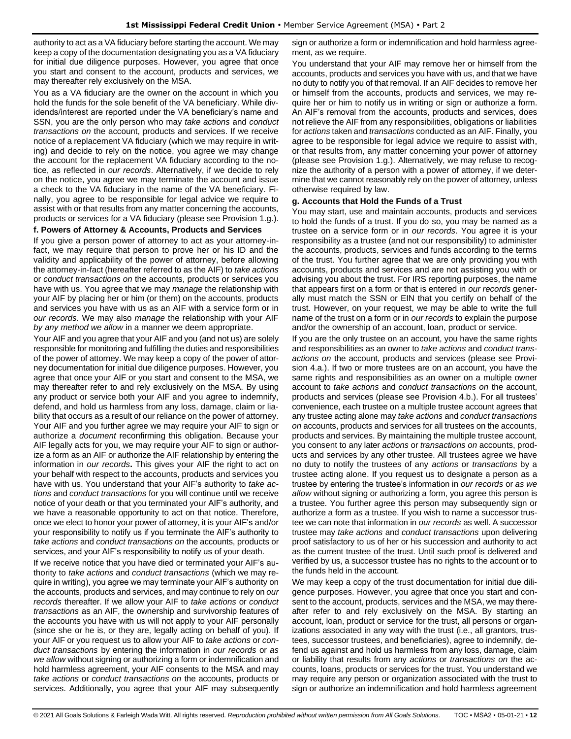authority to act as a VA fiduciary before starting the account. We may keep a copy of the documentation designating you as a VA fiduciary for initial due diligence purposes. However, you agree that once you start and consent to the account, products and services, we may thereafter rely exclusively on the MSA.

You as a VA fiduciary are the owner on the account in which you hold the funds for the sole benefit of the VA beneficiary. While dividends/interest are reported under the VA beneficiary's name and SSN, you are the only person who may *take actions* and *conduct transactions on* the account, products and services. If we receive notice of a replacement VA fiduciary (which we may require in writing) and decide to rely on the notice, you agree we may change the account for the replacement VA fiduciary according to the notice, as reflected in *our records*. Alternatively, if we decide to rely on the notice, you agree we may terminate the account and issue a check to the VA fiduciary in the name of the VA beneficiary. Finally, you agree to be responsible for legal advice we require to assist with or that results from any matter concerning the accounts, products or services for a VA fiduciary (please see Provision 1.g.).

#### **f. Powers of Attorney & Accounts, Products and Services**

If you give a person power of attorney to act as your attorney-infact, we may require that person to prove her or his ID and the validity and applicability of the power of attorney, before allowing the attorney-in-fact (hereafter referred to as the AIF) to *take actions* or *conduct transactions on* the accounts, products or services you have with us. You agree that we may *manage* the relationship with your AIF by placing her or him (or them) on the accounts, products and services you have with us as an AIF with a service form or in *our records.* We may also *manage* the relationship with your AIF *by any method we allow* in a manner we deem appropriate.

Your AIF and you agree that your AIF and you (and not us) are solely responsible for monitoring and fulfilling the duties and responsibilities of the power of attorney. We may keep a copy of the power of attorney documentation for initial due diligence purposes. However, you agree that once your AIF or you start and consent to the MSA, we may thereafter refer to and rely exclusively on the MSA. By using any product or service both your AIF and you agree to indemnify, defend, and hold us harmless from any loss, damage, claim or liability that occurs as a result of our reliance on the power of attorney. Your AIF and you further agree we may require your AIF to sign or authorize a *document* reconfirming this obligation. Because your AIF legally acts for you, we may require your AIF to sign or authorize a form as an AIF or authorize the AIF relationship by entering the information in *our records***.** This gives your AIF the right to act on your behalf with respect to the accounts, products and services you have with us. You understand that your AIF's authority to *take actions* and *conduct transactions* for you will continue until we receive notice of your death or that you terminated your AIF's authority, and we have a reasonable opportunity to act on that notice. Therefore, once we elect to honor your power of attorney, it is your AIF's and/or your responsibility to notify us if you terminate the AIF's authority to *take actions* and *conduct transactions on* the accounts, products or services, and your AIF's responsibility to notify us of your death.

If we receive notice that you have died or terminated your AIF's authority to *take actions* and *conduct transactions* (which we may require in writing), you agree we may terminate your AIF's authority on the accounts, products and services, and may continue to rely on *our records* thereafter. If we allow your AIF to *take actions* or *conduct transactions* as an AIF, the ownership and survivorship features of the accounts you have with us will not apply to your AIF personally (since she or he is, or they are, legally acting on behalf of you). If your AIF or you request us to allow your AIF to *take actions* or *conduct transactions* by entering the information in *our records* or *as we allow* without signing or authorizing a form or indemnification and hold harmless agreement, your AIF consents to the MSA and may *take actions* or *conduct transactions on* the accounts, products or services. Additionally, you agree that your AIF may subsequently

sign or authorize a form or indemnification and hold harmless agreement, as we require.

You understand that your AIF may remove her or himself from the accounts, products and services you have with us, and that we have no duty to notify you of that removal. If an AIF decides to remove her or himself from the accounts, products and services, we may require her or him to notify us in writing or sign or authorize a form. An AIF's removal from the accounts, products and services, does not relieve the AIF from any responsibilities, obligations or liabilities for *actions* taken and *transactions* conducted as an AIF. Finally, you agree to be responsible for legal advice we require to assist with, or that results from, any matter concerning your power of attorney (please see Provision 1.g.). Alternatively, we may refuse to recognize the authority of a person with a power of attorney, if we determine that we cannot reasonably rely on the power of attorney, unless otherwise required by law.

#### **g. Accounts that Hold the Funds of a Trust**

You may start, use and maintain accounts, products and services to hold the funds of a trust. If you do so, you may be named as a trustee on a service form or in *our records*. You agree it is your responsibility as a trustee (and not our responsibility) to administer the accounts, products, services and funds according to the terms of the trust. You further agree that we are only providing you with accounts, products and services and are not assisting you with or advising you about the trust. For IRS reporting purposes, the name that appears first on a form or that is entered in *our records* generally must match the SSN or EIN that you certify on behalf of the trust. However, on your request, we may be able to write the full name of the trust on a form or in *our records* to explain the purpose and/or the ownership of an account, loan, product or service.

If you are the only trustee on an account, you have the same rights and responsibilities as an owner to *take actions* and *conduct transactions on* the account, products and services (please see Provision 4.a.). If two or more trustees are on an account, you have the same rights and responsibilities as an owner on a multiple owner account to *take actions* and *conduct transactions on* the account, products and services (please see Provision 4.b.). For all trustees' convenience, each trustee on a multiple trustee account agrees that any trustee acting alone may *take actions* and *conduct transactions on* accounts, products and services for all trustees on the accounts, products and services. By maintaining the multiple trustee account, you consent to any later *actions* or *transactions on* accounts, products and services by any other trustee. All trustees agree we have no duty to notify the trustees of any *actions* or *transactions* by a trustee acting alone. If you request us to designate a person as a trustee by entering the trustee's information in *our records* or *as we allow* without signing or authorizing a form, you agree this person is a trustee. You further agree this person may subsequently sign or authorize a form as a trustee. If you wish to name a successor trustee we can note that information in *our records* as well. A successor trustee may *take actions* and *conduct transactions* upon delivering proof satisfactory to us of her or his succession and authority to act as the current trustee of the trust. Until such proof is delivered and verified by us, a successor trustee has no rights to the account or to the funds held in the account.

We may keep a copy of the trust documentation for initial due diligence purposes. However, you agree that once you start and consent to the account, products, services and the MSA, we may thereafter refer to and rely exclusively on the MSA. By starting an account, loan, product or service for the trust, all persons or organizations associated in any way with the trust (i.e., all grantors, trustees, successor trustees, and beneficiaries), agree to indemnify, defend us against and hold us harmless from any loss, damage, claim or liability that results from any *actions* or *transactions on* the accounts, loans, products or services for the trust. You understand we may require any person or organization associated with the trust to sign or authorize an indemnification and hold harmless agreement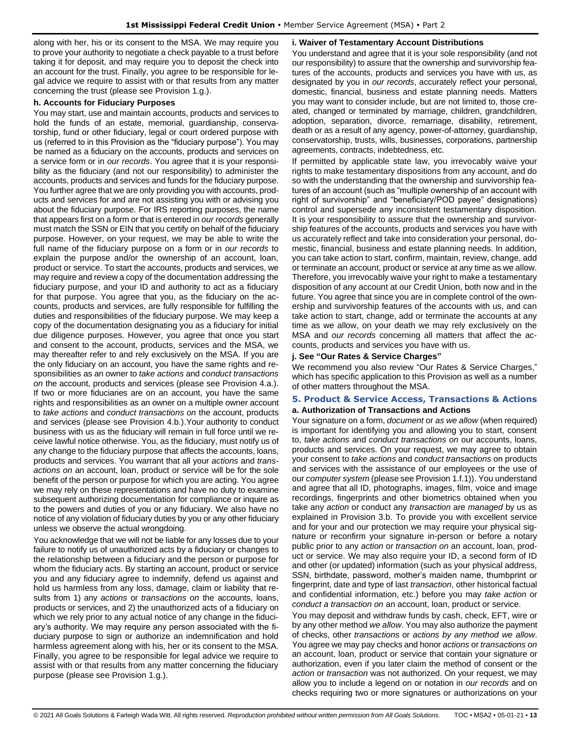along with her, his or its consent to the MSA. We may require you to prove your authority to negotiate a check payable to a trust before taking it for deposit, and may require you to deposit the check into an account for the trust. Finally, you agree to be responsible for legal advice we require to assist with or that results from any matter concerning the trust (please see Provision 1.g.).

#### **h. Accounts for Fiduciary Purposes**

You may start, use and maintain accounts, products and services to hold the funds of an estate, memorial, guardianship, conservatorship, fund or other fiduciary, legal or court ordered purpose with us (referred to in this Provision as the "fiduciary purpose"). You may be named as a fiduciary on the accounts, products and services on a service form or in *our records*. You agree that it is your responsibility as the fiduciary (and not our responsibility) to administer the accounts, products and services and funds for the fiduciary purpose. You further agree that we are only providing you with accounts, products and services for and are not assisting you with or advising you about the fiduciary purpose. For IRS reporting purposes, the name that appears first on a form or that is entered in *our records* generally must match the SSN or EIN that you certify on behalf of the fiduciary purpose. However, on your request, we may be able to write the full name of the fiduciary purpose on a form or in *our records* to explain the purpose and/or the ownership of an account, loan, product or service. To start the accounts, products and services, we may require and review a copy of the documentation addressing the fiduciary purpose, and your ID and authority to act as a fiduciary for that purpose. You agree that you, as the fiduciary on the accounts, products and services, are fully responsible for fulfilling the duties and responsibilities of the fiduciary purpose. We may keep a copy of the documentation designating you as a fiduciary for initial due diligence purposes. However, you agree that once you start and consent to the account, products, services and the MSA, we may thereafter refer to and rely exclusively on the MSA. If you are the only fiduciary on an account, you have the same rights and responsibilities as an owner to *take actions* and *conduct transactions on* the account, products and services (please see Provision 4.a.). If two or more fiduciaries are on an account, you have the same rights and responsibilities as an owner on a multiple owner account to *take actions* and *conduct transactions on* the account, products and services (please see Provision 4.b.).Your authority to conduct business with us as the fiduciary will remain in full force until we receive lawful notice otherwise. You, as the fiduciary, must notify us of any change to the fiduciary purpose that affects the accounts, loans, products and services. You warrant that all your *actions* and *transactions on* an account, loan, product or service will be for the sole benefit of the person or purpose for which you are acting. You agree we may rely on these representations and have no duty to examine subsequent authorizing documentation for compliance or inquire as to the powers and duties of you or any fiduciary. We also have no notice of any violation of fiduciary duties by you or any other fiduciary unless we observe the actual wrongdoing.

You acknowledge that we will not be liable for any losses due to your failure to notify us of unauthorized acts by a fiduciary or changes to the relationship between a fiduciary and the person or purpose for whom the fiduciary acts. By starting an account, product or service you and any fiduciary agree to indemnify, defend us against and hold us harmless from any loss, damage, claim or liability that results from 1) any *actions* or *transactions on* the accounts, loans, products or services, and 2) the unauthorized acts of a fiduciary on which we rely prior to any actual notice of any change in the fiduciary's authority. We may require any person associated with the fiduciary purpose to sign or authorize an indemnification and hold harmless agreement along with his, her or its consent to the MSA. Finally, you agree to be responsible for legal advice we require to assist with or that results from any matter concerning the fiduciary purpose (please see Provision 1.g.).

#### **i. Waiver of Testamentary Account Distributions**

You understand and agree that it is your sole responsibility (and not our responsibility) to assure that the ownership and survivorship features of the accounts, products and services you have with us, as designated by you in *our records*, accurately reflect your personal, domestic, financial, business and estate planning needs. Matters you may want to consider include, but are not limited to, those created, changed or terminated by marriage, children, grandchildren, adoption, separation, divorce, remarriage, disability, retirement, death or as a result of any agency, power-of-attorney, guardianship, conservatorship, trusts, wills, businesses, corporations, partnership agreements, contracts, indebtedness, etc.

If permitted by applicable state law, you irrevocably waive your rights to make testamentary dispositions from any account, and do so with the understanding that the ownership and survivorship features of an account (such as "multiple ownership of an account with right of survivorship" and "beneficiary/POD payee" designations) control and supersede any inconsistent testamentary disposition. It is your responsibility to assure that the ownership and survivorship features of the accounts, products and services you have with us accurately reflect and take into consideration your personal, domestic, financial, business and estate planning needs. In addition, you can take action to start, confirm, maintain, review, change, add or terminate an account, product or service at any time as we allow. Therefore, you irrevocably waive your right to make a testamentary disposition of any account at our Credit Union, both now and in the future. You agree that since you are in complete control of the ownership and survivorship features of the accounts with us, and can take action to start, change, add or terminate the accounts at any time as we allow, on your death we may rely exclusively on the MSA and *our records* concerning all matters that affect the accounts, products and services you have with us.

### **j. See "Our Rates & Service Charges"**

We recommend you also review "Our Rates & Service Charges," which has specific application to this Provision as well as a number of other matters throughout the MSA.

# <span id="page-12-0"></span>**5. Product & Service Access, Transactions & Actions**

# **a. Authorization of Transactions and Actions**

Your signature on a form, *document* or *as we allow* (when required) is important for identifying you and allowing you to start, consent to, *take actions* and *conduct transactions on* our accounts, loans, products and services. On your request, we may agree to obtain your consent to *take actions* and *conduct transactions* on products and services with the assistance of our employees or the use of our *computer system* (please see Provision 1.f.1)). You understand and agree that all ID, photographs, images, film, voice and image recordings, fingerprints and other biometrics obtained when you take any *action* or conduct any *transaction* are *managed* by us as explained in Provision 3.b. To provide you with excellent service and for your and our protection we may require your physical signature or reconfirm your signature in-person or before a notary public prior to any *action* or *transaction on* an account, loan, product or service. We may also require your ID, a second form of ID and other (or updated) information (such as your physical address, SSN, birthdate, password, mother's maiden name, thumbprint or fingerprint, date and type of last *transaction*, other historical factual and confidential information, etc.) before you may *take action* or *conduct a transaction on* an account, loan, product or service.

You may deposit and withdraw funds by cash, check, EFT, wire or by any other method *we allow*. You may also authorize the payment of checks, other *transactions* or *actions by any method we allow*. You agree we may pay checks and honor *actions* or *transactions on*  an account, loan, product or service that contain your signature or authorization, even if you later claim the method of consent or the *action* or *transaction* was not authorized. On your request, we may allow you to include a legend on or notation in *our records* and on checks requiring two or more signatures or authorizations on your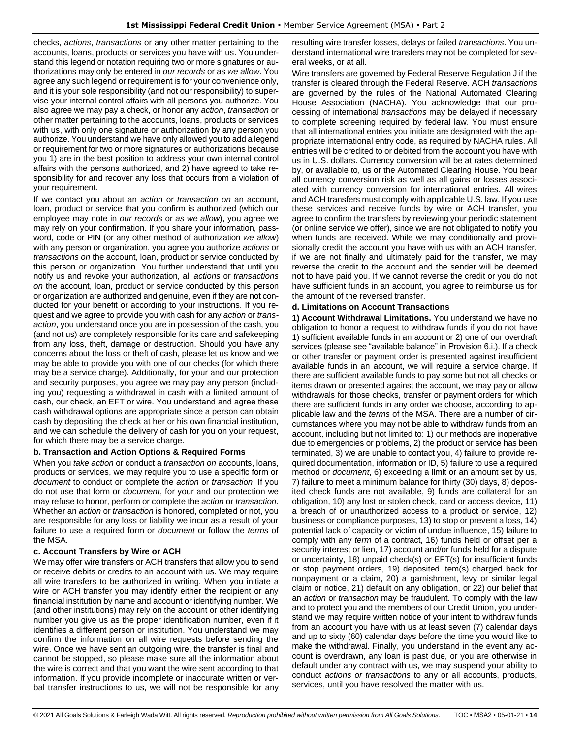checks, *actions*, *transactions* or any other matter pertaining to the accounts, loans, products or services you have with us. You understand this legend or notation requiring two or more signatures or authorizations may only be entered in *our records* or as *we allow*. You agree any such legend or requirement is for your convenience only, and it is your sole responsibility (and not our responsibility) to supervise your internal control affairs with all persons you authorize. You also agree we may pay a check, or honor any *action*, *transaction* or other matter pertaining to the accounts, loans, products or services with us, with only one signature or authorization by any person you authorize. You understand we have only allowed you to add a legend or requirement for two or more signatures or authorizations because you 1) are in the best position to address your own internal control affairs with the persons authorized, and 2) have agreed to take responsibility for and recover any loss that occurs from a violation of your requirement.

If we contact you about an *action* or *transaction on* an account, loan, product or service that you confirm is authorized (which our employee may note in *our records* or *as we allow*), you agree we may rely on your confirmation. If you share your information, password, code or PIN (or any other method of authorization *we allow*) with any person or organization, you agree you authorize *actions* or *transactions on* the account, loan, product or service conducted by this person or organization. You further understand that until you notify us and revoke your authorization, all *actions* or *transactions on* the account, loan, product or service conducted by this person or organization are authorized and genuine, even if they are not conducted for your benefit or according to your instructions. If you request and we agree to provide you with cash for any *action* or *transaction*, you understand once you are in possession of the cash, you (and not us) are completely responsible for its care and safekeeping from any loss, theft, damage or destruction. Should you have any concerns about the loss or theft of cash, please let us know and we may be able to provide you with one of our checks (for which there may be a service charge). Additionally, for your and our protection and security purposes, you agree we may pay any person (including you) requesting a withdrawal in cash with a limited amount of cash, our check, an EFT or wire. You understand and agree these cash withdrawal options are appropriate since a person can obtain cash by depositing the check at her or his own financial institution, and we can schedule the delivery of cash for you on your request, for which there may be a service charge.

### **b. Transaction and Action Options & Required Forms**

When you *take action* or conduct a *transaction on* accounts, loans, products or services, we may require you to use a specific form or *document* to conduct or complete the *action* or *transaction*. If you do not use that form or *document*, for your and our protection we may refuse to honor, perform or complete the *action* or *transaction*. Whether an *action* or *transaction* is honored, completed or not, you are responsible for any loss or liability we incur as a result of your failure to use a required form or *document* or follow the *terms* of the MSA.

#### **c. Account Transfers by Wire or ACH**

We may offer wire transfers or ACH transfers that allow you to send or receive debits or credits to an account with us. We may require all wire transfers to be authorized in writing. When you initiate a wire or ACH transfer you may identify either the recipient or any financial institution by name and account or identifying number. We (and other institutions) may rely on the account or other identifying number you give us as the proper identification number, even if it identifies a different person or institution. You understand we may confirm the information on all wire requests before sending the wire. Once we have sent an outgoing wire, the transfer is final and cannot be stopped, so please make sure all the information about the wire is correct and that you want the wire sent according to that information. If you provide incomplete or inaccurate written or verbal transfer instructions to us, we will not be responsible for any resulting wire transfer losses, delays or failed *transactions*. You understand international wire transfers may not be completed for several weeks, or at all.

Wire transfers are governed by Federal Reserve Regulation J if the transfer is cleared through the Federal Reserve. ACH *transactions* are governed by the rules of the National Automated Clearing House Association (NACHA). You acknowledge that our processing of international *transactions* may be delayed if necessary to complete screening required by federal law. You must ensure that all international entries you initiate are designated with the appropriate international entry code, as required by NACHA rules. All entries will be credited to or debited from the account you have with us in U.S. dollars. Currency conversion will be at rates determined by, or available to, us or the Automated Clearing House. You bear all currency conversion risk as well as all gains or losses associated with currency conversion for international entries. All wires and ACH transfers must comply with applicable U.S. law. If you use these services and receive funds by wire or ACH transfer, you agree to confirm the transfers by reviewing your periodic statement (or online service we offer), since we are not obligated to notify you when funds are received. While we may conditionally and provisionally credit the account you have with us with an ACH transfer, if we are not finally and ultimately paid for the transfer, we may reverse the credit to the account and the sender will be deemed not to have paid you. If we cannot reverse the credit or you do not have sufficient funds in an account, you agree to reimburse us for the amount of the reversed transfer.

#### **d. Limitations on Account Transactions**

**1) Account Withdrawal Limitations.** You understand we have no obligation to honor a request to withdraw funds if you do not have 1) sufficient available funds in an account or 2) one of our overdraft services (please see "available balance" in Provision 6.i.). If a check or other transfer or payment order is presented against insufficient available funds in an account, we will require a service charge. If there are sufficient available funds to pay some but not all checks or items drawn or presented against the account, we may pay or allow withdrawals for those checks, transfer or payment orders for which there are sufficient funds in any order we choose, according to applicable law and the *terms* of the MSA. There are a number of circumstances where you may not be able to withdraw funds from an account, including but not limited to: 1) our methods are inoperative due to emergencies or problems, 2) the product or service has been terminated, 3) we are unable to contact you, 4) failure to provide required documentation, information or ID, 5) failure to use a required method or *document*, 6) exceeding a limit or an amount set by us, 7) failure to meet a minimum balance for thirty (30) days, 8) deposited check funds are not available, 9) funds are collateral for an obligation, 10) any lost or stolen check, card or access device, 11) a breach of or unauthorized access to a product or service, 12) business or compliance purposes, 13) to stop or prevent a loss, 14) potential lack of capacity or victim of undue influence, 15) failure to comply with any *term* of a contract, 16) funds held or offset per a security interest or lien, 17) account and/or funds held for a dispute or uncertainty, 18) unpaid check(s) or EFT(s) for insufficient funds or stop payment orders, 19) deposited item(s) charged back for nonpayment or a claim, 20) a garnishment, levy or similar legal claim or notice, 21) default on any obligation, or 22) our belief that an *action* or *transaction* may be fraudulent. To comply with the law and to protect you and the members of our Credit Union, you understand we may require written notice of your intent to withdraw funds from an account you have with us at least seven (7) calendar days and up to sixty (60) calendar days before the time you would like to make the withdrawal. Finally, you understand in the event any account is overdrawn, any loan is past due, or you are otherwise in default under any contract with us, we may suspend your ability to conduct *actions or transactions* to any or all accounts, products, services, until you have resolved the matter with us.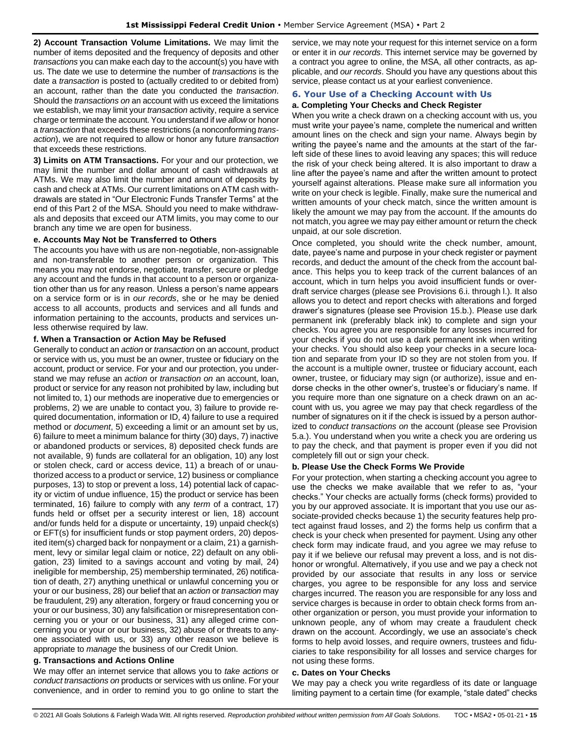**2) Account Transaction Volume Limitations.** We may limit the number of items deposited and the frequency of deposits and other *transactions* you can make each day to the account(s) you have with us. The date we use to determine the number of *transactions* is the date a *transaction* is posted to (actually credited to or debited from) an account, rather than the date you conducted the *transaction*. Should the *transactions on* an account with us exceed the limitations we establish, we may limit your *transaction* activity, require a service charge or terminate the account. You understand if *we allow* or honor a *transaction* that exceeds these restrictions (a nonconforming *transaction*), we are not required to allow or honor any future *transaction* that exceeds these restrictions.

**3) Limits on ATM Transactions.** For your and our protection, we may limit the number and dollar amount of cash withdrawals at ATMs. We may also limit the number and amount of deposits by cash and check at ATMs. Our current limitations on ATM cash withdrawals are stated in "Our Electronic Funds Transfer Terms" at the end of this Part 2 of the MSA. Should you need to make withdrawals and deposits that exceed our ATM limits, you may come to our branch any time we are open for business.

#### **e. Accounts May Not be Transferred to Others**

The accounts you have with us are non-negotiable, non-assignable and non-transferable to another person or organization. This means you may not endorse, negotiate, transfer, secure or pledge any account and the funds in that account to a person or organization other than us for any reason. Unless a person's name appears on a service form or is in *our records*, she or he may be denied access to all accounts, products and services and all funds and information pertaining to the accounts, products and services unless otherwise required by law.

#### **f. When a Transaction or Action May be Refused**

Generally to conduct an *action* or *transaction* on an account, product or service with us, you must be an owner, trustee or fiduciary on the account, product or service. For your and our protection, you understand we may refuse an *action* or *transaction on* an account, loan, product or service for any reason not prohibited by law, including but not limited to, 1) our methods are inoperative due to emergencies or problems, 2) we are unable to contact you, 3) failure to provide required documentation, information or ID, 4) failure to use a required method or *document*, 5) exceeding a limit or an amount set by us, 6) failure to meet a minimum balance for thirty (30) days, 7) inactive or abandoned products or services, 8) deposited check funds are not available, 9) funds are collateral for an obligation, 10) any lost or stolen check, card or access device, 11) a breach of or unauthorized access to a product or service, 12) business or compliance purposes, 13) to stop or prevent a loss, 14) potential lack of capacity or victim of undue influence, 15) the product or service has been terminated, 16) failure to comply with any *term* of a contract, 17) funds held or offset per a security interest or lien, 18) account and/or funds held for a dispute or uncertainty, 19) unpaid check(s) or EFT(s) for insufficient funds or stop payment orders, 20) deposited item(s) charged back for nonpayment or a claim, 21) a garnishment, levy or similar legal claim or notice, 22) default on any obligation, 23) limited to a savings account and voting by mail, 24) ineligible for membership, 25) membership terminated, 26) notification of death, 27) anything unethical or unlawful concerning you or your or our business, 28) our belief that an *action* or *transaction* may be fraudulent, 29) any alteration, forgery or fraud concerning you or your or our business, 30) any falsification or misrepresentation concerning you or your or our business, 31) any alleged crime concerning you or your or our business, 32) abuse of or threats to anyone associated with us, or 33) any other reason we believe is appropriate to *manage* the business of our Credit Union.

# **g. Transactions and Actions Online**

We may offer an internet service that allows you to *take actions* or *conduct transactions on* products or services with us online. For your convenience, and in order to remind you to go online to start the service, we may note your request for this internet service on a form or enter it in *our records*. This internet service may be governed by a contract you agree to online, the MSA, all other contracts, as applicable, and *our records*. Should you have any questions about this service, please contact us at your earliest convenience.

# <span id="page-14-0"></span>**6. Your Use of a Checking Account with Us**

# **a. Completing Your Checks and Check Register**

When you write a check drawn on a checking account with us, you must write your payee's name, complete the numerical and written amount lines on the check and sign your name. Always begin by writing the payee's name and the amounts at the start of the farleft side of these lines to avoid leaving any spaces; this will reduce the risk of your check being altered. It is also important to draw a line after the payee's name and after the written amount to protect yourself against alterations. Please make sure all information you write on your check is legible. Finally, make sure the numerical and written amounts of your check match, since the written amount is likely the amount we may pay from the account. If the amounts do not match, you agree we may pay either amount or return the check unpaid, at our sole discretion.

Once completed, you should write the check number, amount, date, payee's name and purpose in your check register or payment records, and deduct the amount of the check from the account balance. This helps you to keep track of the current balances of an account, which in turn helps you avoid insufficient funds or overdraft service charges (please see Provisions 6.i. through l.). It also allows you to detect and report checks with alterations and forged drawer's signatures (please see Provision 15.b.). Please use dark permanent ink (preferably black ink) to complete and sign your checks. You agree you are responsible for any losses incurred for your checks if you do not use a dark permanent ink when writing your checks. You should also keep your checks in a secure location and separate from your ID so they are not stolen from you. If the account is a multiple owner, trustee or fiduciary account, each owner, trustee, or fiduciary may sign (or authorize), issue and endorse checks in the other owner's, trustee's or fiduciary's name. If you require more than one signature on a check drawn on an account with us, you agree we may pay that check regardless of the number of signatures on it if the check is issued by a person authorized to *conduct transactions on* the account (please see Provision 5.a.). You understand when you write a check you are ordering us to pay the check, and that payment is proper even if you did not completely fill out or sign your check.

#### **b. Please Use the Check Forms We Provide**

For your protection, when starting a checking account you agree to use the checks we make available that we refer to as, "your checks." Your checks are actually forms (check forms) provided to you by our approved associate. It is important that you use our associate-provided checks because 1) the security features help protect against fraud losses, and 2) the forms help us confirm that a check is your check when presented for payment. Using any other check form may indicate fraud, and you agree we may refuse to pay it if we believe our refusal may prevent a loss, and is not dishonor or wrongful. Alternatively, if you use and we pay a check not provided by our associate that results in any loss or service charges, you agree to be responsible for any loss and service charges incurred. The reason you are responsible for any loss and service charges is because in order to obtain check forms from another organization or person, you must provide your information to unknown people, any of whom may create a fraudulent check drawn on the account. Accordingly, we use an associate's check forms to help avoid losses, and require owners, trustees and fiduciaries to take responsibility for all losses and service charges for not using these forms.

#### **c. Dates on Your Checks**

We may pay a check you write regardless of its date or language limiting payment to a certain time (for example, "stale dated" checks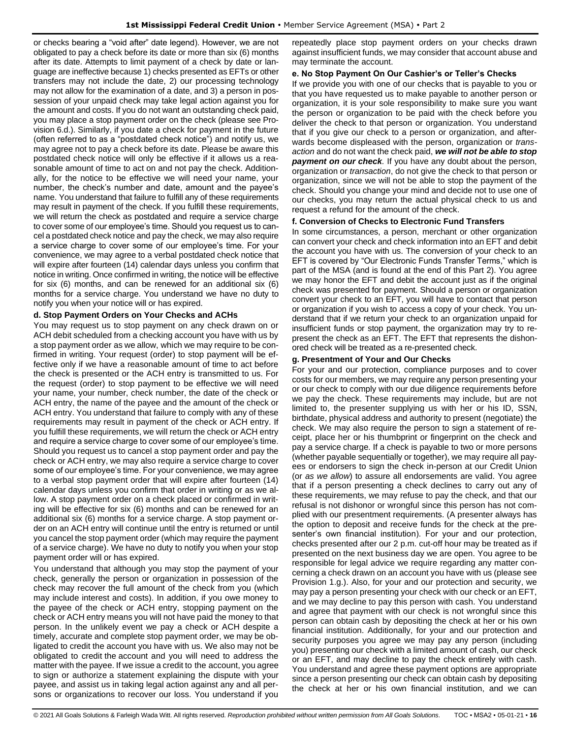or checks bearing a "void after" date legend). However, we are not obligated to pay a check before its date or more than six (6) months after its date. Attempts to limit payment of a check by date or language are ineffective because 1) checks presented as EFTs or other transfers may not include the date, 2) our processing technology may not allow for the examination of a date, and 3) a person in possession of your unpaid check may take legal action against you for the amount and costs. If you do not want an outstanding check paid, you may place a stop payment order on the check (please see Provision 6.d.). Similarly, if you date a check for payment in the future (often referred to as a "postdated check notice") and notify us, we may agree not to pay a check before its date. Please be aware this postdated check notice will only be effective if it allows us a reasonable amount of time to act on and not pay the check. Additionally, for the notice to be effective we will need your name, your number, the check's number and date, amount and the payee's name. You understand that failure to fulfill any of these requirements may result in payment of the check. If you fulfill these requirements, we will return the check as postdated and require a service charge to cover some of our employee's time. Should you request us to cancel a postdated check notice and pay the check, we may also require a service charge to cover some of our employee's time. For your convenience, we may agree to a verbal postdated check notice that will expire after fourteen (14) calendar days unless you confirm that notice in writing. Once confirmed in writing, the notice will be effective for six (6) months, and can be renewed for an additional six (6) months for a service charge. You understand we have no duty to notify you when your notice will or has expired.

#### **d. Stop Payment Orders on Your Checks and ACHs**

You may request us to stop payment on any check drawn on or ACH debit scheduled from a checking account you have with us by a stop payment order as we allow, which we may require to be confirmed in writing. Your request (order) to stop payment will be effective only if we have a reasonable amount of time to act before the check is presented or the ACH entry is transmitted to us. For the request (order) to stop payment to be effective we will need your name, your number, check number, the date of the check or ACH entry, the name of the payee and the amount of the check or ACH entry. You understand that failure to comply with any of these requirements may result in payment of the check or ACH entry. If you fulfill these requirements, we will return the check or ACH entry and require a service charge to cover some of our employee's time. Should you request us to cancel a stop payment order and pay the check or ACH entry, we may also require a service charge to cover some of our employee's time. For your convenience, we may agree to a verbal stop payment order that will expire after fourteen (14) calendar days unless you confirm that order in writing or as we allow. A stop payment order on a check placed or confirmed in writing will be effective for six (6) months and can be renewed for an additional six (6) months for a service charge. A stop payment order on an ACH entry will continue until the entry is returned or until you cancel the stop payment order (which may require the payment of a service charge). We have no duty to notify you when your stop payment order will or has expired.

You understand that although you may stop the payment of your check, generally the person or organization in possession of the check may recover the full amount of the check from you (which may include interest and costs). In addition, if you owe money to the payee of the check or ACH entry, stopping payment on the check or ACH entry means you will not have paid the money to that person. In the unlikely event we pay a check or ACH despite a timely, accurate and complete stop payment order, we may be obligated to credit the account you have with us. We also may not be obligated to credit the account and you will need to address the matter with the payee. If we issue a credit to the account, you agree to sign or authorize a statement explaining the dispute with your payee, and assist us in taking legal action against any and all persons or organizations to recover our loss. You understand if you repeatedly place stop payment orders on your checks drawn against insufficient funds, we may consider that account abuse and may terminate the account.

#### **e. No Stop Payment On Our Cashier's or Teller's Checks**

If we provide you with one of our checks that is payable to you or that you have requested us to make payable to another person or organization, it is your sole responsibility to make sure you want the person or organization to be paid with the check before you deliver the check to that person or organization. You understand that if you give our check to a person or organization, and afterwards become displeased with the person, organization or *transaction* and do not want the check paid, *we will not be able to stop payment on our check.* If you have any doubt about the person, organization or *transaction*, do not give the check to that person or organization, since we will not be able to stop the payment of the check. Should you change your mind and decide not to use one of our checks, you may return the actual physical check to us and request a refund for the amount of the check.

#### **f. Conversion of Checks to Electronic Fund Transfers**

In some circumstances, a person, merchant or other organization can convert your check and check information into an EFT and debit the account you have with us. The conversion of your check to an EFT is covered by "Our Electronic Funds Transfer Terms," which is part of the MSA (and is found at the end of this Part 2). You agree we may honor the EFT and debit the account just as if the original check was presented for payment. Should a person or organization convert your check to an EFT, you will have to contact that person or organization if you wish to access a copy of your check. You understand that if we return your check to an organization unpaid for insufficient funds or stop payment, the organization may try to represent the check as an EFT. The EFT that represents the dishonored check will be treated as a re-presented check.

#### **g. Presentment of Your and Our Checks**

For your and our protection, compliance purposes and to cover costs for our members, we may require any person presenting your or our check to comply with our due diligence requirements before we pay the check. These requirements may include, but are not limited to, the presenter supplying us with her or his ID, SSN, birthdate, physical address and authority to present (negotiate) the check. We may also require the person to sign a statement of receipt, place her or his thumbprint or fingerprint on the check and pay a service charge. If a check is payable to two or more persons (whether payable sequentially or together), we may require all payees or endorsers to sign the check in-person at our Credit Union (or *as we allow*) to assure all endorsements are valid. You agree that if a person presenting a check declines to carry out any of these requirements, we may refuse to pay the check, and that our refusal is not dishonor or wrongful since this person has not complied with our presentment requirements. (A presenter always has the option to deposit and receive funds for the check at the presenter's own financial institution). For your and our protection, checks presented after our 2 p.m. cut-off hour may be treated as if presented on the next business day we are open. You agree to be responsible for legal advice we require regarding any matter concerning a check drawn on an account you have with us (please see Provision 1.g.). Also, for your and our protection and security, we may pay a person presenting your check with our check or an EFT, and we may decline to pay this person with cash. You understand and agree that payment with our check is not wrongful since this person can obtain cash by depositing the check at her or his own financial institution. Additionally, for your and our protection and security purposes you agree we may pay any person (including you) presenting our check with a limited amount of cash, our check or an EFT, and may decline to pay the check entirely with cash. You understand and agree these payment options are appropriate since a person presenting our check can obtain cash by depositing the check at her or his own financial institution, and we can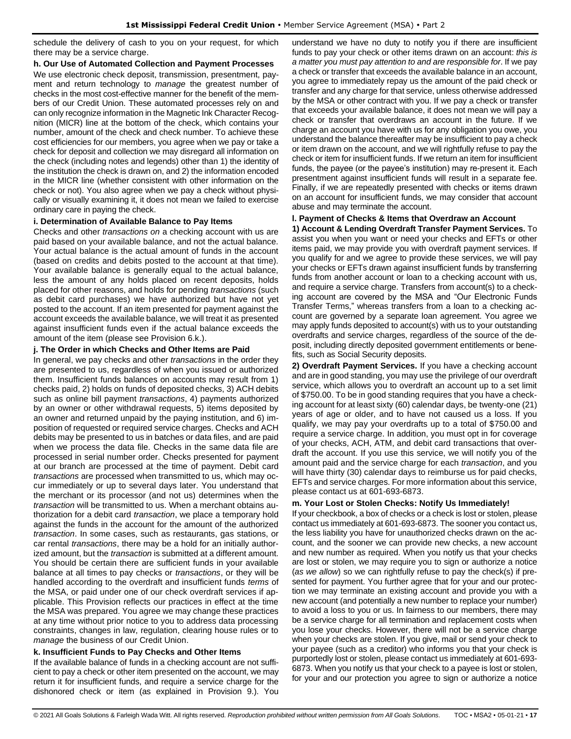schedule the delivery of cash to you on your request, for which there may be a service charge.

#### **h. Our Use of Automated Collection and Payment Processes**

We use electronic check deposit, transmission, presentment, payment and return technology to *manage* the greatest number of checks in the most cost-effective manner for the benefit of the members of our Credit Union. These automated processes rely on and can only recognize information in the Magnetic Ink Character Recognition (MICR) line at the bottom of the check, which contains your number, amount of the check and check number. To achieve these cost efficiencies for our members, you agree when we pay or take a check for deposit and collection we may disregard all information on the check (including notes and legends) other than 1) the identity of the institution the check is drawn on, and 2) the information encoded in the MICR line (whether consistent with other information on the check or not). You also agree when we pay a check without physically or visually examining it, it does not mean we failed to exercise ordinary care in paying the check.

#### **i. Determination of Available Balance to Pay Items**

Checks and other *transactions on* a checking account with us are paid based on your available balance, and not the actual balance. Your actual balance is the actual amount of funds in the account (based on credits and debits posted to the account at that time). Your available balance is generally equal to the actual balance, less the amount of any holds placed on recent deposits, holds placed for other reasons, and holds for pending *transactions* (such as debit card purchases) we have authorized but have not yet posted to the account. If an item presented for payment against the account exceeds the available balance, we will treat it as presented against insufficient funds even if the actual balance exceeds the amount of the item (please see Provision 6.k.).

# **j. The Order in which Checks and Other Items are Paid**

In general, we pay checks and other *transactions* in the order they are presented to us, regardless of when you issued or authorized them. Insufficient funds balances on accounts may result from 1) checks paid, 2) holds on funds of deposited checks, 3) ACH debits such as online bill payment *transactions*, 4) payments authorized by an owner or other withdrawal requests, 5) items deposited by an owner and returned unpaid by the paying institution, and 6) imposition of requested or required service charges. Checks and ACH debits may be presented to us in batches or data files, and are paid when we process the data file. Checks in the same data file are processed in serial number order. Checks presented for payment at our branch are processed at the time of payment. Debit card *transactions* are processed when transmitted to us, which may occur immediately or up to several days later. You understand that the merchant or its processor (and not us) determines when the *transaction* will be transmitted to us. When a merchant obtains authorization for a debit card *transaction*, we place a temporary hold against the funds in the account for the amount of the authorized *transaction*. In some cases, such as restaurants, gas stations, or car rental *transactions*, there may be a hold for an initially authorized amount, but the *transaction* is submitted at a different amount. You should be certain there are sufficient funds in your available balance at all times to pay checks or *transactions*, or they will be handled according to the overdraft and insufficient funds *terms* of the MSA, or paid under one of our check overdraft services if applicable. This Provision reflects our practices in effect at the time the MSA was prepared. You agree we may change these practices at any time without prior notice to you to address data processing constraints, changes in law, regulation, clearing house rules or to *manage* the business of our Credit Union.

# **k. Insufficient Funds to Pay Checks and Other Items**

If the available balance of funds in a checking account are not sufficient to pay a check or other item presented on the account, we may return it for insufficient funds, and require a service charge for the dishonored check or item (as explained in Provision 9.). You understand we have no duty to notify you if there are insufficient funds to pay your check or other items drawn on an account: *this is a matter you must pay attention to and are responsible for*. If we pay a check or transfer that exceeds the available balance in an account, you agree to immediately repay us the amount of the paid check or transfer and any charge for that service, unless otherwise addressed by the MSA or other contract with you. If we pay a check or transfer that exceeds your available balance, it does not mean we will pay a check or transfer that overdraws an account in the future. If we charge an account you have with us for any obligation you owe, you understand the balance thereafter may be insufficient to pay a check or item drawn on the account, and we will rightfully refuse to pay the check or item for insufficient funds. If we return an item for insufficient funds, the payee (or the payee's institution) may re-present it. Each presentment against insufficient funds will result in a separate fee. Finally, if we are repeatedly presented with checks or items drawn on an account for insufficient funds, we may consider that account abuse and may terminate the account.

#### **l. Payment of Checks & Items that Overdraw an Account**

**1) Account & Lending Overdraft Transfer Payment Services.** To assist you when you want or need your checks and EFTs or other items paid, we may provide you with overdraft payment services. If you qualify for and we agree to provide these services, we will pay your checks or EFTs drawn against insufficient funds by transferring funds from another account or loan to a checking account with us, and require a service charge. Transfers from account(s) to a checking account are covered by the MSA and "Our Electronic Funds Transfer Terms," whereas transfers from a loan to a checking account are governed by a separate loan agreement. You agree we may apply funds deposited to account(s) with us to your outstanding overdrafts and service charges, regardless of the source of the deposit, including directly deposited government entitlements or benefits, such as Social Security deposits.

**2) Overdraft Payment Services.** If you have a checking account and are in good standing, you may use the privilege of our overdraft service, which allows you to overdraft an account up to a set limit of \$750.00. To be in good standing requires that you have a checking account for at least sixty (60) calendar days, be twenty-one (21) years of age or older, and to have not caused us a loss. If you qualify, we may pay your overdrafts up to a total of \$750.00 and require a service charge. In addition, you must opt in for coverage of your checks, ACH, ATM, and debit card transactions that overdraft the account. If you use this service, we will notify you of the amount paid and the service charge for each *transaction*, and you will have thirty (30) calendar days to reimburse us for paid checks, EFTs and service charges. For more information about this service, please contact us at 601-693-6873.

### **m. Your Lost or Stolen Checks: Notify Us Immediately!**

If your checkbook, a box of checks or a check is lost or stolen, please contact us immediately at 601-693-6873. The sooner you contact us, the less liability you have for unauthorized checks drawn on the account, and the sooner we can provide new checks, a new account and new number as required. When you notify us that your checks are lost or stolen, we may require you to sign or authorize a notice (*as we allow*) so we can rightfully refuse to pay the check(s) if presented for payment. You further agree that for your and our protection we may terminate an existing account and provide you with a new account (and potentially a new number to replace your number) to avoid a loss to you or us. In fairness to our members, there may be a service charge for all termination and replacement costs when you lose your checks. However, there will not be a service charge when your checks are stolen. If you give, mail or send your check to your payee (such as a creditor) who informs you that your check is purportedly lost or stolen, please contact us immediately at 601-693- 6873. When you notify us that your check to a payee is lost or stolen, for your and our protection you agree to sign or authorize a notice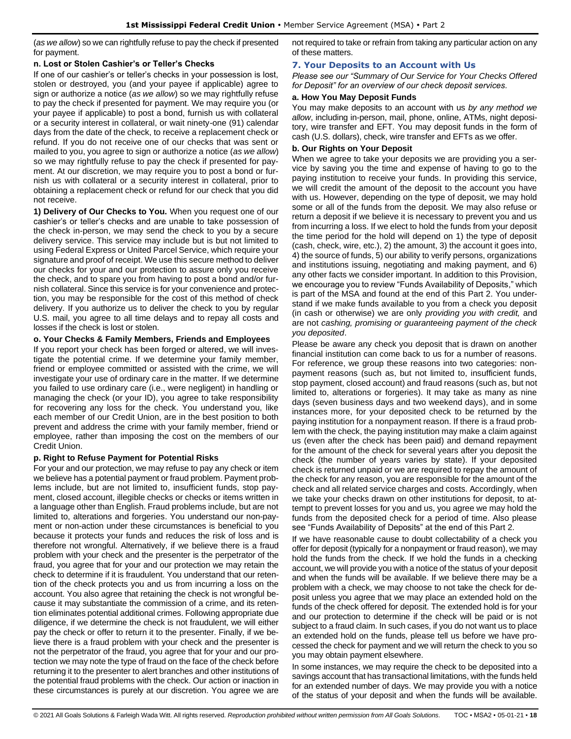(*as we allow*) so we can rightfully refuse to pay the check if presented for payment.

### **n. Lost or Stolen Cashier's or Teller's Checks**

If one of our cashier's or teller's checks in your possession is lost, stolen or destroyed, you (and your payee if applicable) agree to sign or authorize a notice (*as we allow*) so we may rightfully refuse to pay the check if presented for payment. We may require you (or your payee if applicable) to post a bond, furnish us with collateral or a security interest in collateral, or wait ninety-one (91) calendar days from the date of the check, to receive a replacement check or refund. If you do not receive one of our checks that was sent or mailed to you, you agree to sign or authorize a notice (*as we allow*) so we may rightfully refuse to pay the check if presented for payment. At our discretion, we may require you to post a bond or furnish us with collateral or a security interest in collateral, prior to obtaining a replacement check or refund for our check that you did not receive.

**1) Delivery of Our Checks to You.** When you request one of our cashier's or teller's checks and are unable to take possession of the check in-person, we may send the check to you by a secure delivery service. This service may include but is but not limited to using Federal Express or United Parcel Service, which require your signature and proof of receipt. We use this secure method to deliver our checks for your and our protection to assure only you receive the check, and to spare you from having to post a bond and/or furnish collateral. Since this service is for your convenience and protection, you may be responsible for the cost of this method of check delivery. If you authorize us to deliver the check to you by regular U.S. mail, you agree to all time delays and to repay all costs and losses if the check is lost or stolen.

### **o. Your Checks & Family Members, Friends and Employees**

If you report your check has been forged or altered, we will investigate the potential crime. If we determine your family member, friend or employee committed or assisted with the crime, we will investigate your use of ordinary care in the matter. If we determine you failed to use ordinary care (i.e., were negligent) in handling or managing the check (or your ID), you agree to take responsibility for recovering any loss for the check. You understand you, like each member of our Credit Union, are in the best position to both prevent and address the crime with your family member, friend or employee, rather than imposing the cost on the members of our Credit Union.

### **p. Right to Refuse Payment for Potential Risks**

For your and our protection, we may refuse to pay any check or item we believe has a potential payment or fraud problem. Payment problems include, but are not limited to, insufficient funds, stop payment, closed account, illegible checks or checks or items written in a language other than English. Fraud problems include, but are not limited to, alterations and forgeries. You understand our non-payment or non-action under these circumstances is beneficial to you because it protects your funds and reduces the risk of loss and is therefore not wrongful. Alternatively, if we believe there is a fraud problem with your check and the presenter is the perpetrator of the fraud, you agree that for your and our protection we may retain the check to determine if it is fraudulent. You understand that our retention of the check protects you and us from incurring a loss on the account. You also agree that retaining the check is not wrongful because it may substantiate the commission of a crime, and its retention eliminates potential additional crimes. Following appropriate due diligence, if we determine the check is not fraudulent, we will either pay the check or offer to return it to the presenter. Finally, if we believe there is a fraud problem with your check and the presenter is not the perpetrator of the fraud, you agree that for your and our protection we may note the type of fraud on the face of the check before returning it to the presenter to alert branches and other institutions of the potential fraud problems with the check. Our action or inaction in these circumstances is purely at our discretion. You agree we are not required to take or refrain from taking any particular action on any of these matters.

### <span id="page-17-0"></span>**7. Your Deposits to an Account with Us**

*Please see our "Summary of Our Service for Your Checks Offered for Deposit" for an overview of our check deposit services.*

### **a. How You May Deposit Funds**

You may make deposits to an account with us *by any method we allow*, including in-person, mail, phone, online, ATMs, night depository, wire transfer and EFT. You may deposit funds in the form of cash (U.S. dollars), check, wire transfer and EFTs as we offer.

### **b. Our Rights on Your Deposit**

When we agree to take your deposits we are providing you a service by saving you the time and expense of having to go to the paying institution to receive your funds. In providing this service, we will credit the amount of the deposit to the account you have with us. However, depending on the type of deposit, we may hold some or all of the funds from the deposit. We may also refuse or return a deposit if we believe it is necessary to prevent you and us from incurring a loss. If we elect to hold the funds from your deposit the time period for the hold will depend on 1) the type of deposit (cash, check, wire, etc.), 2) the amount, 3) the account it goes into, 4) the source of funds, 5) our ability to verify persons, organizations and institutions issuing, negotiating and making payment, and 6) any other facts we consider important. In addition to this Provision, we encourage you to review "Funds Availability of Deposits," which is part of the MSA and found at the end of this Part 2. You understand if we make funds available to you from a check you deposit (in cash or otherwise) we are only *providing you with credit,* and are not *cashing, promising or guaranteeing payment of the check you deposited*.

Please be aware any check you deposit that is drawn on another financial institution can come back to us for a number of reasons. For reference, we group these reasons into two categories: nonpayment reasons (such as, but not limited to, insufficient funds, stop payment, closed account) and fraud reasons (such as, but not limited to, alterations or forgeries). It may take as many as nine days (seven business days and two weekend days), and in some instances more, for your deposited check to be returned by the paying institution for a nonpayment reason. If there is a fraud problem with the check, the paying institution may make a claim against us (even after the check has been paid) and demand repayment for the amount of the check for several years after you deposit the check (the number of years varies by state). If your deposited check is returned unpaid or we are required to repay the amount of the check for any reason, you are responsible for the amount of the check and all related service charges and costs. Accordingly, when we take your checks drawn on other institutions for deposit, to attempt to prevent losses for you and us, you agree we may hold the funds from the deposited check for a period of time. Also please see "Funds Availability of Deposits" at the end of this Part 2.

If we have reasonable cause to doubt collectability of a check you offer for deposit (typically for a nonpayment or fraud reason), we may hold the funds from the check. If we hold the funds in a checking account, we will provide you with a notice of the status of your deposit and when the funds will be available. If we believe there may be a problem with a check, we may choose to not take the check for deposit unless you agree that we may place an extended hold on the funds of the check offered for deposit. The extended hold is for your and our protection to determine if the check will be paid or is not subject to a fraud claim. In such cases, if you do not want us to place an extended hold on the funds, please tell us before we have processed the check for payment and we will return the check to you so you may obtain payment elsewhere.

In some instances, we may require the check to be deposited into a savings account that has transactional limitations, with the funds held for an extended number of days. We may provide you with a notice of the status of your deposit and when the funds will be available.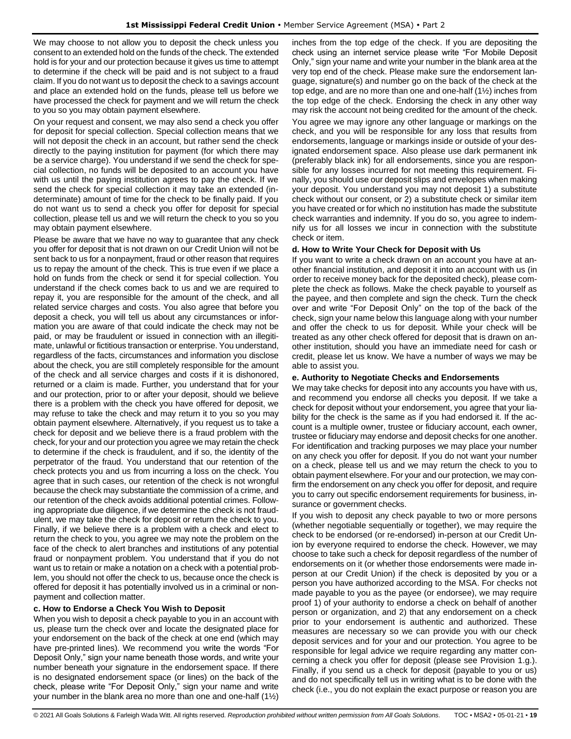We may choose to not allow you to deposit the check unless you consent to an extended hold on the funds of the check. The extended hold is for your and our protection because it gives us time to attempt to determine if the check will be paid and is not subject to a fraud claim. If you do not want us to deposit the check to a savings account and place an extended hold on the funds, please tell us before we have processed the check for payment and we will return the check to you so you may obtain payment elsewhere.

On your request and consent, we may also send a check you offer for deposit for special collection. Special collection means that we will not deposit the check in an account, but rather send the check directly to the paying institution for payment (for which there may be a service charge). You understand if we send the check for special collection, no funds will be deposited to an account you have with us until the paying institution agrees to pay the check. If we send the check for special collection it may take an extended (indeterminate) amount of time for the check to be finally paid. If you do not want us to send a check you offer for deposit for special collection, please tell us and we will return the check to you so you may obtain payment elsewhere.

Please be aware that we have no way to guarantee that any check you offer for deposit that is not drawn on our Credit Union will not be sent back to us for a nonpayment, fraud or other reason that requires us to repay the amount of the check. This is true even if we place a hold on funds from the check or send it for special collection. You understand if the check comes back to us and we are required to repay it, you are responsible for the amount of the check, and all related service charges and costs. You also agree that before you deposit a check, you will tell us about any circumstances or information you are aware of that could indicate the check may not be paid, or may be fraudulent or issued in connection with an illegitimate, unlawful or fictitious transaction or enterprise. You understand, regardless of the facts, circumstances and information you disclose about the check, you are still completely responsible for the amount of the check and all service charges and costs if it is dishonored, returned or a claim is made. Further, you understand that for your and our protection, prior to or after your deposit, should we believe there is a problem with the check you have offered for deposit, we may refuse to take the check and may return it to you so you may obtain payment elsewhere. Alternatively, if you request us to take a check for deposit and we believe there is a fraud problem with the check, for your and our protection you agree we may retain the check to determine if the check is fraudulent, and if so, the identity of the perpetrator of the fraud. You understand that our retention of the check protects you and us from incurring a loss on the check. You agree that in such cases, our retention of the check is not wrongful because the check may substantiate the commission of a crime, and our retention of the check avoids additional potential crimes. Following appropriate due diligence, if we determine the check is not fraudulent, we may take the check for deposit or return the check to you. Finally, if we believe there is a problem with a check and elect to return the check to you, you agree we may note the problem on the face of the check to alert branches and institutions of any potential fraud or nonpayment problem. You understand that if you do not want us to retain or make a notation on a check with a potential problem, you should not offer the check to us, because once the check is offered for deposit it has potentially involved us in a criminal or nonpayment and collection matter.

#### **c. How to Endorse a Check You Wish to Deposit**

When you wish to deposit a check payable to you in an account with us, please turn the check over and locate the designated place for your endorsement on the back of the check at one end (which may have pre-printed lines). We recommend you write the words "For Deposit Only," sign your name beneath those words, and write your number beneath your signature in the endorsement space. If there is no designated endorsement space (or lines) on the back of the check, please write "For Deposit Only," sign your name and write your number in the blank area no more than one and one-half (1½)

inches from the top edge of the check. If you are depositing the check using an internet service please write "For Mobile Deposit Only," sign your name and write your number in the blank area at the very top end of the check. Please make sure the endorsement language, signature(s) and number go on the back of the check at the top edge, and are no more than one and one-half (1½) inches from the top edge of the check. Endorsing the check in any other way may risk the account not being credited for the amount of the check. You agree we may ignore any other language or markings on the check, and you will be responsible for any loss that results from endorsements, language or markings inside or outside of your designated endorsement space. Also please use dark permanent ink (preferably black ink) for all endorsements, since you are responsible for any losses incurred for not meeting this requirement. Finally, you should use our deposit slips and envelopes when making your deposit. You understand you may not deposit 1) a substitute check without our consent, or 2) a substitute check or similar item you have created or for which no institution has made the substitute check warranties and indemnity. If you do so, you agree to indemnify us for all losses we incur in connection with the substitute check or item.

#### **d. How to Write Your Check for Deposit with Us**

If you want to write a check drawn on an account you have at another financial institution, and deposit it into an account with us (in order to receive money back for the deposited check), please complete the check as follows. Make the check payable to yourself as the payee, and then complete and sign the check. Turn the check over and write "For Deposit Only" on the top of the back of the check, sign your name below this language along with your number and offer the check to us for deposit. While your check will be treated as any other check offered for deposit that is drawn on another institution, should you have an immediate need for cash or credit, please let us know. We have a number of ways we may be able to assist you.

#### **e. Authority to Negotiate Checks and Endorsements**

We may take checks for deposit into any accounts you have with us, and recommend you endorse all checks you deposit. If we take a check for deposit without your endorsement, you agree that your liability for the check is the same as if you had endorsed it. If the account is a multiple owner, trustee or fiduciary account, each owner, trustee or fiduciary may endorse and deposit checks for one another. For identification and tracking purposes we may place your number on any check you offer for deposit. If you do not want your number on a check, please tell us and we may return the check to you to obtain payment elsewhere. For your and our protection, we may confirm the endorsement on any check you offer for deposit, and require you to carry out specific endorsement requirements for business, insurance or government checks.

If you wish to deposit any check payable to two or more persons (whether negotiable sequentially or together), we may require the check to be endorsed (or re-endorsed) in-person at our Credit Union by everyone required to endorse the check. However, we may choose to take such a check for deposit regardless of the number of endorsements on it (or whether those endorsements were made inperson at our Credit Union) if the check is deposited by you or a person you have authorized according to the MSA. For checks not made payable to you as the payee (or endorsee), we may require proof 1) of your authority to endorse a check on behalf of another person or organization, and 2) that any endorsement on a check prior to your endorsement is authentic and authorized. These measures are necessary so we can provide you with our check deposit services and for your and our protection. You agree to be responsible for legal advice we require regarding any matter concerning a check you offer for deposit (please see Provision 1.g.). Finally, if you send us a check for deposit (payable to you or us) and do not specifically tell us in writing what is to be done with the check (i.e., you do not explain the exact purpose or reason you are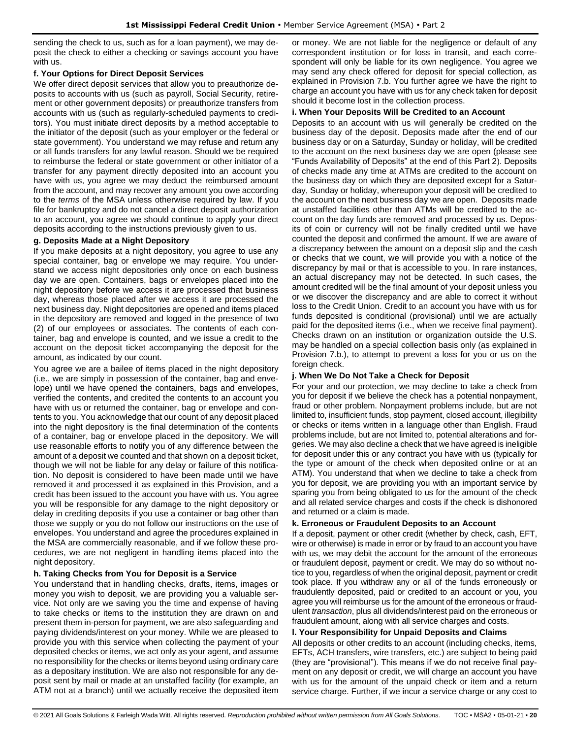sending the check to us, such as for a loan payment), we may deposit the check to either a checking or savings account you have with us.

#### **f. Your Options for Direct Deposit Services**

We offer direct deposit services that allow you to preauthorize deposits to accounts with us (such as payroll, Social Security, retirement or other government deposits) or preauthorize transfers from accounts with us (such as regularly-scheduled payments to creditors). You must initiate direct deposits by a method acceptable to the initiator of the deposit (such as your employer or the federal or state government). You understand we may refuse and return any or all funds transfers for any lawful reason. Should we be required to reimburse the federal or state government or other initiator of a transfer for any payment directly deposited into an account you have with us, you agree we may deduct the reimbursed amount from the account, and may recover any amount you owe according to the *terms* of the MSA unless otherwise required by law. If you file for bankruptcy and do not cancel a direct deposit authorization to an account, you agree we should continue to apply your direct deposits according to the instructions previously given to us.

#### **g. Deposits Made at a Night Depository**

If you make deposits at a night depository, you agree to use any special container, bag or envelope we may require. You understand we access night depositories only once on each business day we are open. Containers, bags or envelopes placed into the night depository before we access it are processed that business day, whereas those placed after we access it are processed the next business day. Night depositories are opened and items placed in the depository are removed and logged in the presence of two (2) of our employees or associates. The contents of each container, bag and envelope is counted, and we issue a credit to the account on the deposit ticket accompanying the deposit for the amount, as indicated by our count.

You agree we are a bailee of items placed in the night depository (i.e., we are simply in possession of the container, bag and envelope) until we have opened the containers, bags and envelopes, verified the contents, and credited the contents to an account you have with us or returned the container, bag or envelope and contents to you. You acknowledge that our count of any deposit placed into the night depository is the final determination of the contents of a container, bag or envelope placed in the depository. We will use reasonable efforts to notify you of any difference between the amount of a deposit we counted and that shown on a deposit ticket, though we will not be liable for any delay or failure of this notification. No deposit is considered to have been made until we have removed it and processed it as explained in this Provision, and a credit has been issued to the account you have with us. You agree you will be responsible for any damage to the night depository or delay in crediting deposits if you use a container or bag other than those we supply or you do not follow our instructions on the use of envelopes. You understand and agree the procedures explained in the MSA are commercially reasonable, and if we follow these procedures, we are not negligent in handling items placed into the night depository.

#### **h. Taking Checks from You for Deposit is a Service**

You understand that in handling checks, drafts, items, images or money you wish to deposit, we are providing you a valuable service. Not only are we saving you the time and expense of having to take checks or items to the institution they are drawn on and present them in-person for payment, we are also safeguarding and paying dividends/interest on your money. While we are pleased to provide you with this service when collecting the payment of your deposited checks or items, we act only as your agent, and assume no responsibility for the checks or items beyond using ordinary care as a depositary institution. We are also not responsible for any deposit sent by mail or made at an unstaffed facility (for example, an ATM not at a branch) until we actually receive the deposited item

or money. We are not liable for the negligence or default of any correspondent institution or for loss in transit, and each correspondent will only be liable for its own negligence. You agree we may send any check offered for deposit for special collection, as explained in Provision 7.b. You further agree we have the right to charge an account you have with us for any check taken for deposit should it become lost in the collection process.

#### **i. When Your Deposits Will be Credited to an Account**

Deposits to an account with us will generally be credited on the business day of the deposit. Deposits made after the end of our business day or on a Saturday, Sunday or holiday, will be credited to the account on the next business day we are open (please see "Funds Availability of Deposits" at the end of this Part 2). Deposits of checks made any time at ATMs are credited to the account on the business day on which they are deposited except for a Saturday, Sunday or holiday, whereupon your deposit will be credited to the account on the next business day we are open. Deposits made at unstaffed facilities other than ATMs will be credited to the account on the day funds are removed and processed by us. Deposits of coin or currency will not be finally credited until we have counted the deposit and confirmed the amount. If we are aware of a discrepancy between the amount on a deposit slip and the cash or checks that we count, we will provide you with a notice of the discrepancy by mail or that is accessible to you. In rare instances, an actual discrepancy may not be detected. In such cases, the amount credited will be the final amount of your deposit unless you or we discover the discrepancy and are able to correct it without loss to the Credit Union. Credit to an account you have with us for funds deposited is conditional (provisional) until we are actually paid for the deposited items (i.e., when we receive final payment). Checks drawn on an institution or organization outside the U.S. may be handled on a special collection basis only (as explained in Provision 7.b.), to attempt to prevent a loss for you or us on the foreign check.

#### **j. When We Do Not Take a Check for Deposit**

For your and our protection, we may decline to take a check from you for deposit if we believe the check has a potential nonpayment, fraud or other problem. Nonpayment problems include, but are not limited to, insufficient funds, stop payment, closed account, illegibility or checks or items written in a language other than English. Fraud problems include, but are not limited to, potential alterations and forgeries. We may also decline a check that we have agreed is ineligible for deposit under this or any contract you have with us (typically for the type or amount of the check when deposited online or at an ATM). You understand that when we decline to take a check from you for deposit, we are providing you with an important service by sparing you from being obligated to us for the amount of the check and all related service charges and costs if the check is dishonored and returned or a claim is made.

#### **k. Erroneous or Fraudulent Deposits to an Account**

If a deposit, payment or other credit (whether by check, cash, EFT, wire or otherwise) is made in error or by fraud to an account you have with us, we may debit the account for the amount of the erroneous or fraudulent deposit, payment or credit. We may do so without notice to you, regardless of when the original deposit, payment or credit took place. If you withdraw any or all of the funds erroneously or fraudulently deposited, paid or credited to an account or you, you agree you will reimburse us for the amount of the erroneous or fraudulent *transaction*, plus all dividends/interest paid on the erroneous or fraudulent amount, along with all service charges and costs.

#### **l. Your Responsibility for Unpaid Deposits and Claims**

All deposits or other credits to an account (including checks, items, EFTs, ACH transfers, wire transfers, etc.) are subject to being paid (they are "provisional"). This means if we do not receive final payment on any deposit or credit, we will charge an account you have with us for the amount of the unpaid check or item and a return service charge. Further, if we incur a service charge or any cost to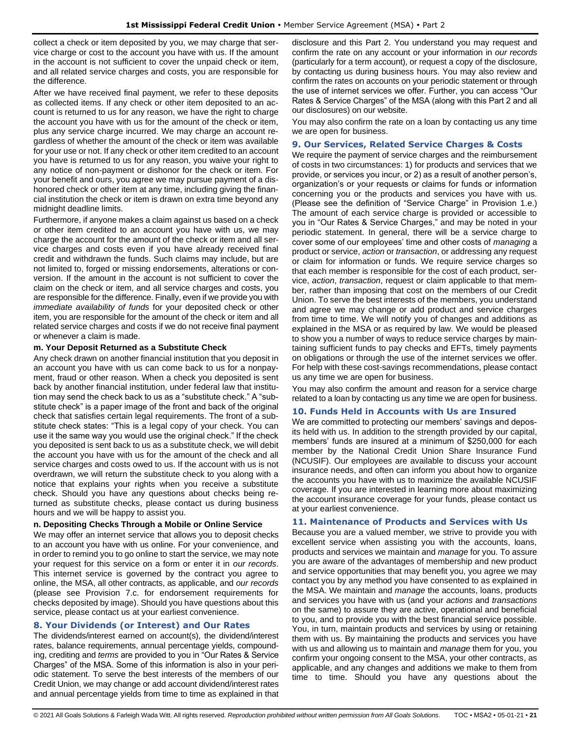collect a check or item deposited by you, we may charge that service charge or cost to the account you have with us. If the amount in the account is not sufficient to cover the unpaid check or item, and all related service charges and costs, you are responsible for the difference.

After we have received final payment, we refer to these deposits as collected items. If any check or other item deposited to an account is returned to us for any reason, we have the right to charge the account you have with us for the amount of the check or item, plus any service charge incurred. We may charge an account regardless of whether the amount of the check or item was available for your use or not. If any check or other item credited to an account you have is returned to us for any reason, you waive your right to any notice of non-payment or dishonor for the check or item. For your benefit and ours, you agree we may pursue payment of a dishonored check or other item at any time, including giving the financial institution the check or item is drawn on extra time beyond any midnight deadline limits.

Furthermore, if anyone makes a claim against us based on a check or other item credited to an account you have with us, we may charge the account for the amount of the check or item and all service charges and costs even if you have already received final credit and withdrawn the funds. Such claims may include, but are not limited to, forged or missing endorsements, alterations or conversion. If the amount in the account is not sufficient to cover the claim on the check or item, and all service charges and costs, you are responsible for the difference. Finally, even if we provide you with *immediate availability of funds* for your deposited check or other item, you are responsible for the amount of the check or item and all related service charges and costs if we do not receive final payment or whenever a claim is made.

#### **m. Your Deposit Returned as a Substitute Check**

Any check drawn on another financial institution that you deposit in an account you have with us can come back to us for a nonpayment, fraud or other reason. When a check you deposited is sent back by another financial institution, under federal law that institution may send the check back to us as a "substitute check." A "substitute check" is a paper image of the front and back of the original check that satisfies certain legal requirements. The front of a substitute check states: "This is a legal copy of your check. You can use it the same way you would use the original check." If the check you deposited is sent back to us as a substitute check, we will debit the account you have with us for the amount of the check and all service charges and costs owed to us. If the account with us is not overdrawn, we will return the substitute check to you along with a notice that explains your rights when you receive a substitute check. Should you have any questions about checks being returned as substitute checks, please contact us during business hours and we will be happy to assist you.

#### **n. Depositing Checks Through a Mobile or Online Service**

We may offer an internet service that allows you to deposit checks to an account you have with us online. For your convenience, and in order to remind you to go online to start the service, we may note your request for this service on a form or enter it in *our records*. This internet service is governed by the contract you agree to online, the MSA, all other contracts, as applicable, and *our records* (please see Provision 7.c. for endorsement requirements for checks deposited by image). Should you have questions about this service, please contact us at your earliest convenience.

### <span id="page-20-0"></span>**8. Your Dividends (or Interest) and Our Rates**

The dividends/interest earned on account(s), the dividend/interest rates, balance requirements, annual percentage yields, compounding, crediting and *terms* are provided to you in "Our Rates & Service Charges" of the MSA. Some of this information is also in your periodic statement. To serve the best interests of the members of our Credit Union, we may change or add account dividend/interest rates and annual percentage yields from time to time as explained in that disclosure and this Part 2. You understand you may request and confirm the rate on any account or your information in *our records* (particularly for a term account), or request a copy of the disclosure, by contacting us during business hours. You may also review and confirm the rates on accounts on your periodic statement or through the use of internet services we offer. Further, you can access "Our Rates & Service Charges" of the MSA (along with this Part 2 and all our disclosures) on our website.

You may also confirm the rate on a loan by contacting us any time we are open for business.

#### <span id="page-20-1"></span>**9. Our Services, Related Service Charges & Costs**

We require the payment of service charges and the reimbursement of costs in two circumstances: 1) for products and services that we provide, or services you incur, or 2) as a result of another person's, organization's or your requests or claims for funds or information concerning you or the products and services you have with us. (Please see the definition of "Service Charge" in Provision 1.e.) The amount of each service charge is provided or accessible to you in "Our Rates & Service Charges," and may be noted in your periodic statement. In general, there will be a service charge to cover some of our employees' time and other costs of *managing* a product or service, *action* or *transaction*, or addressing any request or claim for information or funds. We require service charges so that each member is responsible for the cost of each product, service, *action*, *transaction*, request or claim applicable to that member, rather than imposing that cost on the members of our Credit Union. To serve the best interests of the members, you understand and agree we may change or add product and service charges from time to time. We will notify you of changes and additions as explained in the MSA or as required by law. We would be pleased to show you a number of ways to reduce service charges by maintaining sufficient funds to pay checks and EFTs, timely payments on obligations or through the use of the internet services we offer. For help with these cost-savings recommendations, please contact us any time we are open for business.

You may also confirm the amount and reason for a service charge related to a loan by contacting us any time we are open for business.

#### <span id="page-20-2"></span>**10. Funds Held in Accounts with Us are Insured**

We are committed to protecting our members' savings and deposits held with us. In addition to the strength provided by our capital, members' funds are insured at a minimum of \$250,000 for each member by the National Credit Union Share Insurance Fund (NCUSIF). Our employees are available to discuss your account insurance needs, and often can inform you about how to organize the accounts you have with us to maximize the available NCUSIF coverage. If you are interested in learning more about maximizing the account insurance coverage for your funds, please contact us at your earliest convenience.

#### <span id="page-20-3"></span>**11. Maintenance of Products and Services with Us**

Because you are a valued member, we strive to provide you with excellent service when assisting you with the accounts, loans, products and services we maintain and *manage* for you. To assure you are aware of the advantages of membership and new product and service opportunities that may benefit you, you agree we may contact you by any method you have consented to as explained in the MSA. We maintain and *manage* the accounts, loans, products and services you have with us (and your *actions* and *transactions* on the same) to assure they are active, operational and beneficial to you, and to provide you with the best financial service possible. You, in turn, maintain products and services by using or retaining them with us. By maintaining the products and services you have with us and allowing us to maintain and *manage* them for you, you confirm your ongoing consent to the MSA, your other contracts, as applicable, and any changes and additions we make to them from time to time. Should you have any questions about the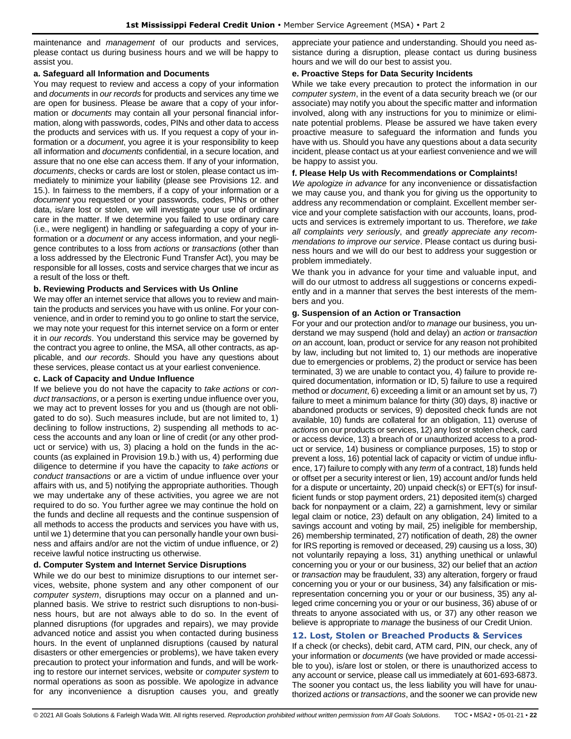maintenance and *management* of our products and services, please contact us during business hours and we will be happy to assist you.

#### **a. Safeguard all Information and Documents**

You may request to review and access a copy of your information and *documents* in *our records* for products and services any time we are open for business. Please be aware that a copy of your information or *documents* may contain all your personal financial information, along with passwords, codes, PINs and other data to access the products and services with us. If you request a copy of your information or a *document*, you agree it is your responsibility to keep all information and *documents* confidential, in a secure location, and assure that no one else can access them. If any of your information, *documents*, checks or cards are lost or stolen, please contact us immediately to minimize your liability (please see Provisions 12. and 15.). In fairness to the members, if a copy of your information or a *document* you requested or your passwords, codes, PINs or other data, is/are lost or stolen, we will investigate your use of ordinary care in the matter. If we determine you failed to use ordinary care (i.e., were negligent) in handling or safeguarding a copy of your information or a *document* or any access information, and your negligence contributes to a loss from *actions* or *transactions* (other than a loss addressed by the Electronic Fund Transfer Act), you may be responsible for all losses, costs and service charges that we incur as a result of the loss or theft.

#### **b. Reviewing Products and Services with Us Online**

We may offer an internet service that allows you to review and maintain the products and services you have with us online. For your convenience, and in order to remind you to go online to start the service, we may note your request for this internet service on a form or enter it in *our records*. You understand this service may be governed by the contract you agree to online, the MSA, all other contracts, as applicable, and *our records*. Should you have any questions about these services, please contact us at your earliest convenience.

#### **c. Lack of Capacity and Undue Influence**

If we believe you do not have the capacity to *take actions* or *conduct transactions*, or a person is exerting undue influence over you, we may act to prevent losses for you and us (though are not obligated to do so). Such measures include, but are not limited to, 1) declining to follow instructions, 2) suspending all methods to access the accounts and any loan or line of credit (or any other product or service) with us, 3) placing a hold on the funds in the accounts (as explained in Provision 19.b.) with us, 4) performing due diligence to determine if you have the capacity to *take actions* or *conduct transactions* or are a victim of undue influence over your affairs with us, and 5) notifying the appropriate authorities. Though we may undertake any of these activities, you agree we are not required to do so. You further agree we may continue the hold on the funds and decline all requests and the continue suspension of all methods to access the products and services you have with us, until we 1) determine that you can personally handle your own business and affairs and/or are not the victim of undue influence, or 2) receive lawful notice instructing us otherwise.

#### **d. Computer System and Internet Service Disruptions**

While we do our best to minimize disruptions to our internet services, website, phone system and any other component of our *computer system*, disruptions may occur on a planned and unplanned basis. We strive to restrict such disruptions to non-business hours, but are not always able to do so. In the event of planned disruptions (for upgrades and repairs), we may provide advanced notice and assist you when contacted during business hours. In the event of unplanned disruptions (caused by natural disasters or other emergencies or problems), we have taken every precaution to protect your information and funds, and will be working to restore our internet services, website or *computer system* to normal operations as soon as possible. We apologize in advance for any inconvenience a disruption causes you, and greatly appreciate your patience and understanding. Should you need assistance during a disruption, please contact us during business hours and we will do our best to assist you.

#### **e. Proactive Steps for Data Security Incidents**

While we take every precaution to protect the information in our *computer system*, in the event of a data security breach we (or our associate) may notify you about the specific matter and information involved, along with any instructions for you to minimize or eliminate potential problems. Please be assured we have taken every proactive measure to safeguard the information and funds you have with us. Should you have any questions about a data security incident, please contact us at your earliest convenience and we will be happy to assist you.

#### **f. Please Help Us with Recommendations or Complaints!**

*We apologize in advance* for any inconvenience or dissatisfaction we may cause you, and thank you for giving us the opportunity to address any recommendation or complaint. Excellent member service and your complete satisfaction with our accounts, loans, products and services is extremely important to us. Therefore, *we take all complaints very seriously*, and *greatly appreciate any recommendations to improve our service*. Please contact us during business hours and we will do our best to address your suggestion or problem immediately.

We thank you in advance for your time and valuable input, and will do our utmost to address all suggestions or concerns expediently and in a manner that serves the best interests of the members and you.

#### **g. Suspension of an Action or Transaction**

For your and our protection and/or to *manage* our business, you understand we may suspend (hold and delay) an *action* or *transaction on* an account, loan, product or service for any reason not prohibited by law, including but not limited to, 1) our methods are inoperative due to emergencies or problems, 2) the product or service has been terminated, 3) we are unable to contact you, 4) failure to provide required documentation, information or ID, 5) failure to use a required method or *document*, 6) exceeding a limit or an amount set by us, 7) failure to meet a minimum balance for thirty (30) days, 8) inactive or abandoned products or services, 9) deposited check funds are not available, 10) funds are collateral for an obligation, 11) overuse of *actions* on our products or services, 12) any lost or stolen check, card or access device, 13) a breach of or unauthorized access to a product or service, 14) business or compliance purposes, 15) to stop or prevent a loss, 16) potential lack of capacity or victim of undue influence, 17) failure to comply with any *term* of a contract, 18) funds held or offset per a security interest or lien, 19) account and/or funds held for a dispute or uncertainty, 20) unpaid check(s) or EFT(s) for insufficient funds or stop payment orders, 21) deposited item(s) charged back for nonpayment or a claim, 22) a garnishment, levy or similar legal claim or notice, 23) default on any obligation, 24) limited to a savings account and voting by mail, 25) ineligible for membership, 26) membership terminated, 27) notification of death, 28) the owner for IRS reporting is removed or deceased, 29) causing us a loss, 30) not voluntarily repaying a loss, 31) anything unethical or unlawful concerning you or your or our business, 32) our belief that an *action* or *transaction* may be fraudulent, 33) any alteration, forgery or fraud concerning you or your or our business, 34) any falsification or misrepresentation concerning you or your or our business, 35) any alleged crime concerning you or your or our business, 36) abuse of or threats to anyone associated with us, or 37) any other reason we believe is appropriate to *manage* the business of our Credit Union.

#### <span id="page-21-0"></span>**12. Lost, Stolen or Breached Products & Services**

If a check (or checks), debit card, ATM card, PIN, our check, any of your information or *documents* (we have provided or made accessible to you), is/are lost or stolen, or there is unauthorized access to any account or service, please call us immediately at 601-693-6873. The sooner you contact us, the less liability you will have for unauthorized *actions* or *transactions*, and the sooner we can provide new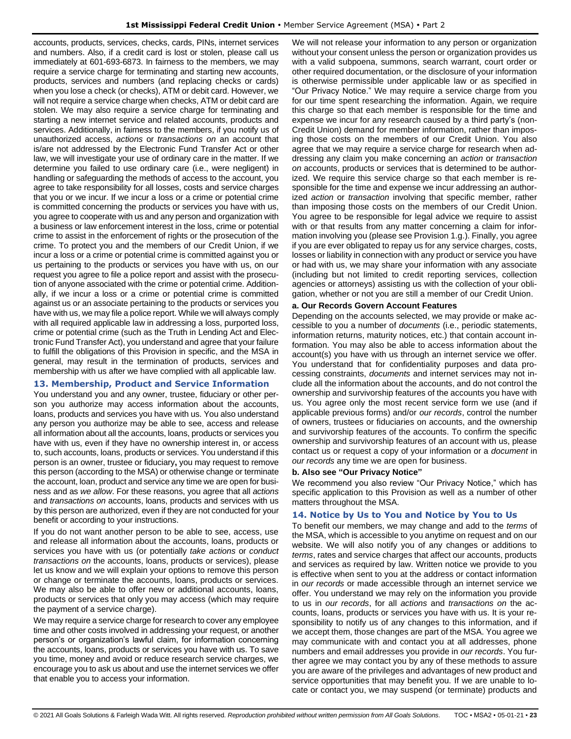accounts, products, services, checks, cards, PINs, internet services and numbers. Also, if a credit card is lost or stolen, please call us immediately at 601-693-6873. In fairness to the members, we may require a service charge for terminating and starting new accounts, products, services and numbers (and replacing checks or cards) when you lose a check (or checks), ATM or debit card. However, we will not require a service charge when checks, ATM or debit card are stolen. We may also require a service charge for terminating and starting a new internet service and related accounts, products and services. Additionally, in fairness to the members, if you notify us of unauthorized access, *actions* or *transactions on* an account that is/are not addressed by the Electronic Fund Transfer Act or other law, we will investigate your use of ordinary care in the matter. If we determine you failed to use ordinary care (i.e., were negligent) in handling or safeguarding the methods of access to the account, you agree to take responsibility for all losses, costs and service charges that you or we incur. If we incur a loss or a crime or potential crime is committed concerning the products or services you have with us, you agree to cooperate with us and any person and organization with a business or law enforcement interest in the loss, crime or potential crime to assist in the enforcement of rights or the prosecution of the crime. To protect you and the members of our Credit Union, if we incur a loss or a crime or potential crime is committed against you or us pertaining to the products or services you have with us, on our request you agree to file a police report and assist with the prosecution of anyone associated with the crime or potential crime. Additionally, if we incur a loss or a crime or potential crime is committed against us or an associate pertaining to the products or services you have with us, we may file a police report. While we will always comply with all required applicable law in addressing a loss, purported loss, crime or potential crime (such as the Truth in Lending Act and Electronic Fund Transfer Act), you understand and agree that your failure to fulfill the obligations of this Provision in specific, and the MSA in general, may result in the termination of products, services and membership with us after we have complied with all applicable law.

#### <span id="page-22-0"></span>**13. Membership, Product and Service Information**

You understand you and any owner, trustee, fiduciary or other person you authorize may access information about the accounts, loans, products and services you have with us. You also understand any person you authorize may be able to see, access and release all information about all the accounts, loans, products or services you have with us, even if they have no ownership interest in, or access to, such accounts, loans, products or services. You understand if this person is an owner, trustee or fiduciary**,** you may request to remove this person (according to the MSA) or otherwise change or terminate the account, loan, product and service any time we are open for business and as *we allow*. For these reasons, you agree that all *actions*  and *transactions on* accounts, loans, products and services with us by this person are authorized, even if they are not conducted for your benefit or according to your instructions.

If you do not want another person to be able to see, access, use and release all information about the accounts, loans, products or services you have with us (or potentially *take actions* or *conduct transactions on* the accounts, loans, products or services), please let us know and we will explain your options to remove this person or change or terminate the accounts, loans, products or services. We may also be able to offer new or additional accounts, loans, products or services that only you may access (which may require the payment of a service charge).

We may require a service charge for research to cover any employee time and other costs involved in addressing your request, or another person's or organization's lawful claim, for information concerning the accounts, loans, products or services you have with us. To save you time, money and avoid or reduce research service charges, we encourage you to ask us about and use the internet services we offer that enable you to access your information.

We will not release your information to any person or organization without your consent unless the person or organization provides us with a valid subpoena, summons, search warrant, court order or other required documentation, or the disclosure of your information is otherwise permissible under applicable law or as specified in "Our Privacy Notice." We may require a service charge from you for our time spent researching the information. Again, we require this charge so that each member is responsible for the time and expense we incur for any research caused by a third party's (non-Credit Union) demand for member information, rather than imposing those costs on the members of our Credit Union. You also agree that we may require a service charge for research when addressing any claim you make concerning an *action* or *transaction on* accounts, products or services that is determined to be authorized. We require this service charge so that each member is responsible for the time and expense we incur addressing an authorized *action* or *transaction* involving that specific member, rather than imposing those costs on the members of our Credit Union. You agree to be responsible for legal advice we require to assist with or that results from any matter concerning a claim for information involving you (please see Provision 1.g.). Finally, you agree if you are ever obligated to repay us for any service charges, costs, losses or liability in connection with any product or service you have or had with us, we may share your information with any associate (including but not limited to credit reporting services, collection agencies or attorneys) assisting us with the collection of your obligation, whether or not you are still a member of our Credit Union.

#### **a. Our Records Govern Account Features**

Depending on the accounts selected, we may provide or make accessible to you a number of *documents* (i.e., periodic statements, information returns, maturity notices, etc.) that contain account information. You may also be able to access information about the account(s) you have with us through an internet service we offer. You understand that for confidentiality purposes and data processing constraints, *documents* and internet services may not include all the information about the accounts, and do not control the ownership and survivorship features of the accounts you have with us. You agree only the most recent service form we use (and if applicable previous forms) and/or *our records*, control the number of owners, trustees or fiduciaries on accounts, and the ownership and survivorship features of the accounts. To confirm the specific ownership and survivorship features of an account with us, please contact us or request a copy of your information or a *document* in *our records* any time we are open for business.

#### **b. Also see "Our Privacy Notice"**

We recommend you also review "Our Privacy Notice," which has specific application to this Provision as well as a number of other matters throughout the MSA.

#### <span id="page-22-1"></span>**14. Notice by Us to You and Notice by You to Us**

To benefit our members, we may change and add to the *terms* of the MSA, which is accessible to you anytime on request and on our website. We will also notify you of any changes or additions to *terms*, rates and service charges that affect our accounts, products and services as required by law. Written notice we provide to you is effective when sent to you at the address or contact information in *our records* or made accessible through an internet service we offer. You understand we may rely on the information you provide to us in *our records*, for all *actions* and *transactions on* the accounts, loans, products or services you have with us. It is your responsibility to notify us of any changes to this information, and if we accept them, those changes are part of the MSA. You agree we may communicate with and contact you at all addresses, phone numbers and email addresses you provide in *our records*. You further agree we may contact you by any of these methods to assure you are aware of the privileges and advantages of new product and service opportunities that may benefit you. If we are unable to locate or contact you, we may suspend (or terminate) products and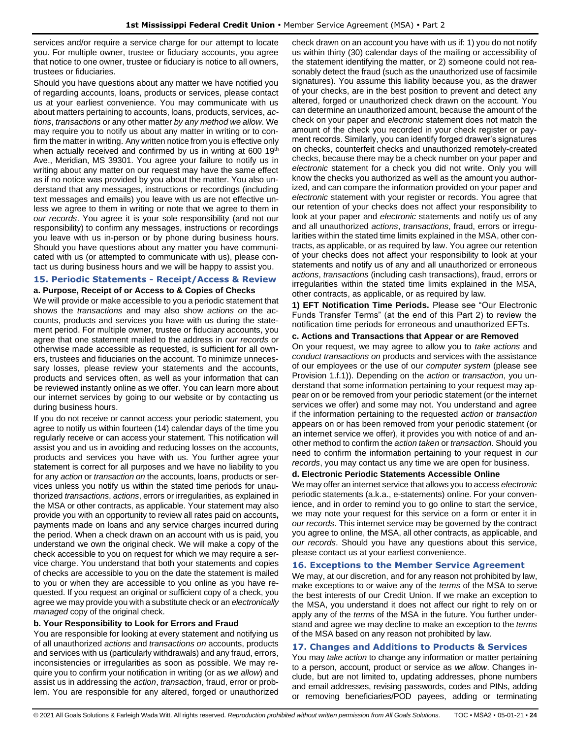services and/or require a service charge for our attempt to locate you. For multiple owner, trustee or fiduciary accounts, you agree that notice to one owner, trustee or fiduciary is notice to all owners, trustees or fiduciaries.

Should you have questions about any matter we have notified you of regarding accounts, loans, products or services, please contact us at your earliest convenience. You may communicate with us about matters pertaining to accounts, loans, products, services, *actions*, *transactions* or any other matter *by any method we allow*. We may require you to notify us about any matter in writing or to confirm the matter in writing. Any written notice from you is effective only when actually received and confirmed by us in writing at 600  $19<sup>th</sup>$ Ave., Meridian, MS 39301. You agree your failure to notify us in writing about any matter on our request may have the same effect as if no notice was provided by you about the matter. You also understand that any messages, instructions or recordings (including text messages and emails) you leave with us are not effective unless we agree to them in writing or note that we agree to them in *our records*. You agree it is your sole responsibility (and not our responsibility) to confirm any messages, instructions or recordings you leave with us in-person or by phone during business hours. Should you have questions about any matter you have communicated with us (or attempted to communicate with us), please contact us during business hours and we will be happy to assist you.

#### <span id="page-23-0"></span>**15. Periodic Statements - Receipt/Access & Review a. Purpose, Receipt of or Access to & Copies of Checks**

We will provide or make accessible to you a periodic statement that shows the *transactions* and may also show *actions on* the accounts, products and services you have with us during the statement period. For multiple owner, trustee or fiduciary accounts, you agree that one statement mailed to the address in *our records* or otherwise made accessible as requested, is sufficient for all owners, trustees and fiduciaries on the account. To minimize unnecessary losses, please review your statements and the accounts, products and services often, as well as your information that can be reviewed instantly online as we offer. You can learn more about our internet services by going to our website or by contacting us during business hours.

If you do not receive or cannot access your periodic statement, you agree to notify us within fourteen (14) calendar days of the time you regularly receive or can access your statement. This notification will assist you and us in avoiding and reducing losses on the accounts, products and services you have with us. You further agree your statement is correct for all purposes and we have no liability to you for any *action* or *transaction on* the accounts, loans, products or services unless you notify us within the stated time periods for unauthorized *transactions*, *actions*, errors or irregularities, as explained in the MSA or other contracts, as applicable. Your statement may also provide you with an opportunity to review all rates paid on accounts**,** payments made on loans and any service charges incurred during the period. When a check drawn on an account with us is paid, you understand we own the original check. We will make a copy of the check accessible to you on request for which we may require a service charge. You understand that both your statements and copies of checks are accessible to you on the date the statement is mailed to you or when they are accessible to you online as you have requested. If you request an original or sufficient copy of a check, you agree we may provide you with a substitute check or an *electronically managed* copy of the original check.

#### **b. Your Responsibility to Look for Errors and Fraud**

You are responsible for looking at every statement and notifying us of all unauthorized *actions* and *transactions on* accounts, products and services with us (particularly withdrawals) and any fraud, errors, inconsistencies or irregularities as soon as possible. We may require you to confirm your notification in writing (or as *we allow*) and assist us in addressing the *action*, *transaction*, fraud, error or problem. You are responsible for any altered, forged or unauthorized check drawn on an account you have with us if: 1) you do not notify us within thirty (30) calendar days of the mailing or accessibility of the statement identifying the matter, or 2) someone could not reasonably detect the fraud (such as the unauthorized use of facsimile signatures). You assume this liability because you, as the drawer of your checks, are in the best position to prevent and detect any altered, forged or unauthorized check drawn on the account. You can determine an unauthorized amount, because the amount of the check on your paper and *electronic* statement does not match the amount of the check you recorded in your check register or payment records. Similarly, you can identify forged drawer's signatures on checks, counterfeit checks and unauthorized remotely-created checks, because there may be a check number on your paper and *electronic* statement for a check you did not write. Only you will know the checks you authorized as well as the amount you authorized, and can compare the information provided on your paper and *electronic* statement with your register or records. You agree that our retention of your checks does not affect your responsibility to look at your paper and *electronic* statements and notify us of any and all unauthorized *actions*, *transactions*, fraud, errors or irregularities within the stated time limits explained in the MSA, other contracts, as applicable, or as required by law. You agree our retention of your checks does not affect your responsibility to look at your statements and notify us of any and all unauthorized or erroneous *actions*, *transactions* (including cash transactions), fraud, errors or irregularities within the stated time limits explained in the MSA, other contracts, as applicable, or as required by law.

**1) EFT Notification Time Periods.** Please see "Our Electronic Funds Transfer Terms" (at the end of this Part 2) to review the notification time periods for erroneous and unauthorized EFTs.

#### **c. Actions and Transactions that Appear or are Removed**

On your request, we may agree to allow you to *take actions* and *conduct transactions on* products and services with the assistance of our employees or the use of our *computer system* (please see Provision 1.f.1)). Depending on the *action* or *transaction*, you understand that some information pertaining to your request may appear on or be removed from your periodic statement (or the internet services we offer) and some may not. You understand and agree if the information pertaining to the requested *action* or *transaction* appears on or has been removed from your periodic statement (or an internet service we offer), it provides you with notice of and another method to confirm the *action taken* or *transaction*. Should you need to confirm the information pertaining to your request in *our records*, you may contact us any time we are open for business.

#### **d. Electronic Periodic Statements Accessible Online**

We may offer an internet service that allows you to access *electronic* periodic statements (a.k.a., e-statements) online. For your convenience, and in order to remind you to go online to start the service, we may note your request for this service on a form or enter it in *our records*. This internet service may be governed by the contract you agree to online, the MSA, all other contracts, as applicable, and *our records*. Should you have any questions about this service, please contact us at your earliest convenience.

#### <span id="page-23-1"></span>**16. Exceptions to the Member Service Agreement**

We may, at our discretion, and for any reason not prohibited by law, make exceptions to or waive any of the *terms* of the MSA to serve the best interests of our Credit Union. If we make an exception to the MSA, you understand it does not affect our right to rely on or apply any of the *terms* of the MSA in the future. You further understand and agree we may decline to make an exception to the *terms* of the MSA based on any reason not prohibited by law.

#### <span id="page-23-2"></span>**17. Changes and Additions to Products & Services**

You may *take action* to change any information or matter pertaining to a person, account, product or service as *we allow*. Changes include, but are not limited to, updating addresses, phone numbers and email addresses, revising passwords, codes and PINs, adding or removing beneficiaries/POD payees, adding or terminating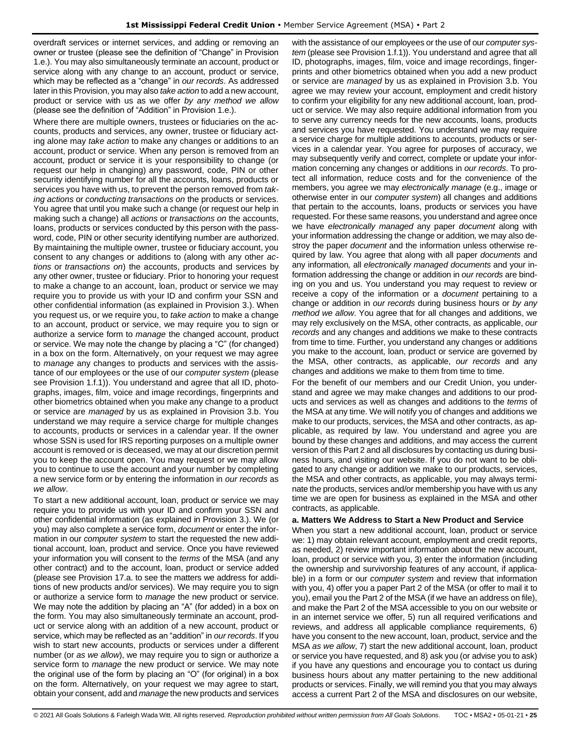overdraft services or internet services, and adding or removing an owner or trustee (please see the definition of "Change" in Provision 1.e.). You may also simultaneously terminate an account, product or service along with any change to an account, product or service, which may be reflected as a "change" in *our records*. As addressed later in this Provision, you may also *take action* to add a new account, product or service with us as we offer *by any method we allow* (please see the definition of "Addition" in Provision 1.e.).

Where there are multiple owners, trustees or fiduciaries on the accounts, products and services, any owner, trustee or fiduciary acting alone may *take action* to make any changes or additions to an account, product or service. When any person is removed from an account, product or service it is your responsibility to change (or request our help in changing) any password, code, PIN or other security identifying number for all the accounts, loans, products or services you have with us, to prevent the person removed from *taking actions* or *conducting transactions on* the products or services. You agree that until you make such a change (or request our help in making such a change) all *actions* or *transactions on* the accounts, loans, products or services conducted by this person with the password, code, PIN or other security identifying number are authorized. By maintaining the multiple owner, trustee or fiduciary account, you consent to any changes or additions to (along with any other *actions* or *transactions on*) the accounts, products and services by any other owner, trustee or fiduciary. Prior to honoring your request to make a change to an account, loan, product or service we may require you to provide us with your ID and confirm your SSN and other confidential information (as explained in Provision 3.). When you request us, or we require you, to *take action* to make a change to an account, product or service, we may require you to sign or authorize a service form to *manage* the changed account, product or service. We may note the change by placing a "C" (for changed) in a box on the form. Alternatively, on your request we may agree to *manage* any changes to products and services with the assistance of our employees or the use of our *computer system* (please see Provision 1.f.1)). You understand and agree that all ID, photographs, images, film, voice and image recordings, fingerprints and other biometrics obtained when you make any change to a product or service are *managed* by us as explained in Provision 3.b. You understand we may require a service charge for multiple changes to accounts, products or services in a calendar year. If the owner whose SSN is used for IRS reporting purposes on a multiple owner account is removed or is deceased, we may at our discretion permit you to keep the account open. You may request or we may allow you to continue to use the account and your number by completing a new service form or by entering the information in *our records* as *we allow*.

To start a new additional account, loan, product or service we may require you to provide us with your ID and confirm your SSN and other confidential information (as explained in Provision 3.). We (or you) may also complete a service form, *document* or enter the information in our *computer system* to start the requested the new additional account, loan, product and service. Once you have reviewed your information you will consent to the *terms* of the MSA (and any other contract) and to the account, loan, product or service added (please see Provision 17.a. to see the matters we address for additions of new products and/or services). We may require you to sign or authorize a service form to *manage* the new product or service. We may note the addition by placing an "A" (for added) in a box on the form. You may also simultaneously terminate an account, product or service along with an addition of a new account, product or service, which may be reflected as an "addition" in *our records*. If you wish to start new accounts, products or services under a different number (or *as we allow*), we may require you to sign or authorize a service form to *manage* the new product or service. We may note the original use of the form by placing an "O" (for original) in a box on the form. Alternatively, on your request we may agree to start, obtain your consent, add and *manage* the new products and services

with the assistance of our employees or the use of our *computer system* (please see Provision 1.f.1)). You understand and agree that all ID, photographs, images, film, voice and image recordings, fingerprints and other biometrics obtained when you add a new product or service are *managed* by us as explained in Provision 3.b. You agree we may review your account, employment and credit history to confirm your eligibility for any new additional account, loan, product or service. We may also require additional information from you to serve any currency needs for the new accounts, loans, products and services you have requested. You understand we may require a service charge for multiple additions to accounts, products or services in a calendar year. You agree for purposes of accuracy, we may subsequently verify and correct, complete or update your information concerning any changes or additions in *our records*. To protect all information, reduce costs and for the convenience of the members, you agree we may *electronically manage* (e.g., image or otherwise enter in our *computer system*) all changes and additions that pertain to the accounts, loans, products or services you have requested. For these same reasons, you understand and agree once we have *electronically managed* any paper *document* along with your information addressing the change or addition*,* we may also destroy the paper *document* and the information unless otherwise required by law. You agree that along with all paper *documents* and any information*,* all *electronically managed documents* and your information addressing the change or addition in *our records* are binding on you and us. You understand you may request to review or receive a copy of the information or a *document* pertaining to a change or addition in *our records* during business hours or *by any method we allow*. You agree that for all changes and additions, we may rely exclusively on the MSA, other contracts, as applicable, *our records* and any changes and additions we make to these contracts from time to time. Further, you understand any changes or additions you make to the account, loan, product or service are governed by the MSA, other contracts, as applicable, *our records* and any changes and additions we make to them from time to time.

For the benefit of our members and our Credit Union, you understand and agree we may make changes and additions to our products and services as well as changes and additions to the *terms* of the MSA at any time. We will notify you of changes and additions we make to our products, services, the MSA and other contracts, as applicable, as required by law. You understand and agree you are bound by these changes and additions, and may access the current version of this Part 2 and all disclosures by contacting us during business hours, and visiting our website. If you do not want to be obligated to any change or addition we make to our products, services, the MSA and other contracts, as applicable, you may always terminate the products, services and/or membership you have with us any time we are open for business as explained in the MSA and other contracts, as applicable.

#### **a. Matters We Address to Start a New Product and Service**

When you start a new additional account, loan, product or service we: 1) may obtain relevant account, employment and credit reports, as needed, 2) review important information about the new account, loan, product or service with you, 3) enter the information (including the ownership and survivorship features of any account, if applicable) in a form or our *computer system* and review that information with you, 4) offer you a paper Part 2 of the MSA (or offer to mail it to you), email you the Part 2 of the MSA (if we have an address on file), and make the Part 2 of the MSA accessible to you on our website or in an internet service we offer, 5) run all required verifications and reviews, and address all applicable compliance requirements, 6) have you consent to the new account, loan, product, service and the MSA *as we allow*, 7) start the new additional account, loan, product or service you have requested, and 8) ask you (or advise you to ask) if you have any questions and encourage you to contact us during business hours about any matter pertaining to the new additional products or services. Finally, we will remind you that you may always access a current Part 2 of the MSA and disclosures on our website,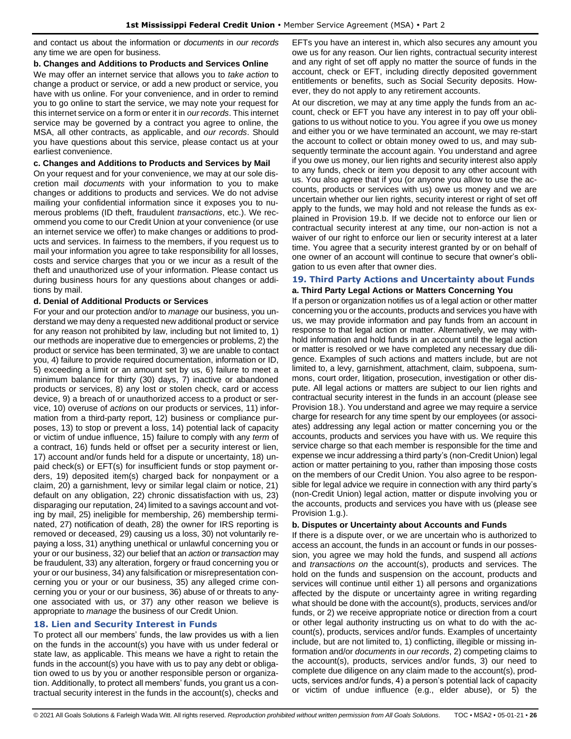and contact us about the information or *documents* in *our records* any time we are open for business.

#### **b. Changes and Additions to Products and Services Online**

We may offer an internet service that allows you to *take action* to change a product or service, or add a new product or service, you have with us online. For your convenience, and in order to remind you to go online to start the service, we may note your request for this internet service on a form or enter it in *our records*. This internet service may be governed by a contract you agree to online, the MSA, all other contracts, as applicable, and *our records*. Should you have questions about this service, please contact us at your earliest convenience.

#### **c. Changes and Additions to Products and Services by Mail**

On your request and for your convenience, we may at our sole discretion mail *documents* with your information to you to make changes or additions to products and services. We do not advise mailing your confidential information since it exposes you to numerous problems (ID theft, fraudulent *transactions*, etc.). We recommend you come to our Credit Union at your convenience (or use an internet service we offer) to make changes or additions to products and services. In fairness to the members, if you request us to mail your information you agree to take responsibility for all losses, costs and service charges that you or we incur as a result of the theft and unauthorized use of your information. Please contact us during business hours for any questions about changes or additions by mail.

#### **d. Denial of Additional Products or Services**

For your and our protection and/or to *manage* our business, you understand we may deny a requested new additional product or service for any reason not prohibited by law, including but not limited to, 1) our methods are inoperative due to emergencies or problems, 2) the product or service has been terminated, 3) we are unable to contact you, 4) failure to provide required documentation, information or ID, 5) exceeding a limit or an amount set by us, 6) failure to meet a minimum balance for thirty (30) days, 7) inactive or abandoned products or services, 8) any lost or stolen check, card or access device, 9) a breach of or unauthorized access to a product or service, 10) overuse of *actions* on our products or services, 11) information from a third-party report, 12) business or compliance purposes, 13) to stop or prevent a loss, 14) potential lack of capacity or victim of undue influence, 15) failure to comply with any *term* of a contract, 16) funds held or offset per a security interest or lien, 17) account and/or funds held for a dispute or uncertainty, 18) unpaid check(s) or EFT(s) for insufficient funds or stop payment orders, 19) deposited item(s) charged back for nonpayment or a claim, 20) a garnishment, levy or similar legal claim or notice, 21) default on any obligation, 22) chronic dissatisfaction with us, 23) disparaging our reputation, 24) limited to a savings account and voting by mail, 25) ineligible for membership, 26) membership terminated, 27) notification of death, 28) the owner for IRS reporting is removed or deceased, 29) causing us a loss, 30) not voluntarily repaying a loss, 31) anything unethical or unlawful concerning you or your or our business, 32) our belief that an *action* or *transaction* may be fraudulent, 33) any alteration, forgery or fraud concerning you or your or our business, 34) any falsification or misrepresentation concerning you or your or our business, 35) any alleged crime concerning you or your or our business, 36) abuse of or threats to anyone associated with us, or 37) any other reason we believe is appropriate to *manage* the business of our Credit Union.

### <span id="page-25-0"></span>**18. Lien and Security Interest in Funds**

To protect all our members' funds, the law provides us with a lien on the funds in the account(s) you have with us under federal or state law, as applicable. This means we have a right to retain the funds in the account(s) you have with us to pay any debt or obligation owed to us by you or another responsible person or organization. Additionally, to protect all members' funds, you grant us a contractual security interest in the funds in the account(s), checks and EFTs you have an interest in, which also secures any amount you owe us for any reason. Our lien rights, contractual security interest and any right of set off apply no matter the source of funds in the account, check or EFT, including directly deposited government entitlements or benefits, such as Social Security deposits. However, they do not apply to any retirement accounts.

At our discretion, we may at any time apply the funds from an account, check or EFT you have any interest in to pay off your obligations to us without notice to you. You agree if you owe us money and either you or we have terminated an account, we may re-start the account to collect or obtain money owed to us, and may subsequently terminate the account again. You understand and agree if you owe us money, our lien rights and security interest also apply to any funds, check or item you deposit to any other account with us. You also agree that if you (or anyone you allow to use the accounts, products or services with us) owe us money and we are uncertain whether our lien rights, security interest or right of set off apply to the funds, we may hold and not release the funds as explained in Provision 19.b. If we decide not to enforce our lien or contractual security interest at any time, our non-action is not a waiver of our right to enforce our lien or security interest at a later time. You agree that a security interest granted by or on behalf of one owner of an account will continue to secure that owner's obligation to us even after that owner dies.

#### <span id="page-25-1"></span>**19. Third Party Actions and Uncertainty about Funds a. Third Party Legal Actions or Matters Concerning You**

If a person or organization notifies us of a legal action or other matter concerning you or the accounts, products and services you have with us, we may provide information and pay funds from an account in response to that legal action or matter. Alternatively, we may withhold information and hold funds in an account until the legal action or matter is resolved or we have completed any necessary due diligence. Examples of such actions and matters include, but are not limited to, a levy, garnishment, attachment, claim, subpoena, summons, court order, litigation, prosecution, investigation or other dispute. All legal actions or matters are subject to our lien rights and contractual security interest in the funds in an account (please see Provision 18.). You understand and agree we may require a service charge for research for any time spent by our employees (or associates) addressing any legal action or matter concerning you or the accounts, products and services you have with us. We require this service charge so that each member is responsible for the time and expense we incur addressing a third party's (non-Credit Union) legal action or matter pertaining to you, rather than imposing those costs on the members of our Credit Union. You also agree to be responsible for legal advice we require in connection with any third party's (non-Credit Union) legal action, matter or dispute involving you or the accounts, products and services you have with us (please see Provision 1.g.).

#### **b. Disputes or Uncertainty about Accounts and Funds**

If there is a dispute over, or we are uncertain who is authorized to access an account, the funds in an account or funds in our possession, you agree we may hold the funds, and suspend all *actions* and *transactions on* the account(s), products and services. The hold on the funds and suspension on the account, products and services will continue until either 1) all persons and organizations affected by the dispute or uncertainty agree in writing regarding what should be done with the account(s), products, services and/or funds, or 2) we receive appropriate notice or direction from a court or other legal authority instructing us on what to do with the account(s), products, services and/or funds. Examples of uncertainty include, but are not limited to, 1) conflicting, illegible or missing information and/or *documents* in *our records*, 2) competing claims to the account(s), products, services and/or funds, 3) our need to complete due diligence on any claim made to the account(s), products, services and/or funds, 4) a person's potential lack of capacity or victim of undue influence (e.g., elder abuse), or 5) the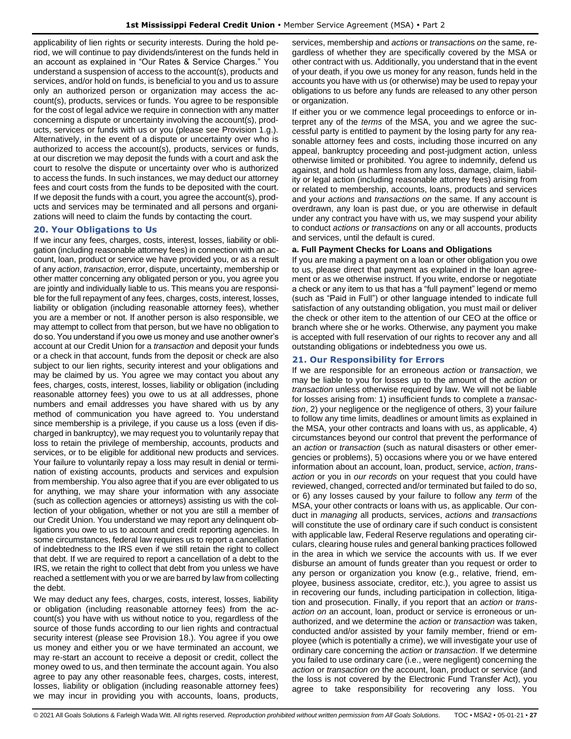applicability of lien rights or security interests. During the hold period, we will continue to pay dividends/interest on the funds held in an account as explained in "Our Rates & Service Charges." You understand a suspension of access to the account(s), products and services, and/or hold on funds, is beneficial to you and us to assure only an authorized person or organization may access the account(s), products, services or funds. You agree to be responsible for the cost of legal advice we require in connection with any matter concerning a dispute or uncertainty involving the account(s), products, services or funds with us or you (please see Provision 1.g.). Alternatively, in the event of a dispute or uncertainty over who is authorized to access the account(s), products, services or funds, at our discretion we may deposit the funds with a court and ask the court to resolve the dispute or uncertainty over who is authorized to access the funds. In such instances, we may deduct our attorney fees and court costs from the funds to be deposited with the court. If we deposit the funds with a court, you agree the account(s), products and services may be terminated and all persons and organizations will need to claim the funds by contacting the court.

#### <span id="page-26-0"></span>**20. Your Obligations to Us**

If we incur any fees, charges, costs, interest, losses, liability or obligation (including reasonable attorney fees) in connection with an account, loan, product or service we have provided you, or as a result of any *action*, *transaction*, error, dispute, uncertainty, membership or other matter concerning any obligated person or you, you agree you are jointly and individually liable to us. This means you are responsible for the full repayment of any fees, charges, costs, interest, losses, liability or obligation (including reasonable attorney fees), whether you are a member or not. If another person is also responsible, we may attempt to collect from that person, but we have no obligation to do so. You understand if you owe us money and use another owner's account at our Credit Union for a *transaction* and deposit your funds or a check in that account, funds from the deposit or check are also subject to our lien rights, security interest and your obligations and may be claimed by us. You agree we may contact you about any fees, charges, costs, interest, losses, liability or obligation (including reasonable attorney fees) you owe to us at all addresses, phone numbers and email addresses you have shared with us by any method of communication you have agreed to. You understand since membership is a privilege, if you cause us a loss (even if discharged in bankruptcy), we may request you to voluntarily repay that loss to retain the privilege of membership, accounts, products and services, or to be eligible for additional new products and services. Your failure to voluntarily repay a loss may result in denial or termination of existing accounts, products and services and expulsion from membership. You also agree that if you are ever obligated to us for anything, we may share your information with any associate (such as collection agencies or attorneys) assisting us with the collection of your obligation, whether or not you are still a member of our Credit Union. You understand we may report any delinquent obligations you owe to us to account and credit reporting agencies. In some circumstances, federal law requires us to report a cancellation of indebtedness to the IRS even if we still retain the right to collect that debt. If we are required to report a cancellation of a debt to the IRS, we retain the right to collect that debt from you unless we have reached a settlement with you or we are barred by law from collecting the debt.

We may deduct any fees, charges, costs, interest, losses, liability or obligation (including reasonable attorney fees) from the account(s) you have with us without notice to you, regardless of the source of those funds according to our lien rights and contractual security interest (please see Provision 18.). You agree if you owe us money and either you or we have terminated an account, we may re-start an account to receive a deposit or credit, collect the money owed to us, and then terminate the account again. You also agree to pay any other reasonable fees, charges, costs, interest, losses, liability or obligation (including reasonable attorney fees) we may incur in providing you with accounts, loans, products,

services, membership and *action*s or *transaction*s *on* the same, regardless of whether they are specifically covered by the MSA or other contract with us. Additionally, you understand that in the event of your death, if you owe us money for any reason, funds held in the accounts you have with us (or otherwise) may be used to repay your obligations to us before any funds are released to any other person or organization.

If either you or we commence legal proceedings to enforce or interpret any of the *terms* of the MSA, you and we agree the successful party is entitled to payment by the losing party for any reasonable attorney fees and costs, including those incurred on any appeal, bankruptcy proceeding and post-judgment action, unless otherwise limited or prohibited. You agree to indemnify, defend us against, and hold us harmless from any loss, damage, claim, liability or legal action (including reasonable attorney fees) arising from or related to membership, accounts, loans, products and services and your *actions* and *transactions on* the same. If any account is overdrawn, any loan is past due, or you are otherwise in default under any contract you have with us, we may suspend your ability to conduct *actions or transactions* on any or all accounts, products and services, until the default is cured.

### **a. Full Payment Checks for Loans and Obligations**

If you are making a payment on a loan or other obligation you owe to us, please direct that payment as explained in the loan agreement or as we otherwise instruct. If you write, endorse or negotiate a check or any item to us that has a "full payment" legend or memo (such as "Paid in Full") or other language intended to indicate full satisfaction of any outstanding obligation, you must mail or deliver the check or other item to the attention of our CEO at the office or branch where she or he works. Otherwise, any payment you make is accepted with full reservation of our rights to recover any and all outstanding obligations or indebtedness you owe us.

# <span id="page-26-1"></span>**21. Our Responsibility for Errors**

If we are responsible for an erroneous *action* or *transaction*, we may be liable to you for losses up to the amount of the *action* or *transaction* unless otherwise required by law. We will not be liable for losses arising from: 1) insufficient funds to complete a *transaction*, 2) your negligence or the negligence of others, 3) your failure to follow any time limits, deadlines or amount limits as explained in the MSA, your other contracts and loans with us, as applicable, 4) circumstances beyond our control that prevent the performance of an *action* or *transaction* (such as natural disasters or other emergencies or problems), 5) occasions where you or we have entered information about an account, loan, product, service, *action*, *transaction* or you in *our records* on your request that you could have reviewed, changed, corrected and/or terminated but failed to do so, or 6) any losses caused by your failure to follow any *term* of the MSA, your other contracts or loans with us, as applicable. Our conduct in *managing* all products, services, *actions* and *transactions* will constitute the use of ordinary care if such conduct is consistent with applicable law, Federal Reserve regulations and operating circulars, clearing house rules and general banking practices followed in the area in which we service the accounts with us. If we ever disburse an amount of funds greater than you request or order to any person or organization you know (e.g., relative, friend, employee, business associate, creditor, etc.), you agree to assist us in recovering our funds, including participation in collection, litigation and prosecution. Finally, if you report that an *action* or *transaction on* an account, loan, product or service is erroneous or unauthorized, and we determine the *action* or *transaction* was taken, conducted and/or assisted by your family member, friend or employee (which is potentially a crime), we will investigate your use of ordinary care concerning the *action* or *transaction*. If we determine you failed to use ordinary care (i.e., were negligent) concerning the *action* or *transaction on* the account, loan, product or service (and the loss is not covered by the Electronic Fund Transfer Act), you agree to take responsibility for recovering any loss. You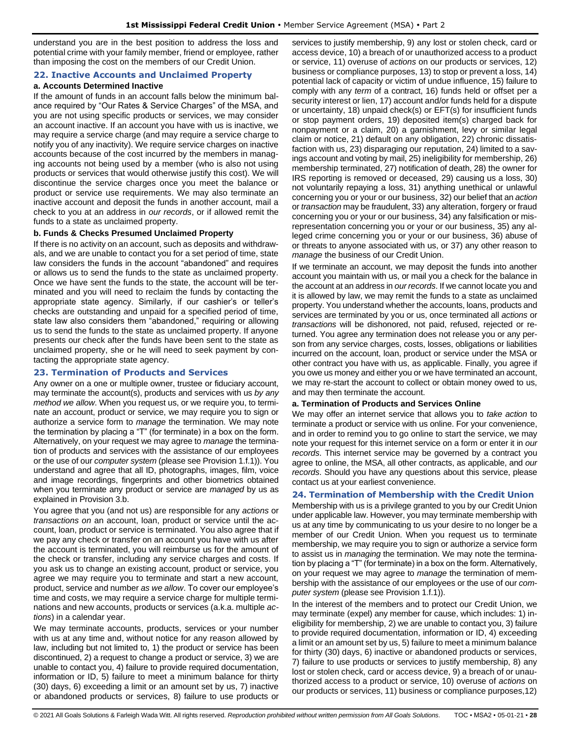understand you are in the best position to address the loss and potential crime with your family member, friend or employee, rather than imposing the cost on the members of our Credit Union.

#### <span id="page-27-0"></span>**22. Inactive Accounts and Unclaimed Property**

# **a. Accounts Determined Inactive**

If the amount of funds in an account falls below the minimum balance required by "Our Rates & Service Charges" of the MSA, and you are not using specific products or services, we may consider an account inactive. If an account you have with us is inactive, we may require a service charge (and may require a service charge to notify you of any inactivity). We require service charges on inactive accounts because of the cost incurred by the members in managing accounts not being used by a member (who is also not using products or services that would otherwise justify this cost). We will discontinue the service charges once you meet the balance or product or service use requirements. We may also terminate an inactive account and deposit the funds in another account, mail a check to you at an address in *our records*, or if allowed remit the funds to a state as unclaimed property.

#### **b. Funds & Checks Presumed Unclaimed Property**

If there is no activity on an account, such as deposits and withdrawals, and we are unable to contact you for a set period of time, state law considers the funds in the account "abandoned" and requires or allows us to send the funds to the state as unclaimed property. Once we have sent the funds to the state, the account will be terminated and you will need to reclaim the funds by contacting the appropriate state agency. Similarly, if our cashier's or teller's checks are outstanding and unpaid for a specified period of time, state law also considers them "abandoned," requiring or allowing us to send the funds to the state as unclaimed property. If anyone presents our check after the funds have been sent to the state as unclaimed property, she or he will need to seek payment by contacting the appropriate state agency.

### <span id="page-27-1"></span>**23. Termination of Products and Services**

Any owner on a one or multiple owner, trustee or fiduciary account, may terminate the account(s), products and services with us *by any method we allow*. When you request us, or we require you, to terminate an account, product or service, we may require you to sign or authorize a service form to *manage* the termination. We may note the termination by placing a "T" (for terminate) in a box on the form. Alternatively, on your request we may agree to *manage* the termination of products and services with the assistance of our employees or the use of our *computer system* (please see Provision 1.f.1)). You understand and agree that all ID, photographs, images, film, voice and image recordings, fingerprints and other biometrics obtained when you terminate any product or service are *managed* by us as explained in Provision 3.b.

You agree that you (and not us) are responsible for any *actions* or *transactions on* an account, loan, product or service until the account, loan, product or service is terminated. You also agree that if we pay any check or transfer on an account you have with us after the account is terminated, you will reimburse us for the amount of the check or transfer, including any service charges and costs. If you ask us to change an existing account, product or service, you agree we may require you to terminate and start a new account, product, service and number *as we allow*. To cover our employee's time and costs, we may require a service charge for multiple terminations and new accounts, products or services (a.k.a. multiple *actions*) in a calendar year.

We may terminate accounts, products, services or your number with us at any time and, without notice for any reason allowed by law, including but not limited to, 1) the product or service has been discontinued, 2) a request to change a product or service, 3) we are unable to contact you, 4) failure to provide required documentation, information or ID, 5) failure to meet a minimum balance for thirty (30) days, 6) exceeding a limit or an amount set by us, 7) inactive or abandoned products or services, 8) failure to use products or services to justify membership, 9) any lost or stolen check, card or access device, 10) a breach of or unauthorized access to a product or service, 11) overuse of *actions* on our products or services, 12) business or compliance purposes, 13) to stop or prevent a loss, 14) potential lack of capacity or victim of undue influence, 15) failure to comply with any *term* of a contract, 16) funds held or offset per a security interest or lien, 17) account and/or funds held for a dispute or uncertainty, 18) unpaid check(s) or EFT(s) for insufficient funds or stop payment orders, 19) deposited item(s) charged back for nonpayment or a claim, 20) a garnishment, levy or similar legal claim or notice, 21) default on any obligation, 22) chronic dissatisfaction with us, 23) disparaging our reputation, 24) limited to a savings account and voting by mail, 25) ineligibility for membership, 26) membership terminated, 27) notification of death, 28) the owner for IRS reporting is removed or deceased, 29) causing us a loss, 30) not voluntarily repaying a loss, 31) anything unethical or unlawful concerning you or your or our business, 32) our belief that an *action* or *transaction* may be fraudulent, 33) any alteration, forgery or fraud concerning you or your or our business, 34) any falsification or misrepresentation concerning you or your or our business, 35) any alleged crime concerning you or your or our business, 36) abuse of or threats to anyone associated with us, or 37) any other reason to *manage* the business of our Credit Union.

If we terminate an account, we may deposit the funds into another account you maintain with us, or mail you a check for the balance in the account at an address in *our records*. If we cannot locate you and it is allowed by law, we may remit the funds to a state as unclaimed property. You understand whether the accounts, loans, products and services are terminated by you or us, once terminated all *actions* or *transactions* will be dishonored, not paid, refused, rejected or returned. You agree any termination does not release you or any person from any service charges, costs, losses, obligations or liabilities incurred on the account, loan, product or service under the MSA or other contract you have with us, as applicable. Finally, you agree if you owe us money and either you or we have terminated an account, we may re-start the account to collect or obtain money owed to us, and may then terminate the account.

#### **a. Termination of Products and Services Online**

We may offer an internet service that allows you to *take action* to terminate a product or service with us online. For your convenience, and in order to remind you to go online to start the service, we may note your request for this internet service on a form or enter it in *our records*. This internet service may be governed by a contract you agree to online, the MSA, all other contracts, as applicable, and *our records*. Should you have any questions about this service, please contact us at your earliest convenience.

### <span id="page-27-2"></span>**24. Termination of Membership with the Credit Union**

Membership with us is a privilege granted to you by our Credit Union under applicable law. However, you may terminate membership with us at any time by communicating to us your desire to no longer be a member of our Credit Union. When you request us to terminate membership, we may require you to sign or authorize a service form to assist us in *managing* the termination. We may note the termination by placing a "T" (for terminate) in a box on the form. Alternatively, on your request we may agree to *manage* the termination of membership with the assistance of our employees or the use of our *computer system* (please see Provision 1.f.1)).

In the interest of the members and to protect our Credit Union, we may terminate (expel) any member for cause, which includes: 1) ineligibility for membership, 2) we are unable to contact you, 3) failure to provide required documentation, information or ID, 4) exceeding a limit or an amount set by us, 5) failure to meet a minimum balance for thirty (30) days, 6) inactive or abandoned products or services, 7) failure to use products or services to justify membership, 8) any lost or stolen check, card or access device, 9) a breach of or unauthorized access to a product or service, 10) overuse of *actions* on our products or services, 11) business or compliance purposes,12)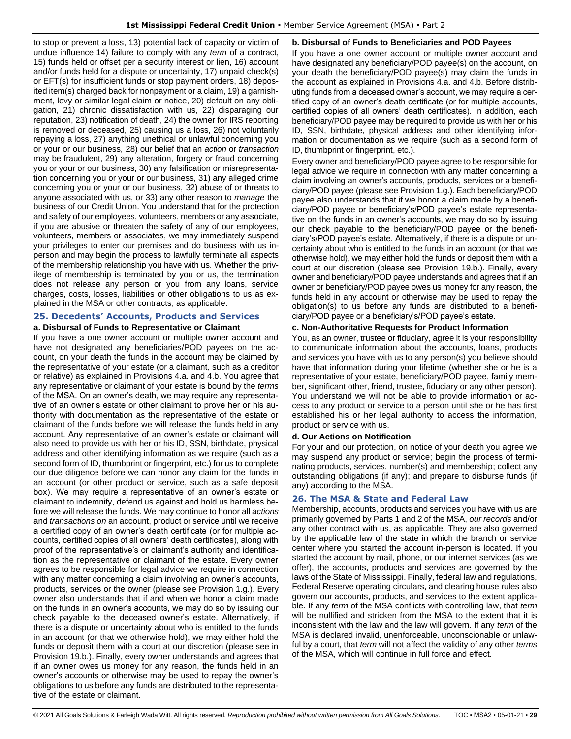to stop or prevent a loss, 13) potential lack of capacity or victim of undue influence,14) failure to comply with any *term* of a contract, 15) funds held or offset per a security interest or lien, 16) account and/or funds held for a dispute or uncertainty, 17) unpaid check(s) or EFT(s) for insufficient funds or stop payment orders, 18) deposited item(s) charged back for nonpayment or a claim, 19) a garnishment, levy or similar legal claim or notice, 20) default on any obligation, 21) chronic dissatisfaction with us, 22) disparaging our reputation, 23) notification of death, 24) the owner for IRS reporting is removed or deceased, 25) causing us a loss, 26) not voluntarily repaying a loss, 27) anything unethical or unlawful concerning you or your or our business, 28) our belief that an *action* or *transaction* may be fraudulent, 29) any alteration, forgery or fraud concerning you or your or our business, 30) any falsification or misrepresentation concerning you or your or our business, 31) any alleged crime concerning you or your or our business, 32) abuse of or threats to anyone associated with us, or 33) any other reason to *manage* the business of our Credit Union. You understand that for the protection and safety of our employees, volunteers, members or any associate, if you are abusive or threaten the safety of any of our employees, volunteers, members or associates, we may immediately suspend your privileges to enter our premises and do business with us inperson and may begin the process to lawfully terminate all aspects of the membership relationship you have with us. Whether the privilege of membership is terminated by you or us, the termination does not release any person or you from any loans, service charges, costs, losses, liabilities or other obligations to us as explained in the MSA or other contracts, as applicable.

### <span id="page-28-0"></span>**25. Decedents' Accounts, Products and Services a. Disbursal of Funds to Representative or Claimant**

If you have a one owner account or multiple owner account and have not designated any beneficiaries/POD payees on the account, on your death the funds in the account may be claimed by the representative of your estate (or a claimant, such as a creditor or relative) as explained in Provisions 4.a. and 4.b. You agree that any representative or claimant of your estate is bound by the *terms* of the MSA. On an owner's death, we may require any representative of an owner's estate or other claimant to prove her or his authority with documentation as the representative of the estate or claimant of the funds before we will release the funds held in any account. Any representative of an owner's estate or claimant will also need to provide us with her or his ID, SSN, birthdate, physical address and other identifying information as we require (such as a second form of ID, thumbprint or fingerprint, etc.) for us to complete our due diligence before we can honor any claim for the funds in an account (or other product or service, such as a safe deposit box). We may require a representative of an owner's estate or claimant to indemnify, defend us against and hold us harmless before we will release the funds. We may continue to honor all *actions* and *transactions on* an account, product or service until we receive a certified copy of an owner's death certificate (or for multiple accounts, certified copies of all owners' death certificates), along with proof of the representative's or claimant's authority and identification as the representative or claimant of the estate. Every owner agrees to be responsible for legal advice we require in connection with any matter concerning a claim involving an owner's accounts, products, services or the owner (please see Provision 1.g.). Every owner also understands that if and when we honor a claim made on the funds in an owner's accounts, we may do so by issuing our check payable to the deceased owner's estate. Alternatively, if there is a dispute or uncertainty about who is entitled to the funds in an account (or that we otherwise hold), we may either hold the funds or deposit them with a court at our discretion (please see in Provision 19.b.). Finally, every owner understands and agrees that if an owner owes us money for any reason, the funds held in an owner's accounts or otherwise may be used to repay the owner's obligations to us before any funds are distributed to the representative of the estate or claimant.

#### **b. Disbursal of Funds to Beneficiaries and POD Payees**

If you have a one owner account or multiple owner account and have designated any beneficiary/POD payee(s) on the account, on your death the beneficiary/POD payee(s) may claim the funds in the account as explained in Provisions 4.a. and 4.b. Before distributing funds from a deceased owner's account, we may require a certified copy of an owner's death certificate (or for multiple accounts, certified copies of all owners' death certificates). In addition, each beneficiary/POD payee may be required to provide us with her or his ID, SSN, birthdate, physical address and other identifying information or documentation as we require (such as a second form of ID, thumbprint or fingerprint, etc.).

Every owner and beneficiary/POD payee agree to be responsible for legal advice we require in connection with any matter concerning a claim involving an owner's accounts, products, services or a beneficiary/POD payee (please see Provision 1.g.). Each beneficiary/POD payee also understands that if we honor a claim made by a beneficiary/POD payee or beneficiary's/POD payee's estate representative on the funds in an owner's accounts, we may do so by issuing our check payable to the beneficiary/POD payee or the beneficiary's/POD payee's estate. Alternatively, if there is a dispute or uncertainty about who is entitled to the funds in an account (or that we otherwise hold), we may either hold the funds or deposit them with a court at our discretion (please see Provision 19.b.). Finally, every owner and beneficiary/POD payee understands and agrees that if an owner or beneficiary/POD payee owes us money for any reason, the funds held in any account or otherwise may be used to repay the obligation(s) to us before any funds are distributed to a beneficiary/POD payee or a beneficiary's/POD payee's estate.

#### **c. Non-Authoritative Requests for Product Information**

You, as an owner, trustee or fiduciary, agree it is your responsibility to communicate information about the accounts, loans, products and services you have with us to any person(s) you believe should have that information during your lifetime (whether she or he is a representative of your estate, beneficiary/POD payee, family member, significant other, friend, trustee, fiduciary or any other person). You understand we will not be able to provide information or access to any product or service to a person until she or he has first established his or her legal authority to access the information, product or service with us.

#### **d. Our Actions on Notification**

For your and our protection, on notice of your death you agree we may suspend any product or service; begin the process of terminating products, services, number(s) and membership; collect any outstanding obligations (if any); and prepare to disburse funds (if any) according to the MSA.

### <span id="page-28-1"></span>**26. The MSA & State and Federal Law**

Membership, accounts, products and services you have with us are primarily governed by Parts 1 and 2 of the MSA, *our records* and/or any other contract with us, as applicable. They are also governed by the applicable law of the state in which the branch or service center where you started the account in-person is located. If you started the account by mail, phone, or our internet services (as we offer), the accounts, products and services are governed by the laws of the State of Mississippi. Finally, federal law and regulations, Federal Reserve operating circulars, and clearing house rules also govern our accounts, products, and services to the extent applicable. If any *term* of the MSA conflicts with controlling law, that *term* will be nullified and stricken from the MSA to the extent that it is inconsistent with the law and the law will govern. If any *term* of the MSA is declared invalid, unenforceable, unconscionable or unlawful by a court, that *term* will not affect the validity of any other *terms* of the MSA, which will continue in full force and effect.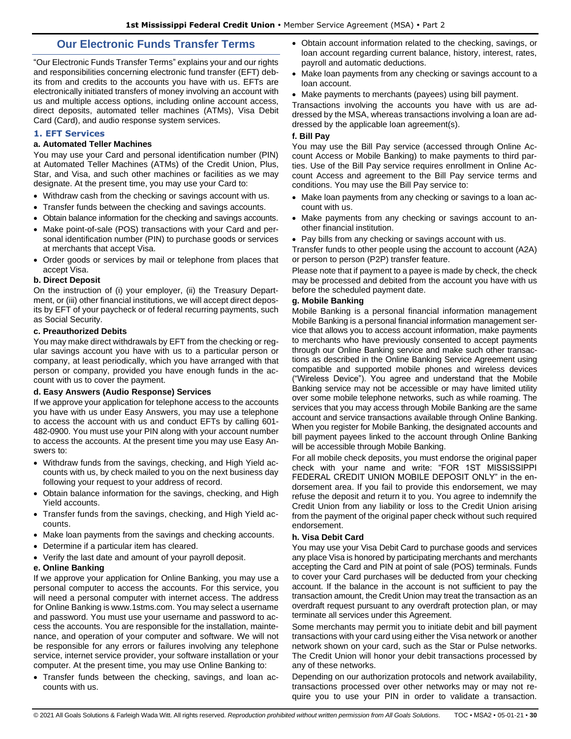# **Our Electronic Funds Transfer Terms**

<span id="page-29-0"></span>"Our Electronic Funds Transfer Terms" explains your and our rights and responsibilities concerning electronic fund transfer (EFT) debits from and credits to the accounts you have with us. EFTs are electronically initiated transfers of money involving an account with us and multiple access options, including online account access, direct deposits, automated teller machines (ATMs), Visa Debit Card (Card), and audio response system services.

# <span id="page-29-1"></span>**1. EFT Services**

### **a. Automated Teller Machines**

You may use your Card and personal identification number (PIN) at Automated Teller Machines (ATMs) of the Credit Union, Plus, Star, and Visa, and such other machines or facilities as we may designate. At the present time, you may use your Card to:

- Withdraw cash from the checking or savings account with us.
- Transfer funds between the checking and savings accounts.
- Obtain balance information for the checking and savings accounts.
- Make point-of-sale (POS) transactions with your Card and personal identification number (PIN) to purchase goods or services at merchants that accept Visa.
- Order goods or services by mail or telephone from places that accept Visa.

#### **b. Direct Deposit**

On the instruction of (i) your employer, (ii) the Treasury Department, or (iii) other financial institutions, we will accept direct deposits by EFT of your paycheck or of federal recurring payments, such as Social Security.

### **c. Preauthorized Debits**

You may make direct withdrawals by EFT from the checking or regular savings account you have with us to a particular person or company, at least periodically, which you have arranged with that person or company, provided you have enough funds in the account with us to cover the payment.

### **d. Easy Answers (Audio Response) Services**

If we approve your application for telephone access to the accounts you have with us under Easy Answers, you may use a telephone to access the account with us and conduct EFTs by calling 601- 482-0900. You must use your PIN along with your account number to access the accounts. At the present time you may use Easy Answers to:

- Withdraw funds from the savings, checking, and High Yield accounts with us, by check mailed to you on the next business day following your request to your address of record.
- Obtain balance information for the savings, checking, and High Yield accounts.
- Transfer funds from the savings, checking, and High Yield accounts.
- Make loan payments from the savings and checking accounts.
- Determine if a particular item has cleared.
- Verify the last date and amount of your payroll deposit.

#### **e. Online Banking**

If we approve your application for Online Banking, you may use a personal computer to access the accounts. For this service, you will need a personal computer with internet access. The address for Online Banking is www.1stms.com. You may select a username and password. You must use your username and password to access the accounts. You are responsible for the installation, maintenance, and operation of your computer and software. We will not be responsible for any errors or failures involving any telephone service, internet service provider, your software installation or your computer. At the present time, you may use Online Banking to:

• Transfer funds between the checking, savings, and loan accounts with us.

- Obtain account information related to the checking, savings, or loan account regarding current balance, history, interest, rates, payroll and automatic deductions.
- Make loan payments from any checking or savings account to a loan account.
- Make payments to merchants (payees) using bill payment.

Transactions involving the accounts you have with us are addressed by the MSA, whereas transactions involving a loan are addressed by the applicable loan agreement(s).

#### **f. Bill Pay**

You may use the Bill Pay service (accessed through Online Account Access or Mobile Banking) to make payments to third parties. Use of the Bill Pay service requires enrollment in Online Account Access and agreement to the Bill Pay service terms and conditions. You may use the Bill Pay service to:

- Make loan payments from any checking or savings to a loan account with us.
- Make payments from any checking or savings account to another financial institution.
- Pay bills from any checking or savings account with us.

Transfer funds to other people using the account to account (A2A) or person to person (P2P) transfer feature.

Please note that if payment to a payee is made by check, the check may be processed and debited from the account you have with us before the scheduled payment date.

#### **g. Mobile Banking**

Mobile Banking is a personal financial information management Mobile Banking is a personal financial information management service that allows you to access account information, make payments to merchants who have previously consented to accept payments through our Online Banking service and make such other transactions as described in the Online Banking Service Agreement using compatible and supported mobile phones and wireless devices ("Wireless Device"). You agree and understand that the Mobile Banking service may not be accessible or may have limited utility over some mobile telephone networks, such as while roaming. The services that you may access through Mobile Banking are the same account and service transactions available through Online Banking. When you register for Mobile Banking, the designated accounts and bill payment payees linked to the account through Online Banking will be accessible through Mobile Banking.

For all mobile check deposits, you must endorse the original paper check with your name and write: "FOR 1ST MISSISSIPPI FEDERAL CREDIT UNION MOBILE DEPOSIT ONLY" in the endorsement area. If you fail to provide this endorsement, we may refuse the deposit and return it to you. You agree to indemnify the Credit Union from any liability or loss to the Credit Union arising from the payment of the original paper check without such required endorsement.

### **h. Visa Debit Card**

You may use your Visa Debit Card to purchase goods and services any place Visa is honored by participating merchants and merchants accepting the Card and PIN at point of sale (POS) terminals. Funds to cover your Card purchases will be deducted from your checking account. If the balance in the account is not sufficient to pay the transaction amount, the Credit Union may treat the transaction as an overdraft request pursuant to any overdraft protection plan, or may terminate all services under this Agreement.

Some merchants may permit you to initiate debit and bill payment transactions with your card using either the Visa network or another network shown on your card, such as the Star or Pulse networks. The Credit Union will honor your debit transactions processed by any of these networks.

Depending on our authorization protocols and network availability, transactions processed over other networks may or may not require you to use your PIN in order to validate a transaction.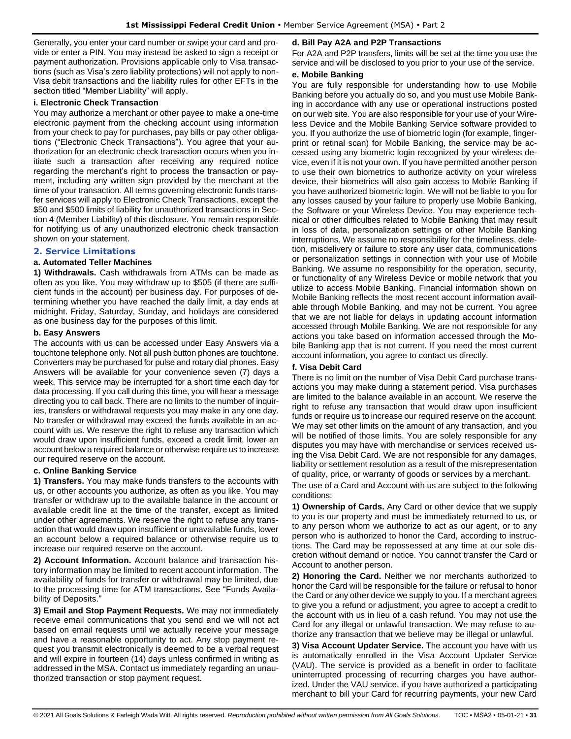Generally, you enter your card number or swipe your card and provide or enter a PIN. You may instead be asked to sign a receipt or payment authorization. Provisions applicable only to Visa transactions (such as Visa's zero liability protections) will not apply to non-Visa debit transactions and the liability rules for other EFTs in the section titled "Member Liability" will apply.

#### **i. Electronic Check Transaction**

You may authorize a merchant or other payee to make a one-time electronic payment from the checking account using information from your check to pay for purchases, pay bills or pay other obligations ("Electronic Check Transactions"). You agree that your authorization for an electronic check transaction occurs when you initiate such a transaction after receiving any required notice regarding the merchant's right to process the transaction or payment, including any written sign provided by the merchant at the time of your transaction. All terms governing electronic funds transfer services will apply to Electronic Check Transactions, except the \$50 and \$500 limits of liability for unauthorized transactions in Section 4 (Member Liability) of this disclosure. You remain responsible for notifying us of any unauthorized electronic check transaction shown on your statement.

# <span id="page-30-0"></span>**2. Service Limitations**

#### **a. Automated Teller Machines**

**1) Withdrawals.** Cash withdrawals from ATMs can be made as often as you like. You may withdraw up to \$505 (if there are sufficient funds in the account) per business day. For purposes of determining whether you have reached the daily limit, a day ends at midnight. Friday, Saturday, Sunday, and holidays are considered as one business day for the purposes of this limit.

#### **b. Easy Answers**

The accounts with us can be accessed under Easy Answers via a touchtone telephone only. Not all push button phones are touchtone. Converters may be purchased for pulse and rotary dial phones. Easy Answers will be available for your convenience seven (7) days a week. This service may be interrupted for a short time each day for data processing. If you call during this time, you will hear a message directing you to call back. There are no limits to the number of inquiries, transfers or withdrawal requests you may make in any one day. No transfer or withdrawal may exceed the funds available in an account with us. We reserve the right to refuse any transaction which would draw upon insufficient funds, exceed a credit limit, lower an account below a required balance or otherwise require us to increase our required reserve on the account.

# **c. Online Banking Service**

**1) Transfers.** You may make funds transfers to the accounts with us, or other accounts you authorize, as often as you like. You may transfer or withdraw up to the available balance in the account or available credit line at the time of the transfer, except as limited under other agreements. We reserve the right to refuse any transaction that would draw upon insufficient or unavailable funds, lower an account below a required balance or otherwise require us to increase our required reserve on the account.

**2) Account Information.** Account balance and transaction history information may be limited to recent account information. The availability of funds for transfer or withdrawal may be limited, due to the processing time for ATM transactions. See "Funds Availability of Deposits."

**3) Email and Stop Payment Requests.** We may not immediately receive email communications that you send and we will not act based on email requests until we actually receive your message and have a reasonable opportunity to act. Any stop payment request you transmit electronically is deemed to be a verbal request and will expire in fourteen (14) days unless confirmed in writing as addressed in the MSA. Contact us immediately regarding an unauthorized transaction or stop payment request.

#### **d. Bill Pay A2A and P2P Transactions**

For A2A and P2P transfers, limits will be set at the time you use the service and will be disclosed to you prior to your use of the service.

#### **e. Mobile Banking**

You are fully responsible for understanding how to use Mobile Banking before you actually do so, and you must use Mobile Banking in accordance with any use or operational instructions posted on our web site. You are also responsible for your use of your Wireless Device and the Mobile Banking Service software provided to you. If you authorize the use of biometric login (for example, fingerprint or retinal scan) for Mobile Banking, the service may be accessed using any biometric login recognized by your wireless device, even if it is not your own. If you have permitted another person to use their own biometrics to authorize activity on your wireless device, their biometrics will also gain access to Mobile Banking if you have authorized biometric login. We will not be liable to you for any losses caused by your failure to properly use Mobile Banking, the Software or your Wireless Device. You may experience technical or other difficulties related to Mobile Banking that may result in loss of data, personalization settings or other Mobile Banking interruptions. We assume no responsibility for the timeliness, deletion, misdelivery or failure to store any user data, communications or personalization settings in connection with your use of Mobile Banking. We assume no responsibility for the operation, security, or functionality of any Wireless Device or mobile network that you utilize to access Mobile Banking. Financial information shown on Mobile Banking reflects the most recent account information available through Mobile Banking, and may not be current. You agree that we are not liable for delays in updating account information accessed through Mobile Banking. We are not responsible for any actions you take based on information accessed through the Mobile Banking app that is not current. If you need the most current account information, you agree to contact us directly.

#### **f. Visa Debit Card**

There is no limit on the number of Visa Debit Card purchase transactions you may make during a statement period. Visa purchases are limited to the balance available in an account. We reserve the right to refuse any transaction that would draw upon insufficient funds or require us to increase our required reserve on the account. We may set other limits on the amount of any transaction, and you will be notified of those limits. You are solely responsible for any disputes you may have with merchandise or services received using the Visa Debit Card. We are not responsible for any damages, liability or settlement resolution as a result of the misrepresentation of quality, price, or warranty of goods or services by a merchant.

The use of a Card and Account with us are subject to the following conditions:

**1) Ownership of Cards.** Any Card or other device that we supply to you is our property and must be immediately returned to us, or to any person whom we authorize to act as our agent, or to any person who is authorized to honor the Card, according to instructions. The Card may be repossessed at any time at our sole discretion without demand or notice. You cannot transfer the Card or Account to another person.

**2) Honoring the Card.** Neither we nor merchants authorized to honor the Card will be responsible for the failure or refusal to honor the Card or any other device we supply to you. If a merchant agrees to give you a refund or adjustment, you agree to accept a credit to the account with us in lieu of a cash refund. You may not use the Card for any illegal or unlawful transaction. We may refuse to authorize any transaction that we believe may be illegal or unlawful.

**3) Visa Account Updater Service.** The account you have with us is automatically enrolled in the Visa Account Updater Service (VAU). The service is provided as a benefit in order to facilitate uninterrupted processing of recurring charges you have authorized. Under the VAU service, if you have authorized a participating merchant to bill your Card for recurring payments, your new Card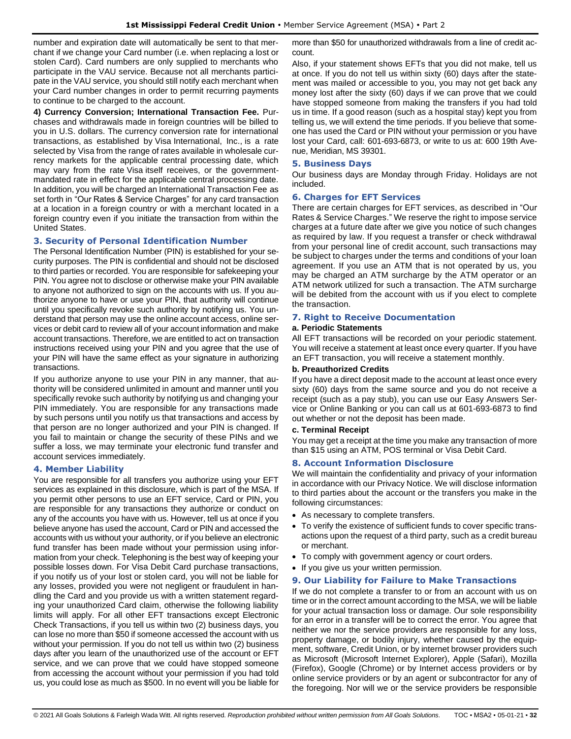number and expiration date will automatically be sent to that merchant if we change your Card number (i.e. when replacing a lost or stolen Card). Card numbers are only supplied to merchants who participate in the VAU service. Because not all merchants participate in the VAU service, you should still notify each merchant when your Card number changes in order to permit recurring payments to continue to be charged to the account.

**4) Currency Conversion; International Transaction Fee.** Purchases and withdrawals made in foreign countries will be billed to you in U.S. dollars. The currency conversion rate for international transactions, as established by Visa International, Inc., is a rate selected by Visa from the range of rates available in wholesale currency markets for the applicable central processing date, which may vary from the rate Visa itself receives, or the governmentmandated rate in effect for the applicable central processing date. In addition, you will be charged an International Transaction Fee as set forth in "Our Rates & Service Charges" for any card transaction at a location in a foreign country or with a merchant located in a foreign country even if you initiate the transaction from within the United States.

# <span id="page-31-0"></span>**3. Security of Personal Identification Number**

The Personal Identification Number (PIN) is established for your security purposes. The PIN is confidential and should not be disclosed to third parties or recorded. You are responsible for safekeeping your PIN. You agree not to disclose or otherwise make your PIN available to anyone not authorized to sign on the accounts with us. If you authorize anyone to have or use your PIN, that authority will continue until you specifically revoke such authority by notifying us. You understand that person may use the online account access, online services or debit card to review all of your account information and make account transactions. Therefore, we are entitled to act on transaction instructions received using your PIN and you agree that the use of your PIN will have the same effect as your signature in authorizing transactions.

If you authorize anyone to use your PIN in any manner, that authority will be considered unlimited in amount and manner until you specifically revoke such authority by notifying us and changing your PIN immediately. You are responsible for any transactions made by such persons until you notify us that transactions and access by that person are no longer authorized and your PIN is changed. If you fail to maintain or change the security of these PINs and we suffer a loss, we may terminate your electronic fund transfer and account services immediately.

### <span id="page-31-1"></span>**4. Member Liability**

You are responsible for all transfers you authorize using your EFT services as explained in this disclosure, which is part of the MSA. If you permit other persons to use an EFT service, Card or PIN, you are responsible for any transactions they authorize or conduct on any of the accounts you have with us. However, tell us at once if you believe anyone has used the account, Card or PIN and accessed the accounts with us without your authority, or if you believe an electronic fund transfer has been made without your permission using information from your check. Telephoning is the best way of keeping your possible losses down. For Visa Debit Card purchase transactions, if you notify us of your lost or stolen card, you will not be liable for any losses, provided you were not negligent or fraudulent in handling the Card and you provide us with a written statement regarding your unauthorized Card claim, otherwise the following liability limits will apply. For all other EFT transactions except Electronic Check Transactions, if you tell us within two (2) business days, you can lose no more than \$50 if someone accessed the account with us without your permission. If you do not tell us within two (2) business days after you learn of the unauthorized use of the account or EFT service, and we can prove that we could have stopped someone from accessing the account without your permission if you had told us, you could lose as much as \$500. In no event will you be liable for more than \$50 for unauthorized withdrawals from a line of credit account.

Also, if your statement shows EFTs that you did not make, tell us at once. If you do not tell us within sixty (60) days after the statement was mailed or accessible to you, you may not get back any money lost after the sixty (60) days if we can prove that we could have stopped someone from making the transfers if you had told us in time. If a good reason (such as a hospital stay) kept you from telling us, we will extend the time periods. If you believe that someone has used the Card or PIN without your permission or you have lost your Card, call: 601-693-6873, or write to us at: 600 19th Avenue, Meridian, MS 39301.

#### <span id="page-31-2"></span>**5. Business Days**

Our business days are Monday through Friday. Holidays are not included.

#### <span id="page-31-3"></span>**6. Charges for EFT Services**

There are certain charges for EFT services, as described in "Our Rates & Service Charges." We reserve the right to impose service charges at a future date after we give you notice of such changes as required by law. If you request a transfer or check withdrawal from your personal line of credit account, such transactions may be subject to charges under the terms and conditions of your loan agreement. If you use an ATM that is not operated by us, you may be charged an ATM surcharge by the ATM operator or an ATM network utilized for such a transaction. The ATM surcharge will be debited from the account with us if you elect to complete the transaction.

### <span id="page-31-4"></span>**7. Right to Receive Documentation**

#### **a. Periodic Statements**

All EFT transactions will be recorded on your periodic statement. You will receive a statement at least once every quarter. If you have an EFT transaction, you will receive a statement monthly.

#### **b. Preauthorized Credits**

If you have a direct deposit made to the account at least once every sixty (60) days from the same source and you do not receive a receipt (such as a pay stub), you can use our Easy Answers Service or Online Banking or you can call us at 601-693-6873 to find out whether or not the deposit has been made.

#### **c. Terminal Receipt**

You may get a receipt at the time you make any transaction of more than \$15 using an ATM, POS terminal or Visa Debit Card.

### <span id="page-31-5"></span>**8. Account Information Disclosure**

We will maintain the confidentiality and privacy of your information in accordance with our Privacy Notice. We will disclose information to third parties about the account or the transfers you make in the following circumstances:

- As necessary to complete transfers.
- To verify the existence of sufficient funds to cover specific transactions upon the request of a third party, such as a credit bureau or merchant.
- To comply with government agency or court orders.
- If you give us your written permission.

### <span id="page-31-6"></span>**9. Our Liability for Failure to Make Transactions**

If we do not complete a transfer to or from an account with us on time or in the correct amount according to the MSA, we will be liable for your actual transaction loss or damage. Our sole responsibility for an error in a transfer will be to correct the error. You agree that neither we nor the service providers are responsible for any loss, property damage, or bodily injury, whether caused by the equipment, software, Credit Union, or by internet browser providers such as Microsoft (Microsoft Internet Explorer), Apple (Safari), Mozilla (Firefox), Google (Chrome) or by Internet access providers or by online service providers or by an agent or subcontractor for any of the foregoing. Nor will we or the service providers be responsible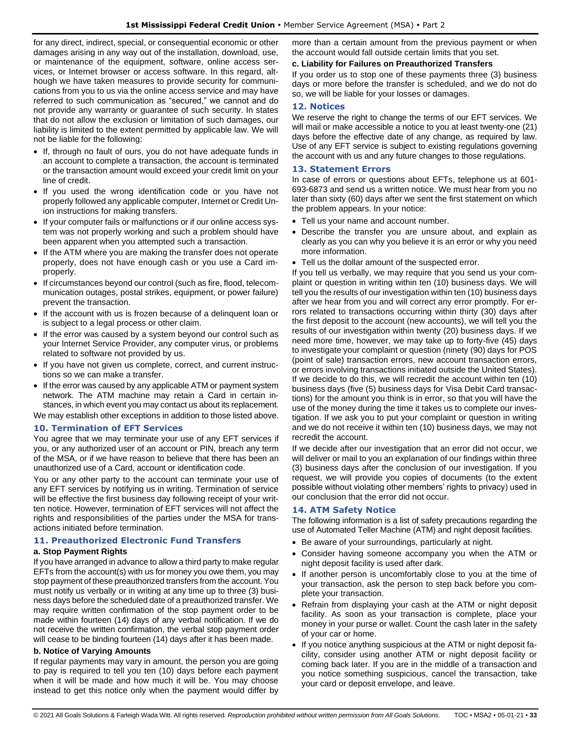for any direct, indirect, special, or consequential economic or other damages arising in any way out of the installation, download, use, or maintenance of the equipment, software, online access services, or Internet browser or access software. In this regard, although we have taken measures to provide security for communications from you to us via the online access service and may have referred to such communication as "secured," we cannot and do not provide any warranty or guarantee of such security. In states that do not allow the exclusion or limitation of such damages, our liability is limited to the extent permitted by applicable law. We will not be liable for the following:

- If, through no fault of ours, you do not have adequate funds in an account to complete a transaction, the account is terminated or the transaction amount would exceed your credit limit on your line of credit.
- If you used the wrong identification code or you have not properly followed any applicable computer, Internet or Credit Union instructions for making transfers.
- If your computer fails or malfunctions or if our online access system was not properly working and such a problem should have been apparent when you attempted such a transaction.
- If the ATM where you are making the transfer does not operate properly, does not have enough cash or you use a Card improperly.
- If circumstances beyond our control (such as fire, flood, telecommunication outages, postal strikes, equipment, or power failure) prevent the transaction.
- If the account with us is frozen because of a delinquent loan or is subject to a legal process or other claim.
- If the error was caused by a system beyond our control such as your Internet Service Provider, any computer virus, or problems related to software not provided by us.
- If you have not given us complete, correct, and current instructions so we can make a transfer.
- If the error was caused by any applicable ATM or payment system network. The ATM machine may retain a Card in certain instances, in which event you may contact us about its replacement. We may establish other exceptions in addition to those listed above.

### <span id="page-32-0"></span>**10. Termination of EFT Services**

You agree that we may terminate your use of any EFT services if you, or any authorized user of an account or PIN, breach any term of the MSA, or if we have reason to believe that there has been an unauthorized use of a Card, account or identification code.

You or any other party to the account can terminate your use of any EFT services by notifying us in writing. Termination of service will be effective the first business day following receipt of your written notice. However, termination of EFT services will not affect the rights and responsibilities of the parties under the MSA for transactions initiated before termination.

### <span id="page-32-1"></span>**11. Preauthorized Electronic Fund Transfers**

### **a. Stop Payment Rights**

If you have arranged in advance to allow a third party to make regular EFTs from the account(s) with us for money you owe them, you may stop payment of these preauthorized transfers from the account. You must notify us verbally or in writing at any time up to three (3) business days before the scheduled date of a preauthorized transfer. We may require written confirmation of the stop payment order to be made within fourteen (14) days of any verbal notification. If we do not receive the written confirmation, the verbal stop payment order will cease to be binding fourteen (14) days after it has been made.

### **b. Notice of Varying Amounts**

If regular payments may vary in amount, the person you are going to pay is required to tell you ten (10) days before each payment when it will be made and how much it will be. You may choose instead to get this notice only when the payment would differ by more than a certain amount from the previous payment or when the account would fall outside certain limits that you set.

#### **c. Liability for Failures on Preauthorized Transfers**

If you order us to stop one of these payments three (3) business days or more before the transfer is scheduled, and we do not do so, we will be liable for your losses or damages.

### <span id="page-32-2"></span>**12. Notices**

We reserve the right to change the terms of our EFT services. We will mail or make accessible a notice to you at least twenty-one (21) days before the effective date of any change, as required by law. Use of any EFT service is subject to existing regulations governing the account with us and any future changes to those regulations.

### <span id="page-32-3"></span>**13. Statement Errors**

In case of errors or questions about EFTs, telephone us at 601- 693-6873 and send us a written notice. We must hear from you no later than sixty (60) days after we sent the first statement on which the problem appears. In your notice:

- Tell us your name and account number.
- Describe the transfer you are unsure about, and explain as clearly as you can why you believe it is an error or why you need more information.
- Tell us the dollar amount of the suspected error.

If you tell us verbally, we may require that you send us your complaint or question in writing within ten (10) business days. We will tell you the results of our investigation within ten (10) business days after we hear from you and will correct any error promptly. For errors related to transactions occurring within thirty (30) days after the first deposit to the account (new accounts), we will tell you the results of our investigation within twenty (20) business days. If we need more time, however, we may take up to forty-five (45) days to investigate your complaint or question (ninety (90) days for POS (point of sale) transaction errors, new account transaction errors, or errors involving transactions initiated outside the United States). If we decide to do this, we will recredit the account within ten (10) business days (five (5) business days for Visa Debit Card transactions) for the amount you think is in error, so that you will have the use of the money during the time it takes us to complete our investigation. If we ask you to put your complaint or question in writing and we do not receive it within ten (10) business days, we may not recredit the account.

If we decide after our investigation that an error did not occur, we will deliver or mail to you an explanation of our findings within three (3) business days after the conclusion of our investigation. If you request, we will provide you copies of documents (to the extent possible without violating other members' rights to privacy) used in our conclusion that the error did not occur.

### <span id="page-32-4"></span>**14. ATM Safety Notice**

The following information is a list of safety precautions regarding the use of Automated Teller Machine (ATM) and night deposit facilities.

- Be aware of your surroundings, particularly at night.
- Consider having someone accompany you when the ATM or night deposit facility is used after dark.
- If another person is uncomfortably close to you at the time of your transaction, ask the person to step back before you complete your transaction.
- Refrain from displaying your cash at the ATM or night deposit facility. As soon as your transaction is complete, place your money in your purse or wallet. Count the cash later in the safety of your car or home.
- If you notice anything suspicious at the ATM or night deposit facility, consider using another ATM or night deposit facility or coming back later. If you are in the middle of a transaction and you notice something suspicious, cancel the transaction, take your card or deposit envelope, and leave.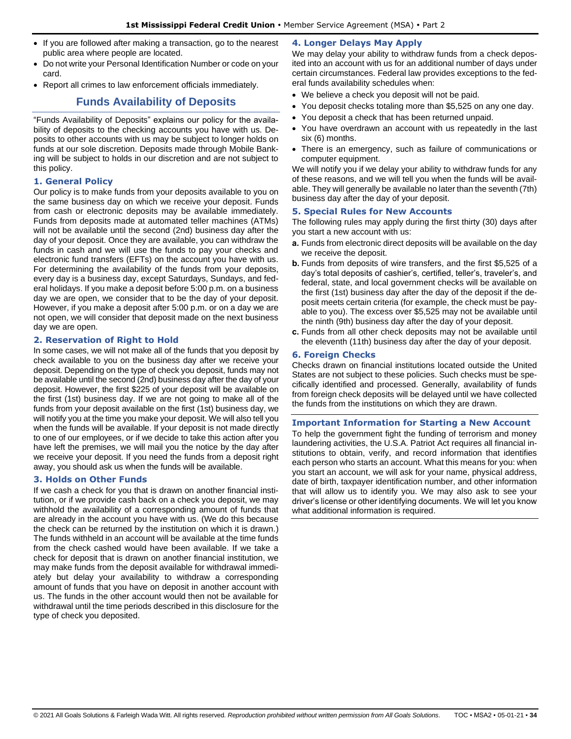- If you are followed after making a transaction, go to the nearest public area where people are located.
- Do not write your Personal Identification Number or code on your card.
- <span id="page-33-0"></span>• Report all crimes to law enforcement officials immediately.

# **Funds Availability of Deposits**

"Funds Availability of Deposits" explains our policy for the availability of deposits to the checking accounts you have with us. Deposits to other accounts with us may be subject to longer holds on funds at our sole discretion. Deposits made through Mobile Banking will be subject to holds in our discretion and are not subject to this policy.

# <span id="page-33-1"></span>**1. General Policy**

Our policy is to make funds from your deposits available to you on the same business day on which we receive your deposit. Funds from cash or electronic deposits may be available immediately. Funds from deposits made at automated teller machines (ATMs) will not be available until the second (2nd) business day after the day of your deposit. Once they are available, you can withdraw the funds in cash and we will use the funds to pay your checks and electronic fund transfers (EFTs) on the account you have with us. For determining the availability of the funds from your deposits, every day is a business day, except Saturdays, Sundays, and federal holidays. If you make a deposit before 5:00 p.m. on a business day we are open, we consider that to be the day of your deposit. However, if you make a deposit after 5:00 p.m. or on a day we are not open, we will consider that deposit made on the next business day we are open.

### <span id="page-33-2"></span>**2. Reservation of Right to Hold**

In some cases, we will not make all of the funds that you deposit by check available to you on the business day after we receive your deposit. Depending on the type of check you deposit, funds may not be available until the second (2nd) business day after the day of your deposit. However, the first \$225 of your deposit will be available on the first (1st) business day. If we are not going to make all of the funds from your deposit available on the first (1st) business day, we will notify you at the time you make your deposit. We will also tell you when the funds will be available. If your deposit is not made directly to one of our employees, or if we decide to take this action after you have left the premises, we will mail you the notice by the day after we receive your deposit. If you need the funds from a deposit right away, you should ask us when the funds will be available.

# <span id="page-33-3"></span>**3. Holds on Other Funds**

If we cash a check for you that is drawn on another financial institution, or if we provide cash back on a check you deposit, we may withhold the availability of a corresponding amount of funds that are already in the account you have with us. (We do this because the check can be returned by the institution on which it is drawn.) The funds withheld in an account will be available at the time funds from the check cashed would have been available. If we take a check for deposit that is drawn on another financial institution, we may make funds from the deposit available for withdrawal immediately but delay your availability to withdraw a corresponding amount of funds that you have on deposit in another account with us. The funds in the other account would then not be available for withdrawal until the time periods described in this disclosure for the type of check you deposited.

# <span id="page-33-4"></span>**4. Longer Delays May Apply**

We may delay your ability to withdraw funds from a check deposited into an account with us for an additional number of days under certain circumstances. Federal law provides exceptions to the federal funds availability schedules when:

- We believe a check you deposit will not be paid.
- You deposit checks totaling more than \$5,525 on any one day.
- You deposit a check that has been returned unpaid.
- You have overdrawn an account with us repeatedly in the last six (6) months.
- There is an emergency, such as failure of communications or computer equipment.

We will notify you if we delay your ability to withdraw funds for any of these reasons, and we will tell you when the funds will be available. They will generally be available no later than the seventh (7th) business day after the day of your deposit.

# <span id="page-33-5"></span>**5. Special Rules for New Accounts**

The following rules may apply during the first thirty (30) days after you start a new account with us:

- **a.** Funds from electronic direct deposits will be available on the day we receive the deposit.
- **b.** Funds from deposits of wire transfers, and the first \$5,525 of a day's total deposits of cashier's, certified, teller's, traveler's, and federal, state, and local government checks will be available on the first (1st) business day after the day of the deposit if the deposit meets certain criteria (for example, the check must be payable to you). The excess over \$5,525 may not be available until the ninth (9th) business day after the day of your deposit.
- **c.** Funds from all other check deposits may not be available until the eleventh (11th) business day after the day of your deposit.

### <span id="page-33-6"></span>**6. Foreign Checks**

Checks drawn on financial institutions located outside the United States are not subject to these policies. Such checks must be specifically identified and processed. Generally, availability of funds from foreign check deposits will be delayed until we have collected the funds from the institutions on which they are drawn.

### <span id="page-33-7"></span>**Important Information for Starting a New Account**

To help the government fight the funding of terrorism and money laundering activities, the U.S.A. Patriot Act requires all financial institutions to obtain, verify, and record information that identifies each person who starts an account. What this means for you: when you start an account, we will ask for your name, physical address, date of birth, taxpayer identification number, and other information that will allow us to identify you. We may also ask to see your driver's license or other identifying documents. We will let you know what additional information is required.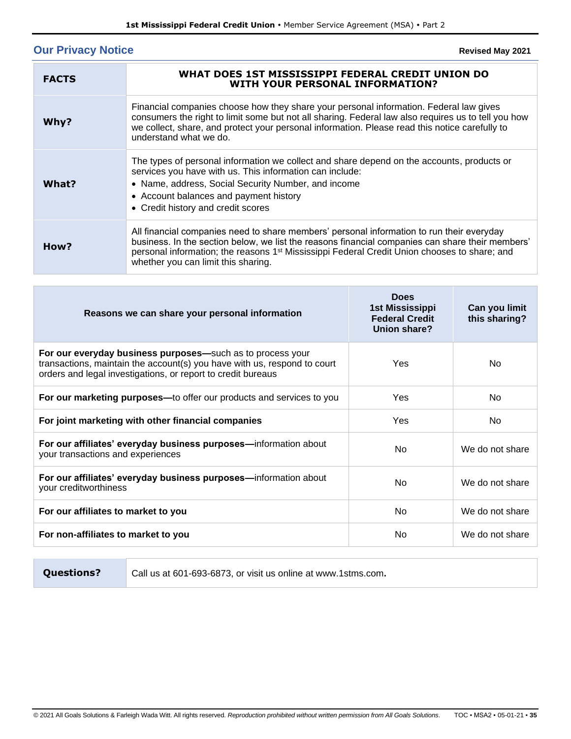# <span id="page-34-0"></span>**Our Privacy Notice**

**Revised May 2021**

| <b>FACTS</b> | WHAT DOES 1ST MISSISSIPPI FEDERAL CREDIT UNION DO<br><b>WITH YOUR PERSONAL INFORMATION?</b>                                                                                                                                                                                                                                                      |
|--------------|--------------------------------------------------------------------------------------------------------------------------------------------------------------------------------------------------------------------------------------------------------------------------------------------------------------------------------------------------|
| Why?         | Financial companies choose how they share your personal information. Federal law gives<br>consumers the right to limit some but not all sharing. Federal law also requires us to tell you how<br>we collect, share, and protect your personal information. Please read this notice carefully to<br>understand what we do.                        |
| What?        | The types of personal information we collect and share depend on the accounts, products or<br>services you have with us. This information can include:<br>• Name, address, Social Security Number, and income<br>• Account balances and payment history<br>• Credit history and credit scores                                                    |
| How?         | All financial companies need to share members' personal information to run their everyday<br>business. In the section below, we list the reasons financial companies can share their members'<br>personal information; the reasons 1 <sup>st</sup> Mississippi Federal Credit Union chooses to share; and<br>whether you can limit this sharing. |

| Reasons we can share your personal information                                                                                                                                                         | Does<br><b>1st Mississippi</b><br><b>Federal Credit</b><br>Union share? | Can you limit<br>this sharing? |
|--------------------------------------------------------------------------------------------------------------------------------------------------------------------------------------------------------|-------------------------------------------------------------------------|--------------------------------|
| For our everyday business purposes—such as to process your<br>transactions, maintain the account(s) you have with us, respond to court<br>orders and legal investigations, or report to credit bureaus | Yes                                                                     | No.                            |
| For our marketing purposes—to offer our products and services to you                                                                                                                                   | Yes                                                                     | No.                            |
| For joint marketing with other financial companies                                                                                                                                                     | Yes                                                                     | No.                            |
| For our affiliates' everyday business purposes-information about<br>your transactions and experiences                                                                                                  | No.                                                                     | We do not share                |
| For our affiliates' everyday business purposes—information about<br>your creditworthiness                                                                                                              | No.                                                                     | We do not share                |
| For our affiliates to market to you                                                                                                                                                                    | No                                                                      | We do not share                |
| For non-affiliates to market to you                                                                                                                                                                    | No                                                                      | We do not share                |

**Questions?** Call us at 601-693-6873, or visit us online at www.1stms.com**.**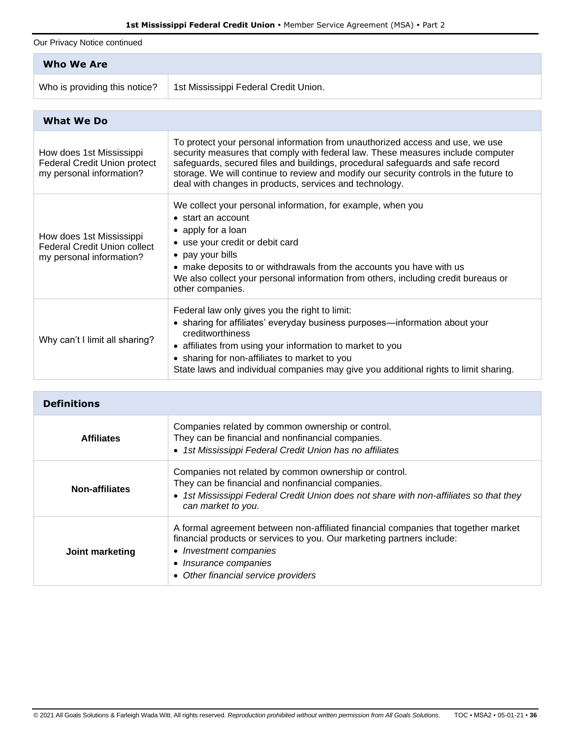Our Privacy Notice continued

| Who We Are                    |                                       |
|-------------------------------|---------------------------------------|
| Who is providing this notice? | 1st Mississippi Federal Credit Union. |

| <b>What We Do</b>                                                                           |                                                                                                                                                                                                                                                                                                                                                                                                        |  |
|---------------------------------------------------------------------------------------------|--------------------------------------------------------------------------------------------------------------------------------------------------------------------------------------------------------------------------------------------------------------------------------------------------------------------------------------------------------------------------------------------------------|--|
| How does 1st Mississippi<br><b>Federal Credit Union protect</b><br>my personal information? | To protect your personal information from unauthorized access and use, we use<br>security measures that comply with federal law. These measures include computer<br>safeguards, secured files and buildings, procedural safeguards and safe record<br>storage. We will continue to review and modify our security controls in the future to<br>deal with changes in products, services and technology. |  |
| How does 1st Mississippi<br><b>Federal Credit Union collect</b><br>my personal information? | We collect your personal information, for example, when you<br>$\bullet$ start an account<br>• apply for a loan<br>• use your credit or debit card<br>• pay your bills<br>• make deposits to or withdrawals from the accounts you have with us<br>We also collect your personal information from others, including credit bureaus or<br>other companies.                                               |  |
| Why can't I limit all sharing?                                                              | Federal law only gives you the right to limit:<br>• sharing for affiliates' everyday business purposes—information about your<br>creditworthiness<br>• affiliates from using your information to market to you<br>• sharing for non-affiliates to market to you<br>State laws and individual companies may give you additional rights to limit sharing.                                                |  |

| <b>Definitions</b>    |                                                                                                                                                                                                                                                        |
|-----------------------|--------------------------------------------------------------------------------------------------------------------------------------------------------------------------------------------------------------------------------------------------------|
| <b>Affiliates</b>     | Companies related by common ownership or control.<br>They can be financial and nonfinancial companies.<br>• 1st Mississippi Federal Credit Union has no affiliates                                                                                     |
| <b>Non-affiliates</b> | Companies not related by common ownership or control.<br>They can be financial and nonfinancial companies.<br>• 1st Mississippi Federal Credit Union does not share with non-affiliates so that they<br>can market to you.                             |
| Joint marketing       | A formal agreement between non-affiliated financial companies that together market<br>financial products or services to you. Our marketing partners include:<br>• Investment companies<br>• Insurance companies<br>• Other financial service providers |